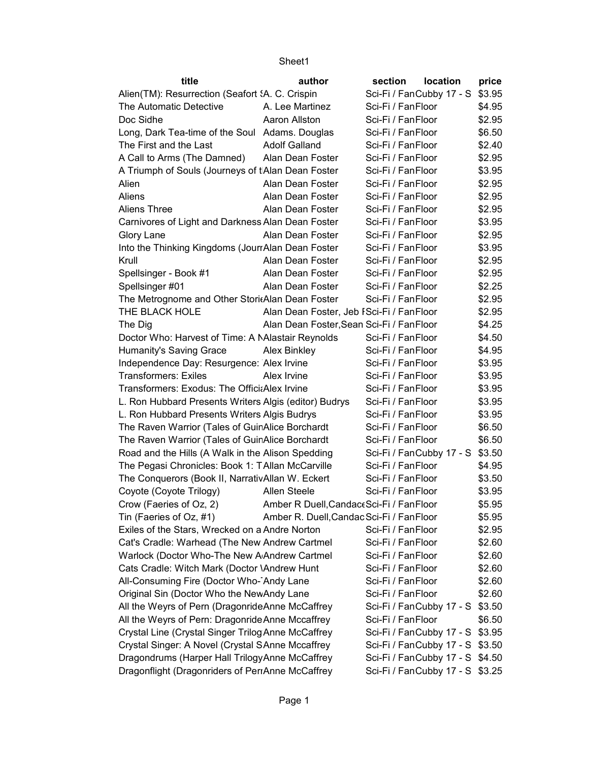| title                                                             | author                                   | section           | location                        | price  |
|-------------------------------------------------------------------|------------------------------------------|-------------------|---------------------------------|--------|
| Alien(TM): Resurrection (Seafort 'A. C. Crispin                   |                                          |                   | Sci-Fi / FanCubby 17 - S        | \$3.95 |
| The Automatic Detective                                           | A. Lee Martinez                          | Sci-Fi / FanFloor |                                 | \$4.95 |
| Doc Sidhe                                                         | Aaron Allston                            | Sci-Fi / FanFloor |                                 | \$2.95 |
| Long, Dark Tea-time of the Soul Adams. Douglas                    |                                          | Sci-Fi / FanFloor |                                 | \$6.50 |
| The First and the Last                                            | <b>Adolf Galland</b>                     | Sci-Fi / FanFloor |                                 | \$2.40 |
| A Call to Arms (The Damned)                                       | Alan Dean Foster                         | Sci-Fi / FanFloor |                                 | \$2.95 |
| A Triumph of Souls (Journeys of tAlan Dean Foster                 |                                          | Sci-Fi / FanFloor |                                 | \$3.95 |
| Alien                                                             | Alan Dean Foster                         | Sci-Fi / FanFloor |                                 | \$2.95 |
| Aliens                                                            | Alan Dean Foster                         | Sci-Fi / FanFloor |                                 | \$2.95 |
| <b>Aliens Three</b>                                               | Alan Dean Foster                         | Sci-Fi / FanFloor |                                 | \$2.95 |
| Carnivores of Light and Darkness Alan Dean Foster                 |                                          | Sci-Fi / FanFloor |                                 | \$3.95 |
| Glory Lane                                                        | Alan Dean Foster                         | Sci-Fi / FanFloor |                                 | \$2.95 |
| Into the Thinking Kingdoms (JournAlan Dean Foster                 |                                          | Sci-Fi / FanFloor |                                 | \$3.95 |
| Krull                                                             | Alan Dean Foster                         | Sci-Fi / FanFloor |                                 | \$2.95 |
| Spellsinger - Book #1                                             | Alan Dean Foster                         | Sci-Fi / FanFloor |                                 | \$2.95 |
| Spellsinger #01                                                   | Alan Dean Foster                         | Sci-Fi / FanFloor |                                 | \$2.25 |
| The Metrognome and Other StoritAlan Dean Foster                   |                                          | Sci-Fi / FanFloor |                                 | \$2.95 |
| THE BLACK HOLE                                                    | Alan Dean Foster, Jeb FSci-Fi / FanFloor |                   |                                 | \$2.95 |
| The Dig                                                           | Alan Dean Foster, Sean Sci-Fi / FanFloor |                   |                                 | \$4.25 |
| Doctor Who: Harvest of Time: A Malastair Reynolds                 |                                          | Sci-Fi / FanFloor |                                 | \$4.50 |
| Humanity's Saving Grace                                           | Alex Binkley                             | Sci-Fi / FanFloor |                                 | \$4.95 |
| Independence Day: Resurgence: Alex Irvine                         |                                          | Sci-Fi / FanFloor |                                 | \$3.95 |
| <b>Transformers: Exiles</b>                                       | Alex Irvine                              | Sci-Fi / FanFloor |                                 | \$3.95 |
| Transformers: Exodus: The OfficiaAlex Irvine                      |                                          | Sci-Fi / FanFloor |                                 | \$3.95 |
| L. Ron Hubbard Presents Writers Algis (editor) Budrys             |                                          | Sci-Fi / FanFloor |                                 | \$3.95 |
| L. Ron Hubbard Presents Writers Algis Budrys                      |                                          | Sci-Fi / FanFloor |                                 | \$3.95 |
| The Raven Warrior (Tales of GuinAlice Borchardt                   |                                          | Sci-Fi / FanFloor |                                 | \$6.50 |
| The Raven Warrior (Tales of GuinAlice Borchardt                   |                                          | Sci-Fi / FanFloor |                                 | \$6.50 |
| Road and the Hills (A Walk in the Alison Spedding                 |                                          |                   | Sci-Fi / FanCubby 17 - S \$3.50 |        |
| The Pegasi Chronicles: Book 1: TAllan McCarville                  |                                          | Sci-Fi / FanFloor |                                 | \$4.95 |
| The Conquerors (Book II, NarrativAllan W. Eckert                  |                                          | Sci-Fi / FanFloor |                                 | \$3.50 |
| Coyote (Coyote Trilogy)                                           | Allen Steele                             | Sci-Fi / FanFloor |                                 | \$3.95 |
| Crow (Faeries of Oz, 2) Amber R Duell, Candace Sci-Fi / Fan Floor |                                          |                   |                                 | \$5.95 |
| Tin (Faeries of Oz, #1)                                           | Amber R. Duell, Candac Sci-Fi / FanFloor |                   |                                 | \$5.95 |
| Exiles of the Stars, Wrecked on a Andre Norton                    |                                          | Sci-Fi / FanFloor |                                 | \$2.95 |
| Cat's Cradle: Warhead (The New Andrew Cartmel                     |                                          | Sci-Fi / FanFloor |                                 | \$2.60 |
| Warlock (Doctor Who-The New A Andrew Cartmel                      |                                          | Sci-Fi / FanFloor |                                 | \$2.60 |
| Cats Cradle: Witch Mark (Doctor \Andrew Hunt                      |                                          | Sci-Fi / FanFloor |                                 | \$2.60 |
| All-Consuming Fire (Doctor Who-Andy Lane                          |                                          | Sci-Fi / FanFloor |                                 | \$2.60 |
| Original Sin (Doctor Who the NewAndy Lane                         |                                          | Sci-Fi / FanFloor |                                 | \$2.60 |
| All the Weyrs of Pern (DragonrideAnne McCaffrey                   |                                          |                   | Sci-Fi / FanCubby 17 - S \$3.50 |        |
| All the Weyrs of Pern: Dragonride Anne Mccaffrey                  |                                          | Sci-Fi / FanFloor |                                 | \$6.50 |
| Crystal Line (Crystal Singer Trilog Anne McCaffrey                |                                          |                   | Sci-Fi / FanCubby 17 - S \$3.95 |        |
| Crystal Singer: A Novel (Crystal SAnne Mccaffrey                  |                                          |                   | Sci-Fi / FanCubby 17 - S \$3.50 |        |
| Dragondrums (Harper Hall Trilogy Anne McCaffrey                   |                                          |                   | Sci-Fi / FanCubby 17 - S \$4.50 |        |
| Dragonflight (Dragonriders of PeriAnne McCaffrey                  |                                          |                   | Sci-Fi / FanCubby 17 - S \$3.25 |        |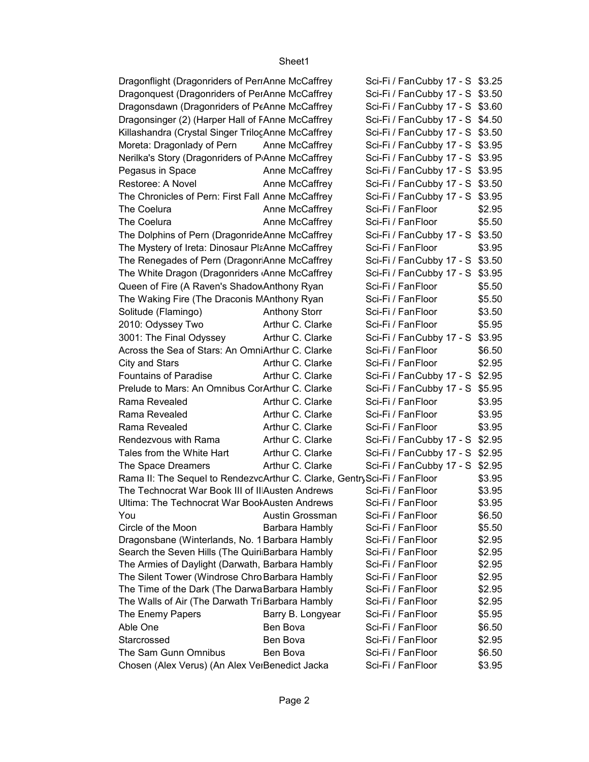| Dragonflight (Dragonriders of PerrAnne McCaffrey                         |                      | Sci-Fi / FanCubby 17 - S \$3.25 |        |
|--------------------------------------------------------------------------|----------------------|---------------------------------|--------|
| Dragonquest (Dragonriders of PerAnne McCaffrey                           |                      | Sci-Fi / FanCubby 17 - S \$3.50 |        |
| Dragonsdawn (Dragonriders of PEAnne McCaffrey                            |                      | Sci-Fi / FanCubby 17 - S \$3.60 |        |
| Dragonsinger (2) (Harper Hall of FAnne McCaffrey                         |                      | Sci-Fi / FanCubby 17 - S \$4.50 |        |
| Killashandra (Crystal Singer TrilocAnne McCaffrey                        |                      | Sci-Fi / FanCubby 17 - S \$3.50 |        |
| Moreta: Dragonlady of Pern                                               | Anne McCaffrey       | Sci-Fi / FanCubby 17 - S \$3.95 |        |
| Nerilka's Story (Dragonriders of PAnne McCaffrey                         |                      | Sci-Fi / FanCubby 17 - S \$3.95 |        |
| Pegasus in Space Negasus                                                 | Anne McCaffrey       | Sci-Fi / FanCubby 17 - S \$3.95 |        |
| Restoree: A Novel                                                        | Anne McCaffrey       | Sci-Fi / FanCubby 17 - S \$3.50 |        |
| The Chronicles of Pern: First Fall Anne McCaffrey                        |                      | Sci-Fi / FanCubby 17 - S \$3.95 |        |
| The Coelura                                                              | Anne McCaffrey       | Sci-Fi / FanFloor               | \$2.95 |
| The Coelura                                                              | Anne McCaffrey       | Sci-Fi / FanFloor               | \$5.50 |
| The Dolphins of Pern (Dragonride Anne McCaffrey                          |                      | Sci-Fi / FanCubby 17 - S \$3.50 |        |
| The Mystery of Ireta: Dinosaur PlaAnne McCaffrey                         |                      | Sci-Fi / FanFloor               | \$3.95 |
| The Renegades of Pern (Dragonr Anne McCaffrey                            |                      | Sci-Fi / FanCubby 17 - S \$3.50 |        |
| The White Dragon (Dragonriders Anne McCaffrey                            |                      | Sci-Fi / FanCubby 17 - S \$3.95 |        |
| Queen of Fire (A Raven's Shadow Anthony Ryan                             |                      | Sci-Fi / FanFloor               | \$5.50 |
| The Waking Fire (The Draconis MAnthony Ryan                              |                      | Sci-Fi / FanFloor               | \$5.50 |
| Solitude (Flamingo)                                                      | <b>Anthony Storr</b> | Sci-Fi / FanFloor               | \$3.50 |
| 2010: Odyssey Two                                                        | Arthur C. Clarke     | Sci-Fi / FanFloor               | \$5.95 |
| 3001: The Final Odyssey                                                  | Arthur C. Clarke     | Sci-Fi / FanCubby 17 - S \$3.95 |        |
| Across the Sea of Stars: An OmniArthur C. Clarke                         |                      | Sci-Fi / FanFloor               | \$6.50 |
| City and Stars                                                           | Arthur C. Clarke     | Sci-Fi / FanFloor               | \$2.95 |
| <b>Fountains of Paradise</b>                                             | Arthur C. Clarke     | Sci-Fi / FanCubby 17 - S \$2.95 |        |
| Prelude to Mars: An Omnibus CorArthur C. Clarke                          |                      | Sci-Fi / FanCubby 17 - S \$5.95 |        |
| Rama Revealed                                                            | Arthur C. Clarke     | Sci-Fi / FanFloor               | \$3.95 |
| Rama Revealed                                                            | Arthur C. Clarke     | Sci-Fi / FanFloor               | \$3.95 |
| Rama Revealed                                                            | Arthur C. Clarke     | Sci-Fi / FanFloor               | \$3.95 |
| Rendezvous with Rama                                                     | Arthur C. Clarke     | Sci-Fi / FanCubby 17 - S \$2.95 |        |
| Tales from the White Hart                                                | Arthur C. Clarke     | Sci-Fi / FanCubby 17 - S \$2.95 |        |
| The Space Dreamers                                                       | Arthur C. Clarke     | Sci-Fi / FanCubby 17 - S \$2.95 |        |
| Rama II: The Sequel to RendezvcArthur C. Clarke, GentrySci-Fi / FanFloor |                      |                                 | \$3.95 |
| The Technocrat War Book III of II Austen Andrews                         |                      | Sci-Fi / FanFloor               | \$3.95 |
| Ultima: The Technocrat War Bool Austen Andrews                           |                      | Sci-Fi / FanFloor               | \$3.95 |
| You                                                                      | Austin Grossman      | Sci-Fi / FanFloor               | \$6.50 |
| Circle of the Moon                                                       | Barbara Hambly       | Sci-Fi / FanFloor               | \$5.50 |
| Dragonsbane (Winterlands, No. 1 Barbara Hambly                           |                      | Sci-Fi / FanFloor               | \$2.95 |
| Search the Seven Hills (The Quiri Barbara Hambly                         |                      | Sci-Fi / FanFloor               | \$2.95 |
| The Armies of Daylight (Darwath, Barbara Hambly                          |                      | Sci-Fi / FanFloor               | \$2.95 |
| The Silent Tower (Windrose Chro Barbara Hambly                           |                      | Sci-Fi / FanFloor               | \$2.95 |
| The Time of the Dark (The Darwa Barbara Hambly                           |                      | Sci-Fi / FanFloor               | \$2.95 |
| The Walls of Air (The Darwath TriBarbara Hambly                          |                      | Sci-Fi / FanFloor               | \$2.95 |
| The Enemy Papers                                                         | Barry B. Longyear    | Sci-Fi / FanFloor               | \$5.95 |
| Able One                                                                 | Ben Bova             | Sci-Fi / FanFloor               | \$6.50 |
| Starcrossed                                                              | Ben Bova             | Sci-Fi / FanFloor               | \$2.95 |
| The Sam Gunn Omnibus                                                     | Ben Bova             | Sci-Fi / FanFloor               | \$6.50 |
| Chosen (Alex Verus) (An Alex VeiBenedict Jacka                           |                      | Sci-Fi / FanFloor               | \$3.95 |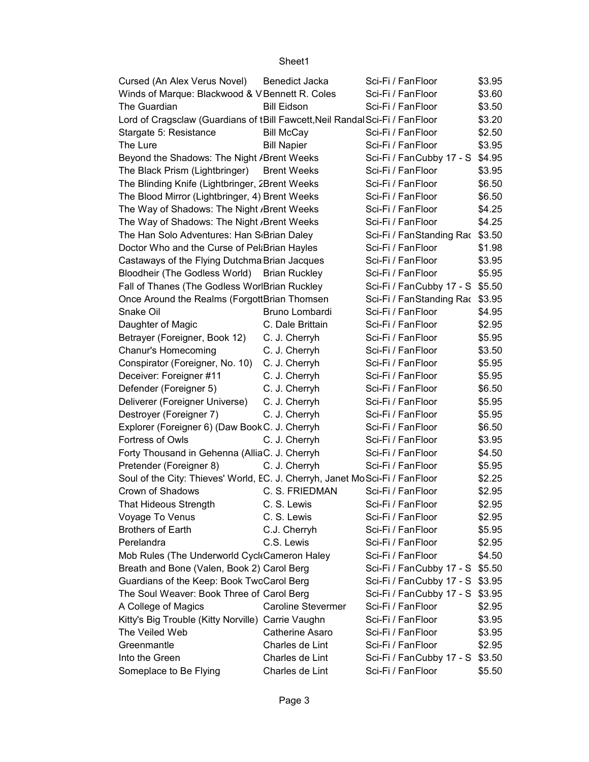| Cursed (An Alex Verus Novel)                                                  | Benedict Jacka         | Sci-Fi / FanFloor               | \$3.95 |
|-------------------------------------------------------------------------------|------------------------|---------------------------------|--------|
| Winds of Marque: Blackwood & V Bennett R. Coles                               |                        | Sci-Fi / FanFloor               | \$3.60 |
| The Guardian                                                                  | <b>Bill Eidson</b>     | Sci-Fi / FanFloor               | \$3.50 |
| Lord of Cragsclaw (Guardians of tBill Fawcett, Neil Randal Sci-Fi / Fan Floor |                        |                                 | \$3.20 |
| Stargate 5: Resistance                                                        | <b>Bill McCay</b>      | Sci-Fi / FanFloor               | \$2.50 |
| The Lure                                                                      | <b>Bill Napier</b>     | Sci-Fi / FanFloor               | \$3.95 |
| Beyond the Shadows: The Night / Brent Weeks                                   |                        | Sci-Fi / FanCubby 17 - S \$4.95 |        |
| The Black Prism (Lightbringer)                                                | <b>Brent Weeks</b>     | Sci-Fi / FanFloor               | \$3.95 |
| The Blinding Knife (Lightbringer, 2Brent Weeks                                |                        | Sci-Fi / FanFloor               | \$6.50 |
| The Blood Mirror (Lightbringer, 4) Brent Weeks                                |                        | Sci-Fi / FanFloor               | \$6.50 |
| The Way of Shadows: The Night , Brent Weeks                                   |                        | Sci-Fi / FanFloor               | \$4.25 |
| The Way of Shadows: The Night , Brent Weeks                                   |                        | Sci-Fi / FanFloor               | \$4.25 |
| The Han Solo Adventures: Han S <sub>'</sub> Brian Daley                       |                        | Sci-Fi / FanStanding Rac \$3.50 |        |
| Doctor Who and the Curse of Pel: Brian Hayles                                 |                        | Sci-Fi / FanFloor               | \$1.98 |
| Castaways of the Flying Dutchma Brian Jacques                                 |                        | Sci-Fi / FanFloor               | \$3.95 |
| Bloodheir (The Godless World) Brian Ruckley                                   |                        | Sci-Fi / FanFloor               | \$5.95 |
| Fall of Thanes (The Godless WorlBrian Ruckley                                 |                        | Sci-Fi / FanCubby 17 - S \$5.50 |        |
| Once Around the Realms (ForgottBrian Thomsen                                  |                        | Sci-Fi / FanStanding Rac \$3.95 |        |
| Snake Oil                                                                     | Bruno Lombardi         | Sci-Fi / FanFloor               | \$4.95 |
| Daughter of Magic                                                             | C. Dale Brittain       | Sci-Fi / FanFloor               | \$2.95 |
| Betrayer (Foreigner, Book 12)                                                 | C. J. Cherryh          | Sci-Fi / FanFloor               | \$5.95 |
| <b>Chanur's Homecoming</b>                                                    | C. J. Cherryh          | Sci-Fi / FanFloor               | \$3.50 |
| Conspirator (Foreigner, No. 10) C. J. Cherryh                                 |                        | Sci-Fi / FanFloor               | \$5.95 |
| Deceiver: Foreigner #11                                                       | C. J. Cherryh          | Sci-Fi / FanFloor               | \$5.95 |
| Defender (Foreigner 5)                                                        | C. J. Cherryh          | Sci-Fi / FanFloor               | \$6.50 |
| Deliverer (Foreigner Universe)                                                | C. J. Cherryh          | Sci-Fi / FanFloor               | \$5.95 |
| Destroyer (Foreigner 7)                                                       | C. J. Cherryh          | Sci-Fi / FanFloor               | \$5.95 |
| Explorer (Foreigner 6) (Daw Book C. J. Cherryh                                |                        | Sci-Fi / FanFloor               | \$6.50 |
| Fortress of Owls                                                              | C. J. Cherryh          | Sci-Fi / FanFloor               | \$3.95 |
| Forty Thousand in Gehenna (AlliaC. J. Cherryh                                 |                        | Sci-Fi / FanFloor               | \$4.50 |
| Pretender (Foreigner 8)                                                       | C. J. Cherryh          | Sci-Fi / FanFloor               | \$5.95 |
| Soul of the City: Thieves' World, EC. J. Cherryh, Janet MoSci-Fi / FanFloor   |                        |                                 | \$2.25 |
| Crown of Shadows                                                              | C. S. FRIEDMAN         | Sci-Fi / FanFloor               | \$2.95 |
| That Hideous Strength C. S. Lewis                                             |                        | Sci-Fi / FanFloor               | \$2.95 |
| Voyage To Venus                                                               | C. S. Lewis            | Sci-Fi / FanFloor               | \$2.95 |
| <b>Brothers of Earth</b>                                                      | C.J. Cherryh           | Sci-Fi / FanFloor               | \$5.95 |
| Perelandra                                                                    | C.S. Lewis             | Sci-Fi / FanFloor               | \$2.95 |
| Mob Rules (The Underworld Cycl Cameron Haley                                  |                        | Sci-Fi / FanFloor               | \$4.50 |
| Breath and Bone (Valen, Book 2) Carol Berg                                    |                        | Sci-Fi / FanCubby 17 - S \$5.50 |        |
| Guardians of the Keep: Book TwcCarol Berg                                     |                        | Sci-Fi / FanCubby 17 - S \$3.95 |        |
| The Soul Weaver: Book Three of Carol Berg                                     |                        | Sci-Fi / FanCubby 17 - S \$3.95 |        |
| A College of Magics                                                           | Caroline Stevermer     | Sci-Fi / FanFloor               | \$2.95 |
| Kitty's Big Trouble (Kitty Norville) Carrie Vaughn                            |                        | Sci-Fi / FanFloor               | \$3.95 |
| The Veiled Web                                                                | <b>Catherine Asaro</b> | Sci-Fi / FanFloor               | \$3.95 |
| Greenmantle                                                                   | Charles de Lint        | Sci-Fi / FanFloor               | \$2.95 |
| Into the Green                                                                | Charles de Lint        | Sci-Fi / FanCubby 17 - S \$3.50 |        |
| Someplace to Be Flying                                                        | Charles de Lint        | Sci-Fi / FanFloor               | \$5.50 |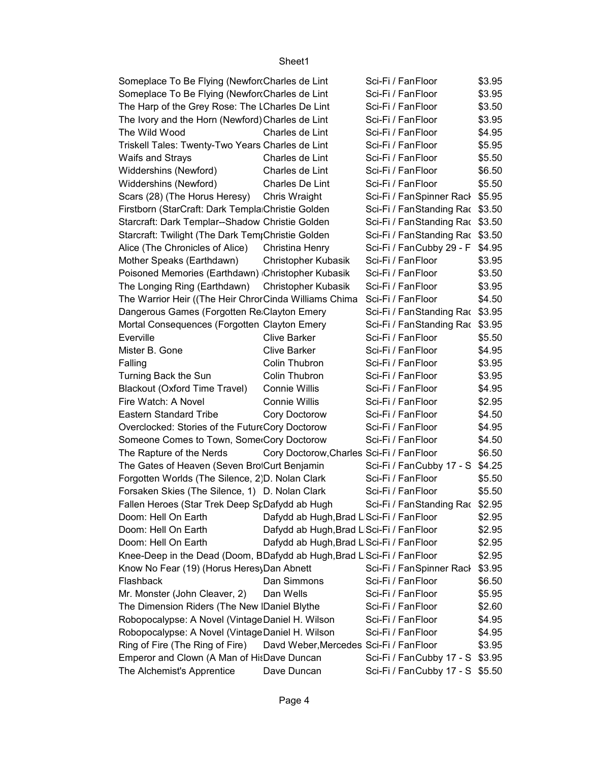| Someplace To Be Flying (Newfort Charles de Lint                        |                                           | Sci-Fi / FanFloor                      | \$3.95           |
|------------------------------------------------------------------------|-------------------------------------------|----------------------------------------|------------------|
| Someplace To Be Flying (Newfor Charles de Lint                         |                                           | Sci-Fi / FanFloor                      | \$3.95           |
| The Harp of the Grey Rose: The I Charles De Lint                       |                                           | Sci-Fi / FanFloor                      | \$3.50           |
| The Ivory and the Horn (Newford) Charles de Lint                       |                                           | Sci-Fi / FanFloor                      | \$3.95           |
| The Wild Wood                                                          | Charles de Lint                           | Sci-Fi / FanFloor                      | \$4.95           |
| Triskell Tales: Twenty-Two Years Charles de Lint                       |                                           | Sci-Fi / FanFloor                      | \$5.95           |
| Waifs and Strays                                                       | Charles de Lint                           | Sci-Fi / FanFloor                      | \$5.50           |
| Widdershins (Newford)                                                  | Charles de Lint                           | Sci-Fi / FanFloor                      | \$6.50           |
| Widdershins (Newford)                                                  | Charles De Lint                           | Sci-Fi / FanFloor                      | \$5.50           |
| Scars (28) (The Horus Heresy)                                          | Chris Wraight                             | Sci-Fi / FanSpinner Rack \$5.95        |                  |
| Firstborn (StarCraft: Dark Templa Christie Golden                      |                                           | Sci-Fi / FanStanding Rac \$3.50        |                  |
| Starcraft: Dark Templar--Shadow Christie Golden                        |                                           | Sci-Fi / FanStanding Rac \$3.50        |                  |
| Starcraft: Twilight (The Dark Tem Christie Golden                      |                                           | Sci-Fi / FanStanding Rac \$3.50        |                  |
| Alice (The Chronicles of Alice)                                        | Christina Henry                           | Sci-Fi / FanCubby 29 - F               | \$4.95           |
|                                                                        |                                           | Sci-Fi / FanFloor                      |                  |
| Mother Speaks (Earthdawn)                                              | Christopher Kubasik                       | Sci-Fi / FanFloor                      | \$3.95<br>\$3.50 |
| Poisoned Memories (Earthdawn) Christopher Kubasik                      |                                           |                                        |                  |
| The Longing Ring (Earthdawn)                                           | <b>Christopher Kubasik</b>                | Sci-Fi / FanFloor<br>Sci-Fi / FanFloor | \$3.95           |
| The Warrior Heir ((The Heir ChrorCinda Williams Chima                  |                                           |                                        | \$4.50           |
| Dangerous Games (Forgotten Re Clayton Emery                            |                                           | Sci-Fi / FanStanding Rac \$3.95        |                  |
| Mortal Consequences (Forgotten Clayton Emery                           |                                           | Sci-Fi / FanStanding Rac \$3.95        |                  |
| Everville                                                              | <b>Clive Barker</b>                       | Sci-Fi / FanFloor                      | \$5.50           |
| Mister B. Gone                                                         | <b>Clive Barker</b>                       | Sci-Fi / FanFloor                      | \$4.95           |
| Falling                                                                | Colin Thubron                             | Sci-Fi / FanFloor                      | \$3.95           |
| Turning Back the Sun                                                   | Colin Thubron                             | Sci-Fi / FanFloor                      | \$3.95           |
| <b>Blackout (Oxford Time Travel)</b>                                   | Connie Willis                             | Sci-Fi / FanFloor                      | \$4.95           |
| Fire Watch: A Novel                                                    | Connie Willis                             | Sci-Fi / FanFloor                      | \$2.95           |
| <b>Eastern Standard Tribe</b>                                          | Cory Doctorow                             | Sci-Fi / FanFloor                      | \$4.50           |
| Overclocked: Stories of the FutureCory Doctorow                        |                                           | Sci-Fi / FanFloor                      | \$4.95           |
| Someone Comes to Town, Some Cory Doctorow                              |                                           | Sci-Fi / FanFloor                      | \$4.50           |
| The Rapture of the Nerds                                               | Cory Doctorow, Charles Sci-Fi / Fan Floor |                                        | \$6.50           |
| The Gates of Heaven (Seven Bro Curt Benjamin                           |                                           | Sci-Fi / FanCubby 17 - S \$4.25        |                  |
| Forgotten Worlds (The Silence, 2)D. Nolan Clark                        |                                           | Sci-Fi / FanFloor                      | \$5.50           |
| Forsaken Skies (The Silence, 1) D. Nolan Clark                         |                                           | Sci-Fi / FanFloor                      | \$5.50           |
| Fallen Heroes (Star Trek Deep SrDafydd ab Hugh                         |                                           | Sci-Fi / FanStanding Rac \$2.95        |                  |
| Doom: Hell On Earth                                                    | Dafydd ab Hugh, Brad L Sci-Fi / Fan Floor |                                        | \$2.95           |
| Doom: Hell On Earth                                                    | Dafydd ab Hugh, Brad L Sci-Fi / FanFloor  |                                        | \$2.95           |
| Doom: Hell On Earth                                                    | Dafydd ab Hugh, Brad L Sci-Fi / FanFloor  |                                        | \$2.95           |
| Knee-Deep in the Dead (Doom, BDafydd ab Hugh, Brad LiSci-Fi / FanFloor |                                           |                                        | \$2.95           |
| Know No Fear (19) (Horus Heres) Dan Abnett                             |                                           | Sci-Fi / FanSpinner Rack               | \$3.95           |
| Flashback                                                              | Dan Simmons                               | Sci-Fi / FanFloor                      | \$6.50           |
| Mr. Monster (John Cleaver, 2)                                          | Dan Wells                                 | Sci-Fi / FanFloor                      | \$5.95           |
| The Dimension Riders (The New  Daniel Blythe                           |                                           | Sci-Fi / FanFloor                      | \$2.60           |
| Robopocalypse: A Novel (VintageDaniel H. Wilson                        |                                           | Sci-Fi / FanFloor                      | \$4.95           |
| Robopocalypse: A Novel (VintageDaniel H. Wilson                        |                                           | Sci-Fi / FanFloor                      | \$4.95           |
| Ring of Fire (The Ring of Fire)                                        | Davd Weber, Mercedes Sci-Fi / FanFloor    |                                        | \$3.95           |
| Emperor and Clown (A Man of HisDave Duncan                             |                                           | Sci-Fi / FanCubby 17 - S \$3.95        |                  |
| The Alchemist's Apprentice                                             | Dave Duncan                               | Sci-Fi / FanCubby 17 - S \$5.50        |                  |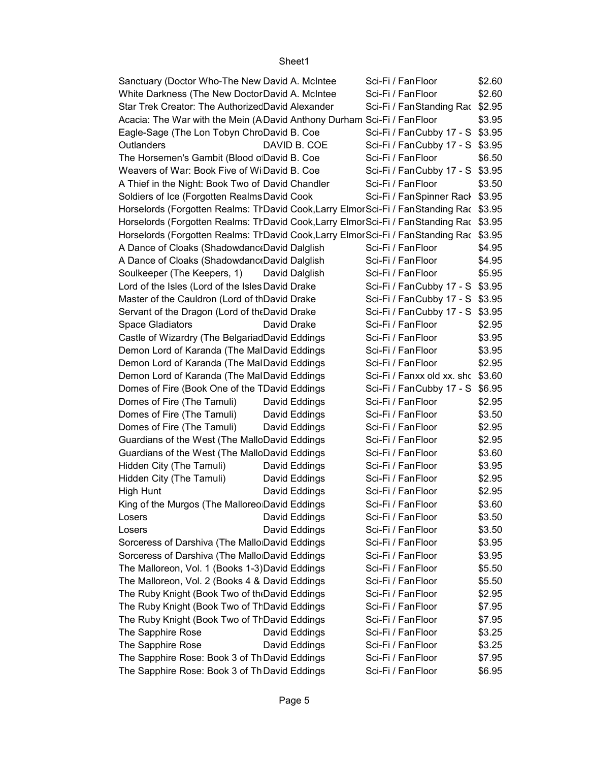| Sanctuary (Doctor Who-The New David A. McIntee                                        | Sci-Fi / FanFloor                 | \$2.60 |
|---------------------------------------------------------------------------------------|-----------------------------------|--------|
| White Darkness (The New Doctor David A. McIntee                                       | Sci-Fi / FanFloor                 | \$2.60 |
| Star Trek Creator: The AuthorizedDavid Alexander                                      | Sci-Fi / FanStanding Rac \$2.95   |        |
| Acacia: The War with the Mein (A David Anthony Durham Sci-Fi / FanFloor               |                                   | \$3.95 |
| Eagle-Sage (The Lon Tobyn ChroDavid B. Coe                                            | Sci-Fi / FanCubby 17 - S \$3.95   |        |
| Outlanders<br>DAVID B. COE                                                            | Sci-Fi / FanCubby 17 - S \$3.95   |        |
| The Horsemen's Gambit (Blood o David B. Coe                                           | Sci-Fi / FanFloor                 | \$6.50 |
| Weavers of War: Book Five of Wi David B. Coe                                          | Sci-Fi / FanCubby 17 - S \$3.95   |        |
| A Thief in the Night: Book Two of David Chandler                                      | Sci-Fi / FanFloor                 | \$3.50 |
| Soldiers of Ice (Forgotten Realms David Cook                                          | Sci-Fi / FanSpinner Rack \$3.95   |        |
| Horselords (Forgotten Realms: TrDavid Cook,Larry ElmorSci-Fi / FanStanding Rac \$3.95 |                                   |        |
| Horselords (Forgotten Realms: TrDavid Cook,Larry ElmorSci-Fi / FanStanding Rac \$3.95 |                                   |        |
| Horselords (Forgotten Realms: TrDavid Cook,Larry ElmorSci-Fi / FanStanding Rac \$3.95 |                                   |        |
| A Dance of Cloaks (Shadowdanc David Dalglish                                          | Sci-Fi / FanFloor                 | \$4.95 |
| A Dance of Cloaks (Shadowdanc David Dalglish                                          | Sci-Fi / FanFloor                 | \$4.95 |
| Soulkeeper (The Keepers, 1)<br>David Dalglish                                         | Sci-Fi / FanFloor                 | \$5.95 |
| Lord of the Isles (Lord of the Isles David Drake                                      | Sci-Fi / FanCubby 17 - S \$3.95   |        |
| Master of the Cauldron (Lord of thDavid Drake                                         | Sci-Fi / FanCubby 17 - S \$3.95   |        |
| Servant of the Dragon (Lord of the David Drake                                        | Sci-Fi / FanCubby 17 - S \$3.95   |        |
| David Drake<br><b>Space Gladiators</b>                                                | Sci-Fi / FanFloor                 | \$2.95 |
| Castle of Wizardry (The BelgariadDavid Eddings                                        | Sci-Fi / FanFloor                 | \$3.95 |
| Demon Lord of Karanda (The MalDavid Eddings                                           | Sci-Fi / FanFloor                 | \$3.95 |
| Demon Lord of Karanda (The MalDavid Eddings                                           | Sci-Fi / FanFloor                 | \$2.95 |
| Demon Lord of Karanda (The MalDavid Eddings                                           | Sci-Fi / Fanxx old xx. shc \$3.60 |        |
| Domes of Fire (Book One of the TDavid Eddings                                         | Sci-Fi / FanCubby 17 - S \$6.95   |        |
| Domes of Fire (The Tamuli)<br>David Eddings                                           | Sci-Fi / FanFloor                 | \$2.95 |
| Domes of Fire (The Tamuli)<br>David Eddings                                           | Sci-Fi / FanFloor                 | \$3.50 |
| Domes of Fire (The Tamuli)<br>David Eddings                                           | Sci-Fi / FanFloor                 | \$2.95 |
| Guardians of the West (The MalloDavid Eddings                                         | Sci-Fi / FanFloor                 | \$2.95 |
| Guardians of the West (The MalloDavid Eddings                                         | Sci-Fi / FanFloor                 | \$3.60 |
| Hidden City (The Tamuli)<br>David Eddings                                             | Sci-Fi / FanFloor                 | \$3.95 |
| David Eddings<br>Hidden City (The Tamuli)                                             | Sci-Fi / FanFloor                 | \$2.95 |
| High Hunt<br>David Eddings                                                            | Sci-Fi / FanFloor                 | \$2.95 |
| King of the Murgos (The Malloreo David Eddings                                        | Sci-Fi / FanFloor                 | \$3.60 |
| David Eddings<br>Losers                                                               | Sci-Fi / FanFloor                 | \$3.50 |
| David Eddings<br>Losers                                                               | Sci-Fi / FanFloor                 | \$3.50 |
| Sorceress of Darshiva (The Mallo David Eddings                                        | Sci-Fi / FanFloor                 | \$3.95 |
| Sorceress of Darshiva (The Mallo David Eddings                                        | Sci-Fi / FanFloor                 | \$3.95 |
| The Malloreon, Vol. 1 (Books 1-3) David Eddings                                       | Sci-Fi / FanFloor                 | \$5.50 |
| The Malloreon, Vol. 2 (Books 4 & David Eddings                                        | Sci-Fi / FanFloor                 | \$5.50 |
| The Ruby Knight (Book Two of th David Eddings                                         | Sci-Fi / FanFloor                 | \$2.95 |
| The Ruby Knight (Book Two of TrDavid Eddings                                          | Sci-Fi / FanFloor                 | \$7.95 |
| The Ruby Knight (Book Two of TrDavid Eddings                                          | Sci-Fi / FanFloor                 | \$7.95 |
| The Sapphire Rose<br>David Eddings                                                    | Sci-Fi / FanFloor                 | \$3.25 |
| The Sapphire Rose<br>David Eddings                                                    | Sci-Fi / FanFloor                 | \$3.25 |
| The Sapphire Rose: Book 3 of Th David Eddings                                         | Sci-Fi / FanFloor                 | \$7.95 |
| The Sapphire Rose: Book 3 of Th David Eddings                                         | Sci-Fi / FanFloor                 | \$6.95 |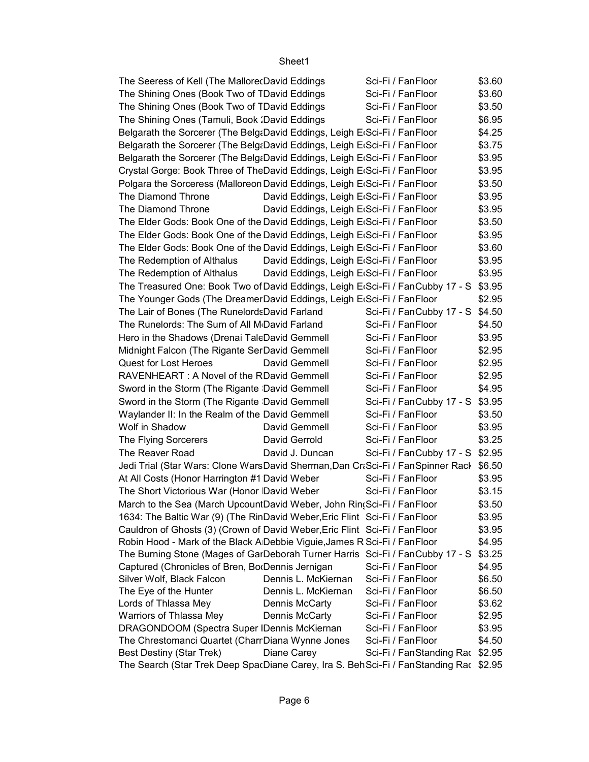| The Seeress of Kell (The MallorecDavid Eddings                                          |                                          | Sci-Fi / FanFloor               | \$3.60 |
|-----------------------------------------------------------------------------------------|------------------------------------------|---------------------------------|--------|
| The Shining Ones (Book Two of TDavid Eddings                                            |                                          | Sci-Fi / FanFloor               | \$3.60 |
| The Shining Ones (Book Two of TDavid Eddings                                            |                                          | Sci-Fi / FanFloor               | \$3.50 |
| The Shining Ones (Tamuli, Book : David Eddings                                          |                                          | Sci-Fi / FanFloor               | \$6.95 |
| Belgarath the Sorcerer (The Belg:David Eddings, Leigh E Sci-Fi / FanFloor               |                                          |                                 | \$4.25 |
| Belgarath the Sorcerer (The Belg:David Eddings, Leigh ErSci-Fi / FanFloor               |                                          |                                 | \$3.75 |
| Belgarath the Sorcerer (The Belg&David Eddings, Leigh E Sci-Fi / FanFloor               |                                          |                                 | \$3.95 |
| Crystal Gorge: Book Three of TheDavid Eddings, Leigh ErSci-Fi / FanFloor                |                                          |                                 | \$3.95 |
| Polgara the Sorceress (Malloreon David Eddings, Leigh ErSci-Fi / Fan Floor              |                                          |                                 | \$3.50 |
| The Diamond Throne                                                                      | David Eddings, Leigh E.Sci-Fi / FanFloor |                                 | \$3.95 |
| The Diamond Throne                                                                      | David Eddings, Leigh E.Sci-Fi / FanFloor |                                 | \$3.95 |
| The Elder Gods: Book One of the David Eddings, Leigh ErSci-Fi / Fan Floor               |                                          |                                 | \$3.50 |
| The Elder Gods: Book One of the David Eddings, Leigh ErSci-Fi / FanFloor                |                                          |                                 | \$3.95 |
| The Elder Gods: Book One of the David Eddings, Leigh ErSci-Fi / FanFloor                |                                          |                                 | \$3.60 |
| The Redemption of Althalus                                                              | David Eddings, Leigh E.Sci-Fi / FanFloor |                                 | \$3.95 |
| The Redemption of Althalus                                                              | David Eddings, Leigh E.Sci-Fi / FanFloor |                                 | \$3.95 |
| The Treasured One: Book Two of David Eddings, Leigh E(Sci-Fi / FanCubby 17 - S \$3.95   |                                          |                                 |        |
| The Younger Gods (The DreamerDavid Eddings, Leigh ErSci-Fi / FanFloor                   |                                          |                                 | \$2.95 |
| The Lair of Bones (The RunelordsDavid Farland                                           |                                          | Sci-Fi / FanCubby 17 - S \$4.50 |        |
| The Runelords: The Sum of All M <sub>D</sub> avid Farland                               |                                          | Sci-Fi / FanFloor               | \$4.50 |
| Hero in the Shadows (Drenai TaleDavid Gemmell                                           |                                          | Sci-Fi / FanFloor               | \$3.95 |
| Midnight Falcon (The Rigante SerDavid Gemmell                                           |                                          | Sci-Fi / FanFloor               | \$2.95 |
| <b>Quest for Lost Heroes</b>                                                            | David Gemmell                            | Sci-Fi / FanFloor               | \$2.95 |
| RAVENHEART: A Novel of the RDavid Gemmell                                               |                                          | Sci-Fi / FanFloor               | \$2.95 |
| Sword in the Storm (The Rigante David Gemmell                                           |                                          | Sci-Fi / FanFloor               | \$4.95 |
| Sword in the Storm (The Rigante David Gemmell                                           |                                          | Sci-Fi / FanCubby 17 - S \$3.95 |        |
| Waylander II: In the Realm of the David Gemmell                                         |                                          | Sci-Fi / FanFloor               | \$3.50 |
| Wolf in Shadow                                                                          | David Gemmell                            | Sci-Fi / FanFloor               | \$3.95 |
| The Flying Sorcerers                                                                    | David Gerrold                            | Sci-Fi / FanFloor               | \$3.25 |
| The Reaver Road                                                                         | David J. Duncan                          | Sci-Fi / FanCubby 17 - S \$2.95 |        |
| Jedi Trial (Star Wars: Clone WarsDavid Sherman,Dan CraSci-Fi / FanSpinner Racl \$6.50   |                                          |                                 |        |
| At All Costs (Honor Harrington #1 David Weber                                           |                                          | Sci-Fi / FanFloor               | \$3.95 |
| The Short Victorious War (Honor David Weber                                             |                                          | Sci-Fi / FanFloor               | \$3.15 |
| March to the Sea (March UpcountDavid Weber, John Rin(Sci-Fi / FanFloor                  |                                          |                                 | \$3.50 |
| 1634: The Baltic War (9) (The RinDavid Weber, Eric Flint Sci-Fi / FanFloor              |                                          |                                 | \$3.95 |
| Cauldron of Ghosts (3) (Crown of David Weber, Eric Flint Sci-Fi / FanFloor              |                                          |                                 | \$3.95 |
| Robin Hood - Mark of the Black A Debbie Viguie, James R Sci-Fi / FanFloor               |                                          |                                 | \$4.95 |
| The Burning Stone (Mages of GarDeborah Turner Harris Sci-Fi / FanCubby 17 - S           |                                          |                                 | \$3.25 |
| Captured (Chronicles of Bren, Bo Dennis Jernigan                                        |                                          | Sci-Fi / FanFloor               | \$4.95 |
| Silver Wolf, Black Falcon                                                               | Dennis L. McKiernan                      | Sci-Fi / FanFloor               | \$6.50 |
| The Eye of the Hunter                                                                   | Dennis L. McKiernan                      | Sci-Fi / FanFloor               | \$6.50 |
| Lords of Thlassa Mey                                                                    | Dennis McCarty                           | Sci-Fi / FanFloor               | \$3.62 |
| Warriors of Thlassa Mey                                                                 | Dennis McCarty                           | Sci-Fi / FanFloor               | \$2.95 |
| DRAGONDOOM (Spectra Super IDennis McKiernan                                             |                                          | Sci-Fi / FanFloor               | \$3.95 |
| The Chrestomanci Quartet (CharrDiana Wynne Jones                                        |                                          | Sci-Fi / FanFloor               | \$4.50 |
| Best Destiny (Star Trek)                                                                | Diane Carey                              | Sci-Fi / FanStanding Rac \$2.95 |        |
| The Search (Star Trek Deep SpacDiane Carey, Ira S. Beh Sci-Fi / Fan Standing Rac \$2.95 |                                          |                                 |        |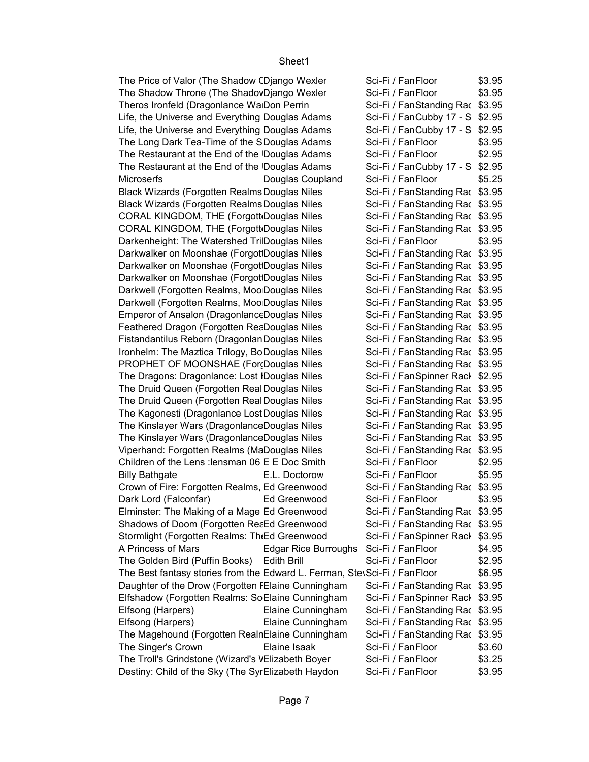The Price of Valor (The Shadow (Diango Wexler Sci-Fi / Fan Floor \$3.95 The Shadow Throne (The Shadov Django Wexler Sci-Fi / Fan Floor \$3.95 Theros Ironfeld (Dragonlance WarDon Perrin Sci-Fi / FanStanding Rac \$3.95 Life, the Universe and Everything Douglas Adams Sci-Fi / FanCubby 17 - S \$2.95 Life, the Universe and Everything Douglas Adams Sci-Fi / FanCubby 17 - S \$2.95 The Long Dark Tea-Time of the SDouglas Adams Sci-Fi / Fan Floor \$3.95 The Restaurant at the End of the Douglas Adams Sci-Fi / Fan Floor \$2.95 The Restaurant at the End of the Douglas Adams Sci-Fi / FanCubby 17 - S \$2.95 Microserfs **Douglas Coupland** Sci-Fi / Fan Floor \$5.25 Sci-Fi / FanStanding Rac \$3.95 Black Wizards (Forgotten Realms Douglas Niles Sci-Fi / Fan Standing Rac \$3.95 CORAL KINGDOM, THE (Forgott Douglas Niles Sci-Fi / FanStanding Rac \$3.95 CORAL KINGDOM, THE (Forgott Douglas Niles Sci-Fi / FanStanding Rac \$3.95 Darkenheight: The Watershed TriDouglas Niles Sci-Fi / FanFloor \$3.95 Darkwalker on Moonshae (Forgot Douglas Niles Sci-Fi / Fan Standing Rac \$3.95 Darkwalker on Moonshae (Forgot Douglas Niles Sci-Fi / Fan Standing Rac \$3.95 Darkwalker on Moonshae (Forgot Douglas Niles Sci-Fi / Fan Standing Rac \$3.95 Darkwell (Forgotten Realms, Moo Douglas Niles Sci-Fi / Fan Standing Rac \$3.95 Darkwell (Forgotten Realms, Moo Douglas Niles Sci-Fi / Fan Standing Rac \$3.95 Emperor of Ansalon (Dragonlance Douglas Niles Sci-Fi / Fan Standing Rac \$3.95 Feathered Dragon (Forgotten ReaDouglas Niles Sci-Fi / Fan Standing Rac \$3.95 Fistandantilus Reborn (Dragonlan Douglas Niles Sci-Fi / Fan Standing Rac \$3.95 Ironhelm: The Maztica Trilogy, BoDouglas Niles Sci-Fi / FanStanding Rac \$3.95 PROPHET OF MOONSHAE (For Douglas Niles Sci-Fi / Fan Standing Rac \$3.95) The Dragons: Dragonlance: Lost IDouglas Niles Sci-Fi / Fan Spinner Rack \$2.95 The Druid Queen (Forgotten RealDouglas Niles Sci-Fi / FanStanding Rac \$3.95 The Druid Queen (Forgotten RealDouglas Niles Sci-Fi / FanStanding Rac \$3.95 The Kagonesti (Dragonlance Lost Douglas Niles Sci-Fi / Fan Standing Rac \$3.95 The Kinslayer Wars (Dragonlance Douglas Niles Sci-Fi / Fan Standing Rac \$3.95 The Kinslayer Wars (Dragonlance Douglas Niles Sci-Fi / Fan Standing Rac \$3.95 Viperhand: Forgotten Realms (MaDouglas Niles Sci-Fi / FanStanding Rac \$3.95 Children of the Lens : lensman 06 E E Doc Smith Sci-Fi / FanFloor \$2.95 Billy Bathgate **E.L. Doctorow** Sci-Fi / Fan Floor \$5.95 Crown of Fire: Forgotten Realms, Ed Greenwood Sci-Fi / FanStanding Rac \$3.95 Dark Lord (Falconfar) Ed Greenwood Sci-Fi / Fan Floor \$3.95 Elminster: The Making of a Mage Ed Greenwood Sci-Fi / FanStanding Rac \$3.95 Shadows of Doom (Forgotten Realmed Greenwood Sci-Fi / Fan Standing Rac \$3.95 Stormlight (Forgotten Realms: The Harpers) Greenwood Sci-Fi / Fan Spinner Rack \$3.95 A Princess of Mars **Edgar Rice Burroughs** Sci-Fi / Fan Floor \$4.95 The Golden Bird (Puffin Books) Edith Brill Sci-Fi / Fan Floor \$2.95 The Best fantasy stories from the Edward L. Ferman, Stev Sci-Fi / Fan Floor  $$6.95$ Daughter of the Drow (Forgotten IElaine Cunningham Sci-Fi / FanStanding Rac \$3.95 Elfshadow (Forgotten Realms: SoElaine Cunningham Sci-Fi / FanSpinner Racl \$3.95 Elfsong (Harpers) Elaine Cunningham Sci-Fi / Fan Standing Rac \$3.95 Elfsong (Harpers) Elaine Cunningham Sci-Fi / FanStanding Rac \$3.95 The Magehound (Forgotten RealnElaine Cunningham Sci-Fi / FanStanding Rac \$3.95 The Singer's Crown **Elaine Isaak** Sci-Fi / Fan Floor \$3.60 The Troll's Grindstone (Wizard's VElizabeth Boyer Sci-Fi / FanFloor \$3.25 Destiny: Child of the Sky (The SyrElizabeth Haydon Sci-Fi / FanFloor \$3.95 Black Wizards (Forgotten Realms Douglas Niles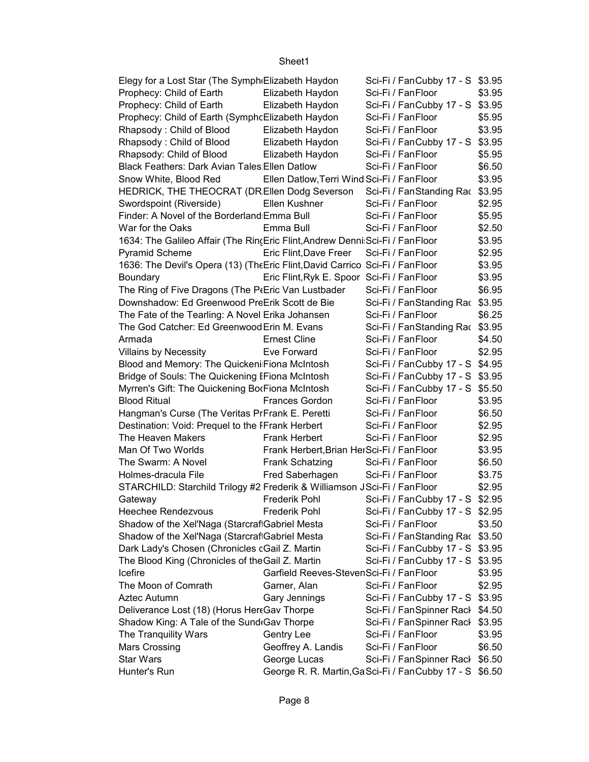| Elegy for a Lost Star (The Symph Elizabeth Haydon                              |                                                        | Sci-Fi / FanCubby 17 - S \$3.95 |        |  |
|--------------------------------------------------------------------------------|--------------------------------------------------------|---------------------------------|--------|--|
| Prophecy: Child of Earth                                                       | Elizabeth Haydon                                       | Sci-Fi / FanFloor               | \$3.95 |  |
| Prophecy: Child of Earth                                                       | Elizabeth Haydon                                       | Sci-Fi / FanCubby 17 - S \$3.95 |        |  |
| Prophecy: Child of Earth (SymphcElizabeth Haydon                               |                                                        | Sci-Fi / FanFloor               | \$5.95 |  |
| Rhapsody: Child of Blood                                                       | Elizabeth Haydon                                       | Sci-Fi / FanFloor               | \$3.95 |  |
| Rhapsody: Child of Blood                                                       | Elizabeth Haydon                                       | Sci-Fi / FanCubby 17 - S \$3.95 |        |  |
| Rhapsody: Child of Blood                                                       | Elizabeth Haydon                                       | Sci-Fi / FanFloor               | \$5.95 |  |
| <b>Black Feathers: Dark Avian Tales Ellen Datlow</b>                           |                                                        | Sci-Fi / FanFloor               | \$6.50 |  |
| Snow White, Blood Red                                                          | Ellen Datlow, Terri Wind Sci-Fi / Fan Floor            |                                 | \$3.95 |  |
| HEDRICK, THE THEOCRAT (DREllen Dodg Severson Sci-Fi / FanStanding Rac \$3.95   |                                                        |                                 |        |  |
| Swordspoint (Riverside)                                                        | Ellen Kushner                                          | Sci-Fi / FanFloor               | \$2.95 |  |
| Finder: A Novel of the Borderland Emma Bull                                    |                                                        | Sci-Fi / FanFloor               | \$5.95 |  |
| War for the Oaks                                                               | Emma Bull                                              | Sci-Fi / FanFloor               | \$2.50 |  |
| 1634: The Galileo Affair (The Rin(Eric Flint, Andrew Denni: Sci-Fi / Fan Floor |                                                        |                                 | \$3.95 |  |
| Pyramid Scheme                                                                 | Eric Flint, Dave Freer                                 | Sci-Fi / FanFloor               | \$2.95 |  |
| 1636: The Devil's Opera (13) (The Eric Flint, David Carrico Sci-Fi / Fan Floor |                                                        |                                 | \$3.95 |  |
| Boundary                                                                       | Eric Flint, Ryk E. Spoor Sci-Fi / Fan Floor            |                                 | \$3.95 |  |
| The Ring of Five Dragons (The P(Eric Van Lustbader                             |                                                        | Sci-Fi / FanFloor               | \$6.95 |  |
| Downshadow: Ed Greenwood PreErik Scott de Bie                                  |                                                        | Sci-Fi / FanStanding Rac \$3.95 |        |  |
| The Fate of the Tearling: A Novel Erika Johansen                               |                                                        | Sci-Fi / FanFloor               | \$6.25 |  |
| The God Catcher: Ed Greenwood Erin M. Evans                                    |                                                        | Sci-Fi / FanStanding Rac \$3.95 |        |  |
| Armada                                                                         | <b>Ernest Cline</b>                                    | Sci-Fi / FanFloor               | \$4.50 |  |
| <b>Villains by Necessity</b>                                                   | Eve Forward                                            | Sci-Fi / FanFloor               | \$2.95 |  |
| Blood and Memory: The Quickeni Fiona McIntosh                                  |                                                        | Sci-Fi / FanCubby 17 - S \$4.95 |        |  |
| Bridge of Souls: The Quickening IFiona McIntosh                                |                                                        | Sci-Fi / FanCubby 17 - S \$3.95 |        |  |
| Myrren's Gift: The Quickening BorFiona McIntosh                                |                                                        | Sci-Fi / FanCubby 17 - S \$5.50 |        |  |
| <b>Blood Ritual</b>                                                            | Frances Gordon                                         | Sci-Fi / FanFloor               | \$3.95 |  |
| Hangman's Curse (The Veritas PrFrank E. Peretti                                |                                                        | Sci-Fi / FanFloor               | \$6.50 |  |
| Destination: Void: Prequel to the IFrank Herbert                               |                                                        | Sci-Fi / FanFloor               | \$2.95 |  |
| The Heaven Makers                                                              | <b>Frank Herbert</b>                                   | Sci-Fi / FanFloor               | \$2.95 |  |
| Man Of Two Worlds                                                              | Frank Herbert, Brian HerSci-Fi / FanFloor              |                                 | \$3.95 |  |
| The Swarm: A Novel                                                             | Frank Schatzing                                        | Sci-Fi / FanFloor               | \$6.50 |  |
| Holmes-dracula File                                                            | Fred Saberhagen                                        | Sci-Fi / FanFloor               | \$3.75 |  |
| STARCHILD: Starchild Trilogy #2 Frederik & Williamson JSci-Fi / FanFloor       |                                                        |                                 | \$2.95 |  |
| Gateway                                                                        | <b>Frederik Pohl</b>                                   | Sci-Fi / FanCubby 17 - S \$2.95 |        |  |
| <b>Heechee Rendezvous</b>                                                      | <b>Frederik Pohl</b>                                   | Sci-Fi / FanCubby 17 - S \$2.95 |        |  |
| Shadow of the Xel'Naga (StarcrafiGabriel Mesta                                 |                                                        | Sci-Fi / FanFloor               | \$3.50 |  |
| Shadow of the Xel'Naga (StarcraftGabriel Mesta                                 |                                                        | Sci-Fi / FanStanding Rac \$3.50 |        |  |
| Dark Lady's Chosen (Chronicles cGail Z. Martin                                 |                                                        | Sci-Fi / FanCubby 17 - S \$3.95 |        |  |
| The Blood King (Chronicles of the Gail Z. Martin                               |                                                        | Sci-Fi / FanCubby 17 - S \$3.95 |        |  |
| Icefire                                                                        | Garfield Reeves-StevenSci-Fi / FanFloor                |                                 | \$3.95 |  |
| The Moon of Comrath                                                            | Garner, Alan                                           | Sci-Fi / FanFloor               | \$2.95 |  |
| Aztec Autumn                                                                   | Gary Jennings                                          | Sci-Fi / FanCubby 17 - S        | \$3.95 |  |
| Deliverance Lost (18) (Horus HertGav Thorpe                                    |                                                        | Sci-Fi / FanSpinner Rack \$4.50 |        |  |
| Shadow King: A Tale of the Sund Gav Thorpe                                     |                                                        | Sci-Fi / FanSpinner Rack        | \$3.95 |  |
| The Tranquility Wars                                                           | <b>Gentry Lee</b>                                      | Sci-Fi / FanFloor               | \$3.95 |  |
| <b>Mars Crossing</b>                                                           | Geoffrey A. Landis                                     | Sci-Fi / FanFloor               | \$6.50 |  |
| <b>Star Wars</b>                                                               | George Lucas                                           | Sci-Fi / FanSpinner Rack \$6.50 |        |  |
| Hunter's Run                                                                   | George R. R. Martin, GaSci-Fi / FanCubby 17 - S \$6.50 |                                 |        |  |
|                                                                                |                                                        |                                 |        |  |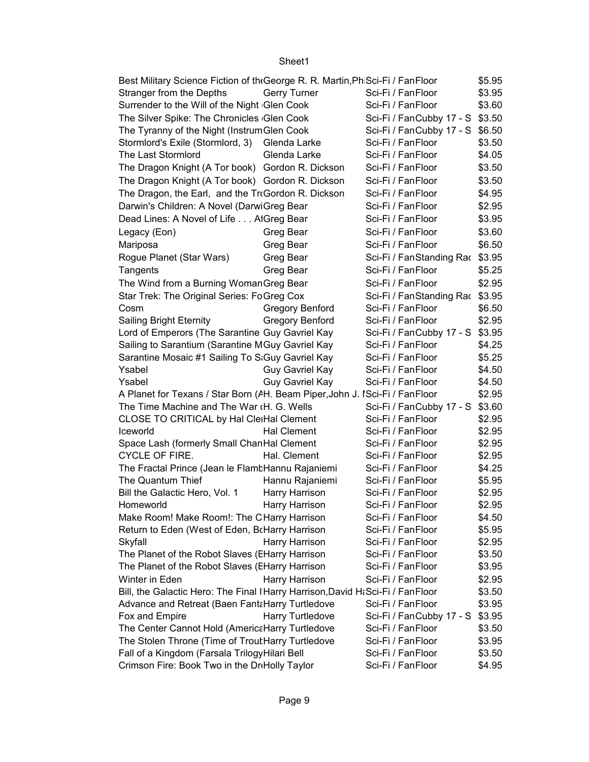| Best Military Science Fiction of the George R. R. Martin, PhiSci-Fi / Fan Floor<br>\$5.95 |                        |                                 |        |  |  |
|-------------------------------------------------------------------------------------------|------------------------|---------------------------------|--------|--|--|
| Stranger from the Depths                                                                  | <b>Gerry Turner</b>    | Sci-Fi / FanFloor               | \$3.95 |  |  |
| Surrender to the Will of the Night Glen Cook                                              |                        | Sci-Fi / FanFloor               | \$3.60 |  |  |
| The Silver Spike: The Chronicles Glen Cook                                                |                        | Sci-Fi / FanCubby 17 - S \$3.50 |        |  |  |
| The Tyranny of the Night (InstrumGlen Cook                                                |                        | Sci-Fi / FanCubby 17 - S \$6.50 |        |  |  |
| Stormlord's Exile (Stormlord, 3)                                                          | Glenda Larke           | Sci-Fi / FanFloor               | \$3.50 |  |  |
| The Last Stormlord                                                                        | Glenda Larke           | Sci-Fi / FanFloor               | \$4.05 |  |  |
| The Dragon Knight (A Tor book) Gordon R. Dickson                                          |                        | Sci-Fi / FanFloor               | \$3.50 |  |  |
| The Dragon Knight (A Tor book) Gordon R. Dickson                                          |                        | Sci-Fi / FanFloor               | \$3.50 |  |  |
| The Dragon, the Earl, and the TroGordon R. Dickson                                        |                        | Sci-Fi / FanFloor               | \$4.95 |  |  |
| Darwin's Children: A Novel (DarwiGreg Bear                                                |                        | Sci-Fi / FanFloor               | \$2.95 |  |  |
| Dead Lines: A Novel of Life AlGreg Bear                                                   |                        | Sci-Fi / FanFloor               | \$3.95 |  |  |
| Legacy (Eon)                                                                              | Greg Bear              | Sci-Fi / FanFloor               | \$3.60 |  |  |
| Mariposa                                                                                  | Greg Bear              | Sci-Fi / FanFloor               | \$6.50 |  |  |
| Rogue Planet (Star Wars)                                                                  | Greg Bear              | Sci-Fi / FanStanding Rac \$3.95 |        |  |  |
| Tangents                                                                                  | Greg Bear              | Sci-Fi / FanFloor               | \$5.25 |  |  |
| The Wind from a Burning Woman Greg Bear                                                   |                        | Sci-Fi / FanFloor               | \$2.95 |  |  |
| Star Trek: The Original Series: FoGreg Cox                                                |                        | Sci-Fi / FanStanding Rac        | \$3.95 |  |  |
| Cosm                                                                                      | <b>Gregory Benford</b> | Sci-Fi / FanFloor               | \$6.50 |  |  |
| Sailing Bright Eternity                                                                   | <b>Gregory Benford</b> | Sci-Fi / FanFloor               | \$2.95 |  |  |
| Lord of Emperors (The Sarantine Guy Gavriel Kay                                           |                        | Sci-Fi / FanCubby 17 - S \$3.95 |        |  |  |
| Sailing to Sarantium (Sarantine MGuy Gavriel Kay                                          |                        | Sci-Fi / FanFloor               | \$4.25 |  |  |
| Sarantine Mosaic #1 Sailing To S:Guy Gavriel Kay                                          |                        | Sci-Fi / FanFloor               | \$5.25 |  |  |
| Ysabel                                                                                    | Guy Gavriel Kay        | Sci-Fi / FanFloor               | \$4.50 |  |  |
| Ysabel                                                                                    | Guy Gavriel Kay        | Sci-Fi / FanFloor               | \$4.50 |  |  |
| A Planet for Texans / Star Born (AH. Beam Piper, John J. ISci-Fi / FanFloor               |                        |                                 | \$2.95 |  |  |
| The Time Machine and The War (H. G. Wells                                                 |                        | Sci-Fi / FanCubby 17 - S        | \$3.60 |  |  |
| CLOSE TO CRITICAL by Hal CleiHal Clement                                                  |                        | Sci-Fi / FanFloor               | \$2.95 |  |  |
| Iceworld                                                                                  | <b>Hal Clement</b>     | Sci-Fi / FanFloor               | \$2.95 |  |  |
| Space Lash (formerly Small ChanHal Clement                                                |                        | Sci-Fi / FanFloor               | \$2.95 |  |  |
| CYCLE OF FIRE.                                                                            | Hal. Clement           | Sci-Fi / FanFloor               | \$2.95 |  |  |
| The Fractal Prince (Jean le Flamt Hannu Rajaniemi                                         |                        | Sci-Fi / FanFloor               | \$4.25 |  |  |
| The Quantum Thief                                                                         | Hannu Rajaniemi        | Sci-Fi / FanFloor               | \$5.95 |  |  |
| Bill the Galactic Hero, Vol. 1                                                            | Harry Harrison         | Sci-Fi / FanFloor               | \$2.95 |  |  |
| Homeworld                                                                                 | Harry Harrison         | Sci-Fi / FanFloor               | \$2.95 |  |  |
| Make Room! Make Room!: The CHarry Harrison                                                |                        | Sci-Fi / FanFloor               | \$4.50 |  |  |
| Return to Eden (West of Eden, BrHarry Harrison                                            |                        | Sci-Fi / FanFloor               | \$5.95 |  |  |
| Skyfall                                                                                   | Harry Harrison         | Sci-Fi / FanFloor               | \$2.95 |  |  |
| The Planet of the Robot Slaves (EHarry Harrison                                           |                        | Sci-Fi / FanFloor               | \$3.50 |  |  |
| The Planet of the Robot Slaves (EHarry Harrison                                           |                        | Sci-Fi / FanFloor               | \$3.95 |  |  |
| Winter in Eden                                                                            | Harry Harrison         | Sci-Fi / FanFloor               | \$2.95 |  |  |
| Bill, the Galactic Hero: The Final I Harry Harrison, David H& Sci-Fi / Fan Floor          |                        |                                 | \$3.50 |  |  |
| Advance and Retreat (Baen FantaHarry Turtledove                                           |                        | Sci-Fi / FanFloor               | \$3.95 |  |  |
| Fox and Empire                                                                            | Harry Turtledove       | Sci-Fi / FanCubby 17 - S        | \$3.95 |  |  |
| The Center Cannot Hold (AmericaHarry Turtledove                                           |                        | Sci-Fi / FanFloor               | \$3.50 |  |  |
| The Stolen Throne (Time of Trout Harry Turtledove                                         |                        | Sci-Fi / FanFloor               | \$3.95 |  |  |
| Fall of a Kingdom (Farsala Trilogy Hilari Bell                                            |                        | Sci-Fi / FanFloor               | \$3.50 |  |  |
| Crimson Fire: Book Two in the DriHolly Taylor                                             |                        | Sci-Fi / FanFloor               | \$4.95 |  |  |
|                                                                                           |                        |                                 |        |  |  |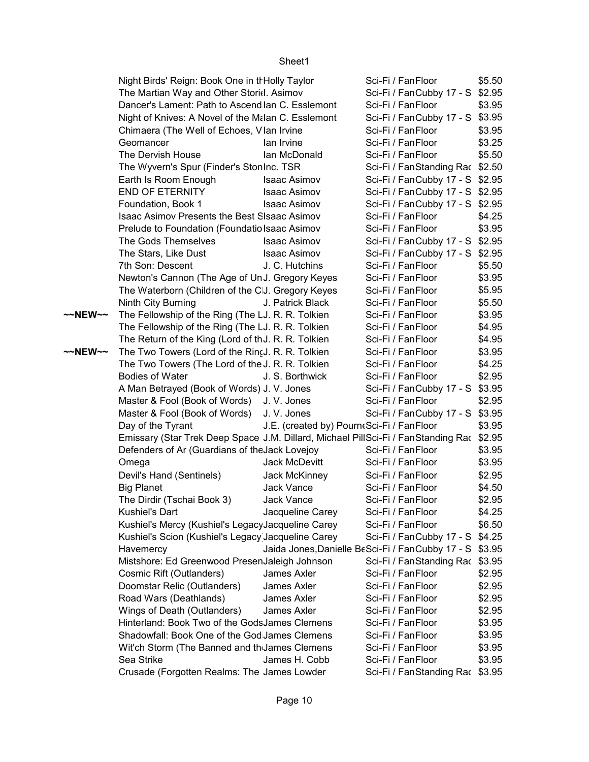|         | Night Birds' Reign: Book One in thHolly Taylor                                           |                                                         | Sci-Fi / FanFloor               | \$5.50 |
|---------|------------------------------------------------------------------------------------------|---------------------------------------------------------|---------------------------------|--------|
|         | The Martian Way and Other Storid. Asimov                                                 |                                                         | Sci-Fi / FanCubby 17 - S \$2.95 |        |
|         | Dancer's Lament: Path to Ascend lan C. Esslemont                                         |                                                         | Sci-Fi / FanFloor               | \$3.95 |
|         | Night of Knives: A Novel of the Malan C. Esslemont                                       |                                                         | Sci-Fi / FanCubby 17 - S \$3.95 |        |
|         | Chimaera (The Well of Echoes, Vlan Irvine                                                |                                                         | Sci-Fi / FanFloor               | \$3.95 |
|         | Geomancer                                                                                | lan Irvine                                              | Sci-Fi / FanFloor               | \$3.25 |
|         | The Dervish House                                                                        | lan McDonald                                            | Sci-Fi / FanFloor               | \$5.50 |
|         | The Wyvern's Spur (Finder's StonInc. TSR                                                 |                                                         | Sci-Fi / FanStanding Rac \$2.50 |        |
|         | Earth Is Room Enough                                                                     | <b>Isaac Asimov</b>                                     | Sci-Fi / FanCubby 17 - S \$2.95 |        |
|         | <b>END OF ETERNITY</b>                                                                   | <b>Isaac Asimov</b>                                     | Sci-Fi / FanCubby 17 - S \$2.95 |        |
|         | Foundation, Book 1                                                                       | <b>Isaac Asimov</b>                                     | Sci-Fi / FanCubby 17 - S \$2.95 |        |
|         | Isaac Asimov Presents the Best SIsaac Asimov                                             |                                                         | Sci-Fi / FanFloor               | \$4.25 |
|         | Prelude to Foundation (Foundatio Isaac Asimov                                            |                                                         | Sci-Fi / FanFloor               | \$3.95 |
|         | The Gods Themselves                                                                      | <b>Isaac Asimov</b>                                     | Sci-Fi / FanCubby 17 - S \$2.95 |        |
|         | The Stars, Like Dust                                                                     | Isaac Asimov                                            | Sci-Fi / FanCubby 17 - S \$2.95 |        |
|         | 7th Son: Descent                                                                         | J. C. Hutchins                                          | Sci-Fi / FanFloor               | \$5.50 |
|         | Newton's Cannon (The Age of UnJ. Gregory Keyes                                           |                                                         | Sci-Fi / FanFloor               | \$3.95 |
|         | The Waterborn (Children of the CJ. Gregory Keyes                                         |                                                         | Sci-Fi / FanFloor               | \$5.95 |
|         | Ninth City Burning                                                                       | J. Patrick Black                                        | Sci-Fi / FanFloor               | \$5.50 |
| ~~NEW~~ | The Fellowship of the Ring (The LJ. R. R. Tolkien                                        |                                                         | Sci-Fi / FanFloor               | \$3.95 |
|         | The Fellowship of the Ring (The LJ. R. R. Tolkien                                        |                                                         | Sci-Fi / FanFloor               | \$4.95 |
|         | The Return of the King (Lord of thJ. R. R. Tolkien                                       |                                                         | Sci-Fi / FanFloor               | \$4.95 |
| ~~NEW~~ | The Two Towers (Lord of the Rin(J. R. R. Tolkien                                         |                                                         | Sci-Fi / FanFloor               | \$3.95 |
|         | The Two Towers (The Lord of the J. R. R. Tolkien                                         |                                                         | Sci-Fi / FanFloor               | \$4.25 |
|         | <b>Bodies of Water</b>                                                                   | J. S. Borthwick                                         | Sci-Fi / FanFloor               | \$2.95 |
|         | A Man Betrayed (Book of Words) J. V. Jones                                               |                                                         | Sci-Fi / FanCubby 17 - S \$3.95 |        |
|         | Master & Fool (Book of Words) J. V. Jones                                                |                                                         | Sci-Fi / FanFloor               | \$2.95 |
|         | Master & Fool (Book of Words) J. V. Jones                                                |                                                         | Sci-Fi / FanCubby 17 - S \$3.95 |        |
|         | Day of the Tyrant                                                                        | J.E. (created by) Pourn(Sci-Fi / FanFloor               |                                 | \$3.95 |
|         | Emissary (Star Trek Deep Space J.M. Dillard, Michael PillSci-Fi / FanStanding Rac \$2.95 |                                                         |                                 |        |
|         | Defenders of Ar (Guardians of the Jack Lovejoy                                           |                                                         | Sci-Fi / FanFloor               | \$3.95 |
|         | Omega                                                                                    | Jack McDevitt                                           | Sci-Fi / FanFloor               | \$3.95 |
|         | Devil's Hand (Sentinels)                                                                 | Jack McKinney                                           | Sci-Fi / FanFloor               | \$2.95 |
|         | <b>Big Planet</b>                                                                        | Jack Vance                                              | Sci-Fi / FanFloor               | \$4.50 |
|         | The Dirdir (Tschai Book 3)                                                               | Jack Vance                                              | Sci-Fi / FanFloor               | \$2.95 |
|         | <b>Kushiel's Dart</b>                                                                    | Jacqueline Carey                                        | Sci-Fi / FanFloor               | \$4.25 |
|         | Kushiel's Mercy (Kushiel's LegacyJacqueline Carey                                        |                                                         | Sci-Fi / FanFloor               | \$6.50 |
|         | Kushiel's Scion (Kushiel's Legacy Jacqueline Carey                                       |                                                         | Sci-Fi / FanCubby 17 - S \$4.25 |        |
|         | Havemercy                                                                                | Jaida Jones, Danielle BeSci-Fi / FanCubby 17 - S \$3.95 |                                 |        |
|         | Mistshore: Ed Greenwood PresenJaleigh Johnson                                            |                                                         | Sci-Fi / FanStanding Rac \$3.95 |        |
|         | Cosmic Rift (Outlanders)                                                                 | James Axler                                             | Sci-Fi / FanFloor               | \$2.95 |
|         | Doomstar Relic (Outlanders)                                                              | James Axler                                             | Sci-Fi / FanFloor               | \$2.95 |
|         | Road Wars (Deathlands)                                                                   | James Axler                                             | Sci-Fi / FanFloor               | \$2.95 |
|         | Wings of Death (Outlanders)                                                              | James Axler                                             | Sci-Fi / FanFloor               | \$2.95 |
|         | Hinterland: Book Two of the GodsJames Clemens                                            |                                                         | Sci-Fi / FanFloor               | \$3.95 |
|         | Shadowfall: Book One of the God James Clemens                                            |                                                         | Sci-Fi / FanFloor               | \$3.95 |
|         | Wit'ch Storm (The Banned and th James Clemens                                            |                                                         | Sci-Fi / FanFloor               | \$3.95 |
|         | Sea Strike                                                                               | James H. Cobb                                           | Sci-Fi / FanFloor               | \$3.95 |
|         | Crusade (Forgotten Realms: The James Lowder                                              |                                                         | Sci-Fi / FanStanding Rac \$3.95 |        |
|         |                                                                                          |                                                         |                                 |        |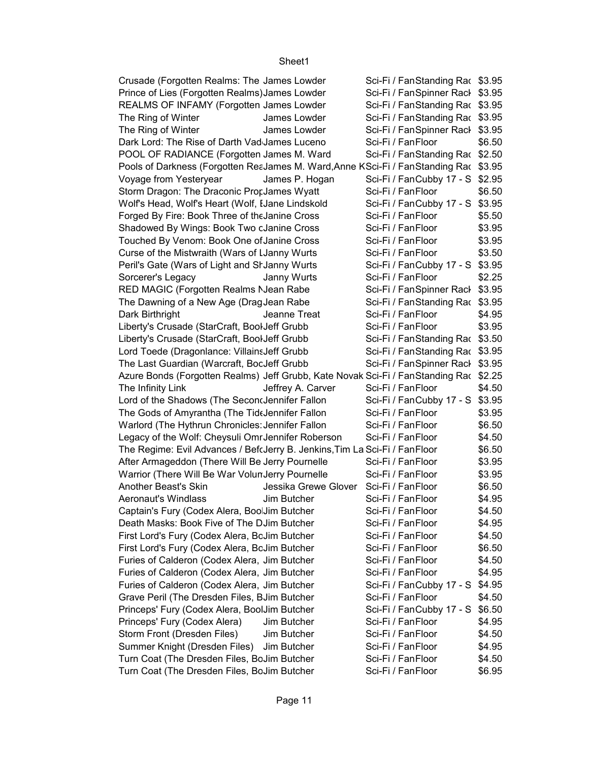| Crusade (Forgotten Realms: The James Lowder                                           | Sci-Fi / FanStanding Rac \$3.95 |        |
|---------------------------------------------------------------------------------------|---------------------------------|--------|
| Prince of Lies (Forgotten Realms) James Lowder                                        | Sci-Fi / FanSpinner Rack \$3.95 |        |
| REALMS OF INFAMY (Forgotten James Lowder                                              | Sci-Fi / FanStanding Rac \$3.95 |        |
| The Ring of Winter<br>James Lowder                                                    | Sci-Fi / FanStanding Rac \$3.95 |        |
| The Ring of Winter<br>James Lowder                                                    | Sci-Fi / FanSpinner Rack \$3.95 |        |
| Dark Lord: The Rise of Darth Vad James Luceno                                         | Sci-Fi / FanFloor               | \$6.50 |
| POOL OF RADIANCE (Forgotten James M. Ward                                             | Sci-Fi / FanStanding Rac \$2.50 |        |
| Pools of Darkness (Forgotten ReaJames M. Ward, Anne KSci-Fi / FanStanding Rac \$3.95  |                                 |        |
| Voyage from Yesteryear<br>James P. Hogan                                              | Sci-Fi / FanCubby 17 - S \$2.95 |        |
| Storm Dragon: The Draconic ProrJames Wyatt                                            | Sci-Fi / FanFloor               | \$6.50 |
| Wolf's Head, Wolf's Heart (Wolf, IJane Lindskold                                      | Sci-Fi / FanCubby 17 - S \$3.95 |        |
| Forged By Fire: Book Three of the Janine Cross                                        | Sci-Fi / FanFloor               | \$5.50 |
|                                                                                       | Sci-Fi / FanFloor               | \$3.95 |
| Shadowed By Wings: Book Two cJanine Cross                                             |                                 |        |
| Touched By Venom: Book One of Janine Cross                                            | Sci-Fi / FanFloor               | \$3.95 |
| Curse of the Mistwraith (Wars of LJanny Wurts                                         | Sci-Fi / FanFloor               | \$3.50 |
| Peril's Gate (Wars of Light and SrJanny Wurts                                         | Sci-Fi / FanCubby 17 - S \$3.95 |        |
| Sorcerer's Legacy<br>Janny Wurts                                                      | Sci-Fi / FanFloor               | \$2.25 |
| RED MAGIC (Forgotten Realms NJean Rabe                                                | Sci-Fi / FanSpinner Rack \$3.95 |        |
| The Dawning of a New Age (DragJean Rabe                                               | Sci-Fi / FanStanding Rac \$3.95 |        |
| Dark Birthright<br>Jeanne Treat                                                       | Sci-Fi / FanFloor               | \$4.95 |
| Liberty's Crusade (StarCraft, BoolJeff Grubb                                          | Sci-Fi / FanFloor               | \$3.95 |
| Liberty's Crusade (StarCraft, BoolJeff Grubb                                          | Sci-Fi / FanStanding Rac \$3.50 |        |
| Lord Toede (Dragonlance: VillainsJeff Grubb                                           | Sci-Fi / FanStanding Rac \$3.95 |        |
| The Last Guardian (Warcraft, BocJeff Grubb                                            | Sci-Fi / FanSpinner Rack \$3.95 |        |
| Azure Bonds (Forgotten Realms) Jeff Grubb, Kate Novak Sci-Fi / FanStanding Rac \$2.25 |                                 |        |
| The Infinity Link<br>Jeffrey A. Carver                                                | Sci-Fi / FanFloor               | \$4.50 |
| Lord of the Shadows (The SeconcJennifer Fallon                                        | Sci-Fi / FanCubby 17 - S \$3.95 |        |
| The Gods of Amyrantha (The TidtJennifer Fallon                                        | Sci-Fi / FanFloor               | \$3.95 |
| Warlord (The Hythrun Chronicles: Jennifer Fallon                                      | Sci-Fi / FanFloor               | \$6.50 |
| Legacy of the Wolf: Cheysuli Omr Jennifer Roberson                                    | Sci-Fi / FanFloor               | \$4.50 |
| The Regime: Evil Advances / BefcJerry B. Jenkins, Tim La Sci-Fi / Fan Floor           |                                 | \$6.50 |
| After Armageddon (There Will Be Jerry Pournelle                                       | Sci-Fi / FanFloor               | \$3.95 |
| Warrior (There Will Be War VolunJerry Pournelle                                       | Sci-Fi / FanFloor               | \$3.95 |
| Another Beast's Skin<br>Jessika Grewe Glover                                          | Sci-Fi / FanFloor               | \$6.50 |
| Aeronaut's Windlass<br>Jim Butcher                                                    | Sci-Fi / FanFloor               | \$4.95 |
| Captain's Fury (Codex Alera, Boo Jim Butcher                                          | Sci-Fi / FanFloor               | \$4.50 |
| Death Masks: Book Five of The DJim Butcher                                            | Sci-Fi / FanFloor               | \$4.95 |
| First Lord's Fury (Codex Alera, BcJim Butcher                                         | Sci-Fi / FanFloor               | \$4.50 |
| First Lord's Fury (Codex Alera, BcJim Butcher                                         | Sci-Fi / FanFloor               | \$6.50 |
| Furies of Calderon (Codex Alera, Jim Butcher                                          | Sci-Fi / FanFloor               | \$4.50 |
| Furies of Calderon (Codex Alera, Jim Butcher                                          | Sci-Fi / FanFloor               | \$4.95 |
| Furies of Calderon (Codex Alera, Jim Butcher                                          | Sci-Fi / FanCubby 17 - S        | \$4.95 |
| Grave Peril (The Dresden Files, BJim Butcher                                          | Sci-Fi / FanFloor               | \$4.50 |
| Princeps' Fury (Codex Alera, BoolJim Butcher                                          | Sci-Fi / FanCubby 17 - S        | \$6.50 |
| Princeps' Fury (Codex Alera)<br>Jim Butcher                                           | Sci-Fi / FanFloor               | \$4.95 |
| Storm Front (Dresden Files)<br>Jim Butcher                                            | Sci-Fi / FanFloor               | \$4.50 |
| Summer Knight (Dresden Files)<br>Jim Butcher                                          | Sci-Fi / FanFloor               | \$4.95 |
| Turn Coat (The Dresden Files, BoJim Butcher                                           | Sci-Fi / FanFloor               | \$4.50 |
| Turn Coat (The Dresden Files, BoJim Butcher                                           | Sci-Fi / FanFloor               | \$6.95 |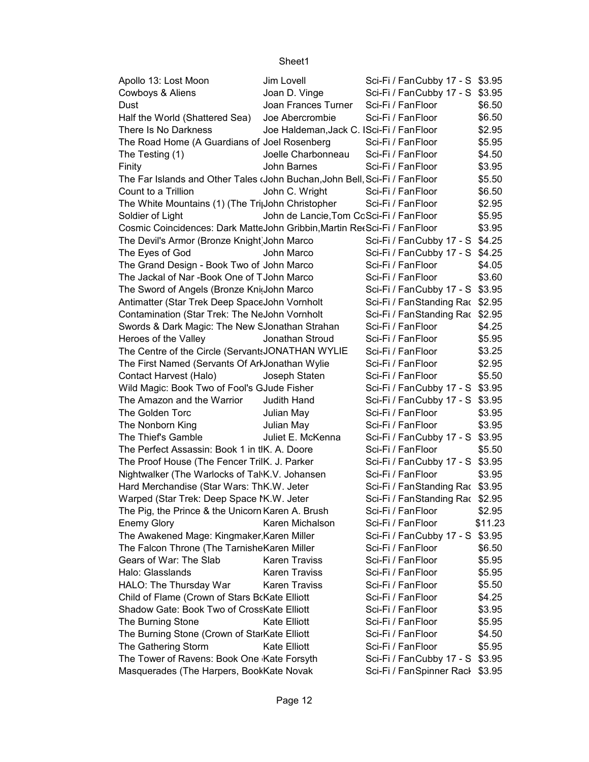| Apollo 13: Lost Moon                                                       | Jim Lovell                               | Sci-Fi / FanCubby 17 - S \$3.95 |         |
|----------------------------------------------------------------------------|------------------------------------------|---------------------------------|---------|
| Cowboys & Aliens                                                           | Joan D. Vinge                            | Sci-Fi / FanCubby 17 - S \$3.95 |         |
| Dust                                                                       | Joan Frances Turner                      | Sci-Fi / FanFloor               | \$6.50  |
| Half the World (Shattered Sea)                                             | Joe Abercrombie                          | Sci-Fi / FanFloor               | \$6.50  |
| There Is No Darkness                                                       | Joe Haldeman, Jack C. ISci-Fi / FanFloor |                                 | \$2.95  |
| The Road Home (A Guardians of Joel Rosenberg                               |                                          | Sci-Fi / FanFloor               | \$5.95  |
| The Testing (1)                                                            | Joelle Charbonneau                       | Sci-Fi / FanFloor               | \$4.50  |
| Finity                                                                     | John Barnes                              | Sci-Fi / FanFloor               | \$3.95  |
| The Far Islands and Other Tales (John Buchan, John Bell, Sci-Fi / FanFloor |                                          |                                 | \$5.50  |
| Count to a Trillion                                                        | John C. Wright                           | Sci-Fi / FanFloor               | \$6.50  |
| The White Mountains (1) (The Tri <sub>l</sub> John Christopher             |                                          | Sci-Fi / FanFloor               | \$2.95  |
| Soldier of Light                                                           | John de Lancie, Tom CoSci-Fi / FanFloor  |                                 | \$5.95  |
| Cosmic Coincidences: Dark MatteJohn Gribbin, Martin RetSci-Fi / FanFloor   |                                          |                                 | \$3.95  |
| The Devil's Armor (Bronze Knight John Marco                                |                                          | Sci-Fi / FanCubby 17 - S \$4.25 |         |
| The Eyes of God                                                            | John Marco                               | Sci-Fi / FanCubby 17 - S \$4.25 |         |
| The Grand Design - Book Two of John Marco                                  |                                          | Sci-Fi / FanFloor               | \$4.05  |
| The Jackal of Nar-Book One of TJohn Marco                                  |                                          | Sci-Fi / FanFloor               | \$3.60  |
| The Sword of Angels (Bronze Knidohn Marco                                  |                                          | Sci-Fi / FanCubby 17 - S \$3.95 |         |
| Antimatter (Star Trek Deep SpaceJohn Vornholt                              |                                          | Sci-Fi / FanStanding Rac \$2.95 |         |
| Contamination (Star Trek: The NeJohn Vornholt                              |                                          | Sci-Fi / FanStanding Rac \$2.95 |         |
| Swords & Dark Magic: The New SJonathan Strahan                             |                                          | Sci-Fi / FanFloor               | \$4.25  |
| Heroes of the Valley                                                       | Jonathan Stroud                          | Sci-Fi / FanFloor               | \$5.95  |
| The Centre of the Circle (Servant: JONATHAN WYLIE                          |                                          | Sci-Fi / FanFloor               | \$3.25  |
| The First Named (Servants Of ArlJonathan Wylie                             |                                          | Sci-Fi / FanFloor               | \$2.95  |
| Contact Harvest (Halo)                                                     | Joseph Staten                            | Sci-Fi / FanFloor               | \$5.50  |
| Wild Magic: Book Two of Fool's GJude Fisher                                |                                          | Sci-Fi / FanCubby 17 - S \$3.95 |         |
| The Amazon and the Warrior                                                 | Judith Hand                              | Sci-Fi / FanCubby 17 - S \$3.95 |         |
| The Golden Torc                                                            | Julian May                               | Sci-Fi / FanFloor               | \$3.95  |
| The Nonborn King                                                           | Julian May                               | Sci-Fi / FanFloor               | \$3.95  |
| The Thief's Gamble                                                         | Juliet E. McKenna                        | Sci-Fi / FanCubby 17 - S \$3.95 |         |
| The Perfect Assassin: Book 1 in tlK. A. Doore                              |                                          | Sci-Fi / FanFloor               | \$5.50  |
| The Proof House (The Fencer TrilK. J. Parker                               |                                          | Sci-Fi / FanCubby 17 - S \$3.95 |         |
| Nightwalker (The Warlocks of Tal\K.V. Johansen                             |                                          | Sci-Fi / FanFloor               | \$3.95  |
| Hard Merchandise (Star Wars: ThK.W. Jeter                                  |                                          | Sci-Fi / FanStanding Rac \$3.95 |         |
| Warped (Star Trek: Deep Space N.W. Jeter                                   |                                          | Sci-Fi / FanStanding Rac \$2.95 |         |
| The Pig, the Prince & the Unicorn Karen A. Brush                           |                                          | Sci-Fi / FanFloor               | \$2.95  |
| <b>Enemy Glory</b>                                                         | Karen Michalson                          | Sci-Fi / FanFloor               | \$11.23 |
| The Awakened Mage: Kingmaker Karen Miller                                  |                                          | Sci-Fi / FanCubby 17 - S        | \$3.95  |
| The Falcon Throne (The TarnisheKaren Miller                                |                                          | Sci-Fi / FanFloor               | \$6.50  |
| Gears of War: The Slab                                                     | <b>Karen Traviss</b>                     | Sci-Fi / FanFloor               | \$5.95  |
| Halo: Glasslands                                                           | <b>Karen Traviss</b>                     | Sci-Fi / FanFloor               | \$5.95  |
| HALO: The Thursday War                                                     | Karen Traviss                            | Sci-Fi / FanFloor               | \$5.50  |
| Child of Flame (Crown of Stars BcKate Elliott                              |                                          | Sci-Fi / FanFloor               | \$4.25  |
| Shadow Gate: Book Two of CrossKate Elliott                                 |                                          | Sci-Fi / FanFloor               | \$3.95  |
| The Burning Stone                                                          | <b>Kate Elliott</b>                      | Sci-Fi / FanFloor               | \$5.95  |
| The Burning Stone (Crown of StarKate Elliott                               |                                          | Sci-Fi / FanFloor               | \$4.50  |
| The Gathering Storm                                                        | <b>Kate Elliott</b>                      | Sci-Fi / FanFloor               | \$5.95  |
| The Tower of Ravens: Book One Kate Forsyth                                 |                                          | Sci-Fi / FanCubby 17 - S        | \$3.95  |
| Masquerades (The Harpers, BookKate Novak                                   |                                          | Sci-Fi / FanSpinner Rack \$3.95 |         |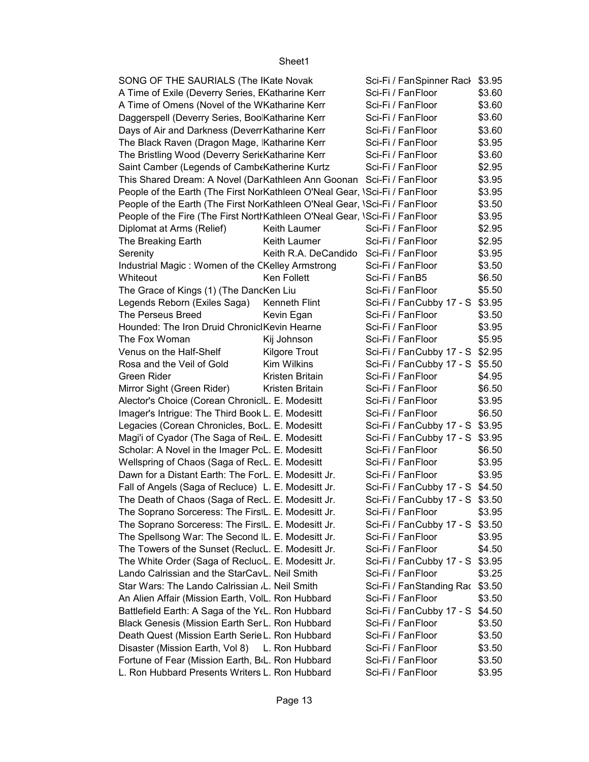| SONG OF THE SAURIALS (The IKate Novak                                        |                      | Sci-Fi / FanSpinner Rack        | \$3.95 |
|------------------------------------------------------------------------------|----------------------|---------------------------------|--------|
| A Time of Exile (Deverry Series, EKatharine Kerr                             |                      | Sci-Fi / FanFloor               | \$3.60 |
| A Time of Omens (Novel of the WKatharine Kerr                                |                      | Sci-Fi / FanFloor               | \$3.60 |
| Daggerspell (Deverry Series, Boo Katharine Kerr                              |                      | Sci-Fi / FanFloor               | \$3.60 |
| Days of Air and Darkness (Deverr Katharine Kerr                              |                      | Sci-Fi / FanFloor               | \$3.60 |
| The Black Raven (Dragon Mage, Katharine Kerr                                 |                      | Sci-Fi / FanFloor               | \$3.95 |
| The Bristling Wood (Deverry SericKatharine Kerr                              |                      | Sci-Fi / FanFloor               | \$3.60 |
| Saint Camber (Legends of Camb Katherine Kurtz                                |                      | Sci-Fi / FanFloor               | \$2.95 |
| This Shared Dream: A Novel (DarKathleen Ann Goonan Sci-Fi / FanFloor         |                      |                                 | \$3.95 |
| People of the Earth (The First NorKathleen O'Neal Gear, \Sci-Fi / FanFloor   |                      |                                 | \$3.95 |
| People of the Earth (The First NorKathleen O'Neal Gear, \Sci-Fi / FanFloor   |                      |                                 | \$3.50 |
| People of the Fire (The First North Kathleen O'Neal Gear, \Sci-Fi / FanFloor |                      |                                 | \$3.95 |
| Diplomat at Arms (Relief)                                                    | Keith Laumer         | Sci-Fi / FanFloor               | \$2.95 |
| The Breaking Earth                                                           | Keith Laumer         | Sci-Fi / FanFloor               | \$2.95 |
| Serenity                                                                     | Keith R.A. DeCandido | Sci-Fi / FanFloor               | \$3.95 |
| Industrial Magic: Women of the CKelley Armstrong                             |                      | Sci-Fi / FanFloor               | \$3.50 |
| Whiteout                                                                     | Ken Follett          | Sci-Fi / FanB5                  | \$6.50 |
| The Grace of Kings (1) (The DancKen Liu                                      |                      | Sci-Fi / FanFloor               | \$5.50 |
| Legends Reborn (Exiles Saga)                                                 | <b>Kenneth Flint</b> | Sci-Fi / FanCubby 17 - S \$3.95 |        |
| The Perseus Breed                                                            | Kevin Egan           | Sci-Fi / FanFloor               | \$3.50 |
| Hounded: The Iron Druid ChronicIKevin Hearne                                 |                      | Sci-Fi / FanFloor               | \$3.95 |
| The Fox Woman                                                                | Kij Johnson          | Sci-Fi / FanFloor               | \$5.95 |
| Venus on the Half-Shelf                                                      | Kilgore Trout        | Sci-Fi / FanCubby 17 - S \$2.95 |        |
| Rosa and the Veil of Gold                                                    | Kim Wilkins          | Sci-Fi / FanCubby 17 - S \$5.50 |        |
| Green Rider                                                                  | Kristen Britain      | Sci-Fi / FanFloor               | \$4.95 |
| Mirror Sight (Green Rider)                                                   | Kristen Britain      | Sci-Fi / FanFloor               | \$6.50 |
| Alector's Choice (Corean ChronicIL. E. Modesitt                              |                      | Sci-Fi / FanFloor               | \$3.95 |
| Imager's Intrigue: The Third Book L. E. Modesitt                             |                      | Sci-Fi / FanFloor               | \$6.50 |
| Legacies (Corean Chronicles, BorL. E. Modesitt                               |                      | Sci-Fi / FanCubby 17 - S \$3.95 |        |
| Magi'i of Cyador (The Saga of Re <sub>L</sub> . E. Modesitt                  |                      | Sci-Fi / FanCubby 17 - S \$3.95 |        |
| Scholar: A Novel in the Imager PcL. E. Modesitt                              |                      | Sci-Fi / FanFloor               | \$6.50 |
| Wellspring of Chaos (Saga of RecL. E. Modesitt                               |                      | Sci-Fi / FanFloor               | \$3.95 |
| Dawn for a Distant Earth: The ForL. E. Modesitt Jr.                          |                      | Sci-Fi / FanFloor               | \$3.95 |
| Fall of Angels (Saga of Recluce) L. E. Modesitt Jr.                          |                      | Sci-Fi / FanCubby 17 - S \$4.50 |        |
| The Death of Chaos (Saga of RecL. E. Modesitt Jr.                            |                      | Sci-Fi / FanCubby 17 - S \$3.50 |        |
| The Soprano Sorceress: The FirsiL. E. Modesitt Jr.                           |                      | Sci-Fi / FanFloor               | \$3.95 |
| The Soprano Sorceress: The FirstL. E. Modesitt Jr.                           |                      | Sci-Fi / FanCubby 17 - S        | \$3.50 |
| The Spellsong War: The Second IL. E. Modesitt Jr.                            |                      | Sci-Fi / FanFloor               | \$3.95 |
| The Towers of the Sunset (ReclucL. E. Modesitt Jr.                           |                      | Sci-Fi / FanFloor               | \$4.50 |
| The White Order (Saga of Recluc L. E. Modesitt Jr.                           |                      | Sci-Fi / FanCubby 17 - S        | \$3.95 |
| Lando Calrissian and the StarCavL. Neil Smith                                |                      | Sci-Fi / FanFloor               | \$3.25 |
| Star Wars: The Lando Calrissian .L. Neil Smith                               |                      | Sci-Fi / FanStanding Rac        | \$3.50 |
| An Alien Affair (Mission Earth, VolL. Ron Hubbard                            |                      | Sci-Fi / FanFloor               | \$3.50 |
| Battlefield Earth: A Saga of the Y(L. Ron Hubbard                            |                      | Sci-Fi / FanCubby 17 - S        | \$4.50 |
| Black Genesis (Mission Earth Ser L. Ron Hubbard                              |                      | Sci-Fi / FanFloor               | \$3.50 |
| Death Quest (Mission Earth Serie L. Ron Hubbard                              |                      | Sci-Fi / FanFloor               | \$3.50 |
| Disaster (Mission Earth, Vol 8)                                              | L. Ron Hubbard       | Sci-Fi / FanFloor               | \$3.50 |
| Fortune of Fear (Mission Earth, B <sub>IL</sub> . Ron Hubbard                |                      | Sci-Fi / FanFloor               | \$3.50 |
| L. Ron Hubbard Presents Writers L. Ron Hubbard                               |                      | Sci-Fi / FanFloor               | \$3.95 |
|                                                                              |                      |                                 |        |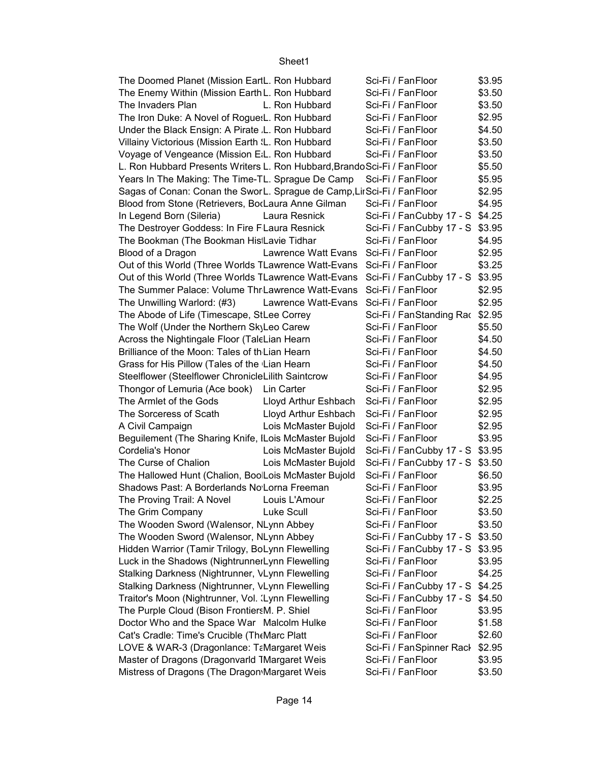| \$3.50<br>Sci-Fi / FanFloor<br>The Enemy Within (Mission Earth L. Ron Hubbard<br>\$3.50<br>Sci-Fi / FanFloor<br>The Invaders Plan<br>L. Ron Hubbard<br>The Iron Duke: A Novel of Rogue: L. Ron Hubbard<br>\$2.95<br>Sci-Fi / FanFloor<br>\$4.50<br>Under the Black Ensign: A Pirate L. Ron Hubbard<br>Sci-Fi / FanFloor<br>\$3.50<br>Villainy Victorious (Mission Earth I. Ron Hubbard<br>Sci-Fi / FanFloor<br>\$3.50<br>Sci-Fi / FanFloor<br>Voyage of Vengeance (Mission E.L. Ron Hubbard<br>\$5.50<br>L. Ron Hubbard Presents Writers L. Ron Hubbard, Brando Sci-Fi / Fan Floor<br>\$5.95<br>Years In The Making: The Time-TL. Sprague De Camp Sci-Fi / FanFloor<br>\$2.95<br>Sagas of Conan: Conan the SworL. Sprague de Camp, LirSci-Fi / FanFloor<br>\$4.95<br>Blood from Stone (Retrievers, BorLaura Anne Gilman<br>Sci-Fi / FanFloor<br>Sci-Fi / FanCubby 17 - S \$4.25<br>In Legend Born (Sileria)<br>Laura Resnick<br>The Destroyer Goddess: In Fire FLaura Resnick<br>Sci-Fi / FanCubby 17 - S \$3.95<br>\$4.95<br>Sci-Fi / FanFloor<br>The Bookman (The Bookman His Lavie Tidhar<br>\$2.95<br>Lawrence Watt Evans Sci-Fi / FanFloor<br>Blood of a Dragon<br>\$3.25<br>Out of this World (Three Worlds TLawrence Watt-Evans Sci-Fi / FanFloor<br>Out of this World (Three Worlds TLawrence Watt-Evans Sci-Fi / FanCubby 17 - S \$3.95<br>The Summer Palace: Volume Thr Lawrence Watt-Evans Sci-Fi / FanFloor<br>\$2.95<br>\$2.95<br>The Unwilling Warlord: (#3)<br>Lawrence Watt-Evans Sci-Fi / FanFloor<br>The Abode of Life (Timescape, StLee Correy<br>Sci-Fi / FanStanding Rac \$2.95<br>Sci-Fi / FanFloor<br>\$5.50<br>The Wolf (Under the Northern SkyLeo Carew<br>\$4.50<br>Sci-Fi / FanFloor<br>Across the Nightingale Floor (TaleLian Hearn<br>\$4.50<br>Brilliance of the Moon: Tales of th Lian Hearn<br>Sci-Fi / FanFloor<br>\$4.50<br>Grass for His Pillow (Tales of the Lian Hearn<br>Sci-Fi / FanFloor<br>\$4.95<br>Steelflower (Steelflower ChronicleLilith Saintcrow<br>Sci-Fi / FanFloor<br>\$2.95<br>Sci-Fi / FanFloor<br>Thongor of Lemuria (Ace book)<br>Lin Carter<br>\$2.95<br>Lloyd Arthur Eshbach<br>Sci-Fi / FanFloor<br>The Armlet of the Gods<br>\$2.95<br>The Sorceress of Scath<br>Lloyd Arthur Eshbach Sci-Fi / FanFloor<br>\$2.95<br>Lois McMaster Bujold<br>Sci-Fi / FanFloor<br>A Civil Campaign<br>\$3.95<br>Beguilement (The Sharing Knife, ILois McMaster Bujold Sci-Fi / FanFloor<br>Lois McMaster Bujold Sci-Fi / FanCubby 17 - S \$3.95<br>Cordelia's Honor<br>The Curse of Chalion<br>Lois McMaster Bujold Sci-Fi / FanCubby 17 - S \$3.50<br>The Hallowed Hunt (Chalion, BoolLois McMaster Bujold<br>\$6.50 |
|------------------------------------------------------------------------------------------------------------------------------------------------------------------------------------------------------------------------------------------------------------------------------------------------------------------------------------------------------------------------------------------------------------------------------------------------------------------------------------------------------------------------------------------------------------------------------------------------------------------------------------------------------------------------------------------------------------------------------------------------------------------------------------------------------------------------------------------------------------------------------------------------------------------------------------------------------------------------------------------------------------------------------------------------------------------------------------------------------------------------------------------------------------------------------------------------------------------------------------------------------------------------------------------------------------------------------------------------------------------------------------------------------------------------------------------------------------------------------------------------------------------------------------------------------------------------------------------------------------------------------------------------------------------------------------------------------------------------------------------------------------------------------------------------------------------------------------------------------------------------------------------------------------------------------------------------------------------------------------------------------------------------------------------------------------------------------------------------------------------------------------------------------------------------------------------------------------------------------------------------------------------------------------------------------------------------------------------------------------------------------------------------------------------------------------------------------------------------------------------------------------------------------------------------------------------------------------------------------------------------------------------------------------------|
|                                                                                                                                                                                                                                                                                                                                                                                                                                                                                                                                                                                                                                                                                                                                                                                                                                                                                                                                                                                                                                                                                                                                                                                                                                                                                                                                                                                                                                                                                                                                                                                                                                                                                                                                                                                                                                                                                                                                                                                                                                                                                                                                                                                                                                                                                                                                                                                                                                                                                                                                                                                                                                                                  |
|                                                                                                                                                                                                                                                                                                                                                                                                                                                                                                                                                                                                                                                                                                                                                                                                                                                                                                                                                                                                                                                                                                                                                                                                                                                                                                                                                                                                                                                                                                                                                                                                                                                                                                                                                                                                                                                                                                                                                                                                                                                                                                                                                                                                                                                                                                                                                                                                                                                                                                                                                                                                                                                                  |
|                                                                                                                                                                                                                                                                                                                                                                                                                                                                                                                                                                                                                                                                                                                                                                                                                                                                                                                                                                                                                                                                                                                                                                                                                                                                                                                                                                                                                                                                                                                                                                                                                                                                                                                                                                                                                                                                                                                                                                                                                                                                                                                                                                                                                                                                                                                                                                                                                                                                                                                                                                                                                                                                  |
|                                                                                                                                                                                                                                                                                                                                                                                                                                                                                                                                                                                                                                                                                                                                                                                                                                                                                                                                                                                                                                                                                                                                                                                                                                                                                                                                                                                                                                                                                                                                                                                                                                                                                                                                                                                                                                                                                                                                                                                                                                                                                                                                                                                                                                                                                                                                                                                                                                                                                                                                                                                                                                                                  |
|                                                                                                                                                                                                                                                                                                                                                                                                                                                                                                                                                                                                                                                                                                                                                                                                                                                                                                                                                                                                                                                                                                                                                                                                                                                                                                                                                                                                                                                                                                                                                                                                                                                                                                                                                                                                                                                                                                                                                                                                                                                                                                                                                                                                                                                                                                                                                                                                                                                                                                                                                                                                                                                                  |
|                                                                                                                                                                                                                                                                                                                                                                                                                                                                                                                                                                                                                                                                                                                                                                                                                                                                                                                                                                                                                                                                                                                                                                                                                                                                                                                                                                                                                                                                                                                                                                                                                                                                                                                                                                                                                                                                                                                                                                                                                                                                                                                                                                                                                                                                                                                                                                                                                                                                                                                                                                                                                                                                  |
|                                                                                                                                                                                                                                                                                                                                                                                                                                                                                                                                                                                                                                                                                                                                                                                                                                                                                                                                                                                                                                                                                                                                                                                                                                                                                                                                                                                                                                                                                                                                                                                                                                                                                                                                                                                                                                                                                                                                                                                                                                                                                                                                                                                                                                                                                                                                                                                                                                                                                                                                                                                                                                                                  |
|                                                                                                                                                                                                                                                                                                                                                                                                                                                                                                                                                                                                                                                                                                                                                                                                                                                                                                                                                                                                                                                                                                                                                                                                                                                                                                                                                                                                                                                                                                                                                                                                                                                                                                                                                                                                                                                                                                                                                                                                                                                                                                                                                                                                                                                                                                                                                                                                                                                                                                                                                                                                                                                                  |
|                                                                                                                                                                                                                                                                                                                                                                                                                                                                                                                                                                                                                                                                                                                                                                                                                                                                                                                                                                                                                                                                                                                                                                                                                                                                                                                                                                                                                                                                                                                                                                                                                                                                                                                                                                                                                                                                                                                                                                                                                                                                                                                                                                                                                                                                                                                                                                                                                                                                                                                                                                                                                                                                  |
|                                                                                                                                                                                                                                                                                                                                                                                                                                                                                                                                                                                                                                                                                                                                                                                                                                                                                                                                                                                                                                                                                                                                                                                                                                                                                                                                                                                                                                                                                                                                                                                                                                                                                                                                                                                                                                                                                                                                                                                                                                                                                                                                                                                                                                                                                                                                                                                                                                                                                                                                                                                                                                                                  |
|                                                                                                                                                                                                                                                                                                                                                                                                                                                                                                                                                                                                                                                                                                                                                                                                                                                                                                                                                                                                                                                                                                                                                                                                                                                                                                                                                                                                                                                                                                                                                                                                                                                                                                                                                                                                                                                                                                                                                                                                                                                                                                                                                                                                                                                                                                                                                                                                                                                                                                                                                                                                                                                                  |
|                                                                                                                                                                                                                                                                                                                                                                                                                                                                                                                                                                                                                                                                                                                                                                                                                                                                                                                                                                                                                                                                                                                                                                                                                                                                                                                                                                                                                                                                                                                                                                                                                                                                                                                                                                                                                                                                                                                                                                                                                                                                                                                                                                                                                                                                                                                                                                                                                                                                                                                                                                                                                                                                  |
|                                                                                                                                                                                                                                                                                                                                                                                                                                                                                                                                                                                                                                                                                                                                                                                                                                                                                                                                                                                                                                                                                                                                                                                                                                                                                                                                                                                                                                                                                                                                                                                                                                                                                                                                                                                                                                                                                                                                                                                                                                                                                                                                                                                                                                                                                                                                                                                                                                                                                                                                                                                                                                                                  |
|                                                                                                                                                                                                                                                                                                                                                                                                                                                                                                                                                                                                                                                                                                                                                                                                                                                                                                                                                                                                                                                                                                                                                                                                                                                                                                                                                                                                                                                                                                                                                                                                                                                                                                                                                                                                                                                                                                                                                                                                                                                                                                                                                                                                                                                                                                                                                                                                                                                                                                                                                                                                                                                                  |
|                                                                                                                                                                                                                                                                                                                                                                                                                                                                                                                                                                                                                                                                                                                                                                                                                                                                                                                                                                                                                                                                                                                                                                                                                                                                                                                                                                                                                                                                                                                                                                                                                                                                                                                                                                                                                                                                                                                                                                                                                                                                                                                                                                                                                                                                                                                                                                                                                                                                                                                                                                                                                                                                  |
|                                                                                                                                                                                                                                                                                                                                                                                                                                                                                                                                                                                                                                                                                                                                                                                                                                                                                                                                                                                                                                                                                                                                                                                                                                                                                                                                                                                                                                                                                                                                                                                                                                                                                                                                                                                                                                                                                                                                                                                                                                                                                                                                                                                                                                                                                                                                                                                                                                                                                                                                                                                                                                                                  |
|                                                                                                                                                                                                                                                                                                                                                                                                                                                                                                                                                                                                                                                                                                                                                                                                                                                                                                                                                                                                                                                                                                                                                                                                                                                                                                                                                                                                                                                                                                                                                                                                                                                                                                                                                                                                                                                                                                                                                                                                                                                                                                                                                                                                                                                                                                                                                                                                                                                                                                                                                                                                                                                                  |
|                                                                                                                                                                                                                                                                                                                                                                                                                                                                                                                                                                                                                                                                                                                                                                                                                                                                                                                                                                                                                                                                                                                                                                                                                                                                                                                                                                                                                                                                                                                                                                                                                                                                                                                                                                                                                                                                                                                                                                                                                                                                                                                                                                                                                                                                                                                                                                                                                                                                                                                                                                                                                                                                  |
|                                                                                                                                                                                                                                                                                                                                                                                                                                                                                                                                                                                                                                                                                                                                                                                                                                                                                                                                                                                                                                                                                                                                                                                                                                                                                                                                                                                                                                                                                                                                                                                                                                                                                                                                                                                                                                                                                                                                                                                                                                                                                                                                                                                                                                                                                                                                                                                                                                                                                                                                                                                                                                                                  |
|                                                                                                                                                                                                                                                                                                                                                                                                                                                                                                                                                                                                                                                                                                                                                                                                                                                                                                                                                                                                                                                                                                                                                                                                                                                                                                                                                                                                                                                                                                                                                                                                                                                                                                                                                                                                                                                                                                                                                                                                                                                                                                                                                                                                                                                                                                                                                                                                                                                                                                                                                                                                                                                                  |
|                                                                                                                                                                                                                                                                                                                                                                                                                                                                                                                                                                                                                                                                                                                                                                                                                                                                                                                                                                                                                                                                                                                                                                                                                                                                                                                                                                                                                                                                                                                                                                                                                                                                                                                                                                                                                                                                                                                                                                                                                                                                                                                                                                                                                                                                                                                                                                                                                                                                                                                                                                                                                                                                  |
|                                                                                                                                                                                                                                                                                                                                                                                                                                                                                                                                                                                                                                                                                                                                                                                                                                                                                                                                                                                                                                                                                                                                                                                                                                                                                                                                                                                                                                                                                                                                                                                                                                                                                                                                                                                                                                                                                                                                                                                                                                                                                                                                                                                                                                                                                                                                                                                                                                                                                                                                                                                                                                                                  |
|                                                                                                                                                                                                                                                                                                                                                                                                                                                                                                                                                                                                                                                                                                                                                                                                                                                                                                                                                                                                                                                                                                                                                                                                                                                                                                                                                                                                                                                                                                                                                                                                                                                                                                                                                                                                                                                                                                                                                                                                                                                                                                                                                                                                                                                                                                                                                                                                                                                                                                                                                                                                                                                                  |
|                                                                                                                                                                                                                                                                                                                                                                                                                                                                                                                                                                                                                                                                                                                                                                                                                                                                                                                                                                                                                                                                                                                                                                                                                                                                                                                                                                                                                                                                                                                                                                                                                                                                                                                                                                                                                                                                                                                                                                                                                                                                                                                                                                                                                                                                                                                                                                                                                                                                                                                                                                                                                                                                  |
|                                                                                                                                                                                                                                                                                                                                                                                                                                                                                                                                                                                                                                                                                                                                                                                                                                                                                                                                                                                                                                                                                                                                                                                                                                                                                                                                                                                                                                                                                                                                                                                                                                                                                                                                                                                                                                                                                                                                                                                                                                                                                                                                                                                                                                                                                                                                                                                                                                                                                                                                                                                                                                                                  |
|                                                                                                                                                                                                                                                                                                                                                                                                                                                                                                                                                                                                                                                                                                                                                                                                                                                                                                                                                                                                                                                                                                                                                                                                                                                                                                                                                                                                                                                                                                                                                                                                                                                                                                                                                                                                                                                                                                                                                                                                                                                                                                                                                                                                                                                                                                                                                                                                                                                                                                                                                                                                                                                                  |
|                                                                                                                                                                                                                                                                                                                                                                                                                                                                                                                                                                                                                                                                                                                                                                                                                                                                                                                                                                                                                                                                                                                                                                                                                                                                                                                                                                                                                                                                                                                                                                                                                                                                                                                                                                                                                                                                                                                                                                                                                                                                                                                                                                                                                                                                                                                                                                                                                                                                                                                                                                                                                                                                  |
|                                                                                                                                                                                                                                                                                                                                                                                                                                                                                                                                                                                                                                                                                                                                                                                                                                                                                                                                                                                                                                                                                                                                                                                                                                                                                                                                                                                                                                                                                                                                                                                                                                                                                                                                                                                                                                                                                                                                                                                                                                                                                                                                                                                                                                                                                                                                                                                                                                                                                                                                                                                                                                                                  |
|                                                                                                                                                                                                                                                                                                                                                                                                                                                                                                                                                                                                                                                                                                                                                                                                                                                                                                                                                                                                                                                                                                                                                                                                                                                                                                                                                                                                                                                                                                                                                                                                                                                                                                                                                                                                                                                                                                                                                                                                                                                                                                                                                                                                                                                                                                                                                                                                                                                                                                                                                                                                                                                                  |
|                                                                                                                                                                                                                                                                                                                                                                                                                                                                                                                                                                                                                                                                                                                                                                                                                                                                                                                                                                                                                                                                                                                                                                                                                                                                                                                                                                                                                                                                                                                                                                                                                                                                                                                                                                                                                                                                                                                                                                                                                                                                                                                                                                                                                                                                                                                                                                                                                                                                                                                                                                                                                                                                  |
|                                                                                                                                                                                                                                                                                                                                                                                                                                                                                                                                                                                                                                                                                                                                                                                                                                                                                                                                                                                                                                                                                                                                                                                                                                                                                                                                                                                                                                                                                                                                                                                                                                                                                                                                                                                                                                                                                                                                                                                                                                                                                                                                                                                                                                                                                                                                                                                                                                                                                                                                                                                                                                                                  |
|                                                                                                                                                                                                                                                                                                                                                                                                                                                                                                                                                                                                                                                                                                                                                                                                                                                                                                                                                                                                                                                                                                                                                                                                                                                                                                                                                                                                                                                                                                                                                                                                                                                                                                                                                                                                                                                                                                                                                                                                                                                                                                                                                                                                                                                                                                                                                                                                                                                                                                                                                                                                                                                                  |
| Sci-Fi / FanFloor                                                                                                                                                                                                                                                                                                                                                                                                                                                                                                                                                                                                                                                                                                                                                                                                                                                                                                                                                                                                                                                                                                                                                                                                                                                                                                                                                                                                                                                                                                                                                                                                                                                                                                                                                                                                                                                                                                                                                                                                                                                                                                                                                                                                                                                                                                                                                                                                                                                                                                                                                                                                                                                |
| \$3.95<br>Sci-Fi / FanFloor<br>Shadows Past: A Borderlands No Lorna Freeman                                                                                                                                                                                                                                                                                                                                                                                                                                                                                                                                                                                                                                                                                                                                                                                                                                                                                                                                                                                                                                                                                                                                                                                                                                                                                                                                                                                                                                                                                                                                                                                                                                                                                                                                                                                                                                                                                                                                                                                                                                                                                                                                                                                                                                                                                                                                                                                                                                                                                                                                                                                      |
| \$2.25<br>The Proving Trail: A Novel<br>Sci-Fi / FanFloor<br>Louis L'Amour                                                                                                                                                                                                                                                                                                                                                                                                                                                                                                                                                                                                                                                                                                                                                                                                                                                                                                                                                                                                                                                                                                                                                                                                                                                                                                                                                                                                                                                                                                                                                                                                                                                                                                                                                                                                                                                                                                                                                                                                                                                                                                                                                                                                                                                                                                                                                                                                                                                                                                                                                                                       |
| \$3.50<br>The Grim Company<br>Luke Scull<br>Sci-Fi / FanFloor                                                                                                                                                                                                                                                                                                                                                                                                                                                                                                                                                                                                                                                                                                                                                                                                                                                                                                                                                                                                                                                                                                                                                                                                                                                                                                                                                                                                                                                                                                                                                                                                                                                                                                                                                                                                                                                                                                                                                                                                                                                                                                                                                                                                                                                                                                                                                                                                                                                                                                                                                                                                    |
| \$3.50<br>The Wooden Sword (Walensor, NLynn Abbey<br>Sci-Fi / FanFloor                                                                                                                                                                                                                                                                                                                                                                                                                                                                                                                                                                                                                                                                                                                                                                                                                                                                                                                                                                                                                                                                                                                                                                                                                                                                                                                                                                                                                                                                                                                                                                                                                                                                                                                                                                                                                                                                                                                                                                                                                                                                                                                                                                                                                                                                                                                                                                                                                                                                                                                                                                                           |
| The Wooden Sword (Walensor, NLynn Abbey<br>Sci-Fi / FanCubby 17 - S \$3.50                                                                                                                                                                                                                                                                                                                                                                                                                                                                                                                                                                                                                                                                                                                                                                                                                                                                                                                                                                                                                                                                                                                                                                                                                                                                                                                                                                                                                                                                                                                                                                                                                                                                                                                                                                                                                                                                                                                                                                                                                                                                                                                                                                                                                                                                                                                                                                                                                                                                                                                                                                                       |
| Hidden Warrior (Tamir Trilogy, BoLynn Flewelling                                                                                                                                                                                                                                                                                                                                                                                                                                                                                                                                                                                                                                                                                                                                                                                                                                                                                                                                                                                                                                                                                                                                                                                                                                                                                                                                                                                                                                                                                                                                                                                                                                                                                                                                                                                                                                                                                                                                                                                                                                                                                                                                                                                                                                                                                                                                                                                                                                                                                                                                                                                                                 |
| Sci-Fi / FanCubby 17 - S \$3.95                                                                                                                                                                                                                                                                                                                                                                                                                                                                                                                                                                                                                                                                                                                                                                                                                                                                                                                                                                                                                                                                                                                                                                                                                                                                                                                                                                                                                                                                                                                                                                                                                                                                                                                                                                                                                                                                                                                                                                                                                                                                                                                                                                                                                                                                                                                                                                                                                                                                                                                                                                                                                                  |
| Luck in the Shadows (NightrunnerLynn Flewelling<br>Sci-Fi / FanFloor<br>\$3.95                                                                                                                                                                                                                                                                                                                                                                                                                                                                                                                                                                                                                                                                                                                                                                                                                                                                                                                                                                                                                                                                                                                                                                                                                                                                                                                                                                                                                                                                                                                                                                                                                                                                                                                                                                                                                                                                                                                                                                                                                                                                                                                                                                                                                                                                                                                                                                                                                                                                                                                                                                                   |
| Sci-Fi / FanFloor<br>\$4.25<br>Stalking Darkness (Nightrunner, VLynn Flewelling                                                                                                                                                                                                                                                                                                                                                                                                                                                                                                                                                                                                                                                                                                                                                                                                                                                                                                                                                                                                                                                                                                                                                                                                                                                                                                                                                                                                                                                                                                                                                                                                                                                                                                                                                                                                                                                                                                                                                                                                                                                                                                                                                                                                                                                                                                                                                                                                                                                                                                                                                                                  |
| Sci-Fi / FanCubby 17 - S \$4.25<br>Stalking Darkness (Nightrunner, VLynn Flewelling                                                                                                                                                                                                                                                                                                                                                                                                                                                                                                                                                                                                                                                                                                                                                                                                                                                                                                                                                                                                                                                                                                                                                                                                                                                                                                                                                                                                                                                                                                                                                                                                                                                                                                                                                                                                                                                                                                                                                                                                                                                                                                                                                                                                                                                                                                                                                                                                                                                                                                                                                                              |
| Traitor's Moon (Nightrunner, Vol. : Lynn Flewelling<br>Sci-Fi / FanCubby 17 - S \$4.50                                                                                                                                                                                                                                                                                                                                                                                                                                                                                                                                                                                                                                                                                                                                                                                                                                                                                                                                                                                                                                                                                                                                                                                                                                                                                                                                                                                                                                                                                                                                                                                                                                                                                                                                                                                                                                                                                                                                                                                                                                                                                                                                                                                                                                                                                                                                                                                                                                                                                                                                                                           |
| The Purple Cloud (Bison FrontiersM. P. Shiel<br>Sci-Fi / FanFloor<br>\$3.95                                                                                                                                                                                                                                                                                                                                                                                                                                                                                                                                                                                                                                                                                                                                                                                                                                                                                                                                                                                                                                                                                                                                                                                                                                                                                                                                                                                                                                                                                                                                                                                                                                                                                                                                                                                                                                                                                                                                                                                                                                                                                                                                                                                                                                                                                                                                                                                                                                                                                                                                                                                      |
| \$1.58<br>Doctor Who and the Space War Malcolm Hulke<br>Sci-Fi / FanFloor                                                                                                                                                                                                                                                                                                                                                                                                                                                                                                                                                                                                                                                                                                                                                                                                                                                                                                                                                                                                                                                                                                                                                                                                                                                                                                                                                                                                                                                                                                                                                                                                                                                                                                                                                                                                                                                                                                                                                                                                                                                                                                                                                                                                                                                                                                                                                                                                                                                                                                                                                                                        |
| Cat's Cradle: Time's Crucible (TheMarc Platt<br>Sci-Fi / FanFloor<br>\$2.60                                                                                                                                                                                                                                                                                                                                                                                                                                                                                                                                                                                                                                                                                                                                                                                                                                                                                                                                                                                                                                                                                                                                                                                                                                                                                                                                                                                                                                                                                                                                                                                                                                                                                                                                                                                                                                                                                                                                                                                                                                                                                                                                                                                                                                                                                                                                                                                                                                                                                                                                                                                      |
| LOVE & WAR-3 (Dragonlance: TaMargaret Weis<br>Sci-Fi / FanSpinner Rack<br>\$2.95                                                                                                                                                                                                                                                                                                                                                                                                                                                                                                                                                                                                                                                                                                                                                                                                                                                                                                                                                                                                                                                                                                                                                                                                                                                                                                                                                                                                                                                                                                                                                                                                                                                                                                                                                                                                                                                                                                                                                                                                                                                                                                                                                                                                                                                                                                                                                                                                                                                                                                                                                                                 |
| Master of Dragons (Dragonvarld 1Margaret Weis<br>Sci-Fi / FanFloor<br>\$3.95                                                                                                                                                                                                                                                                                                                                                                                                                                                                                                                                                                                                                                                                                                                                                                                                                                                                                                                                                                                                                                                                                                                                                                                                                                                                                                                                                                                                                                                                                                                                                                                                                                                                                                                                                                                                                                                                                                                                                                                                                                                                                                                                                                                                                                                                                                                                                                                                                                                                                                                                                                                     |
| Mistress of Dragons (The Dragon Margaret Weis<br>Sci-Fi / FanFloor<br>\$3.50                                                                                                                                                                                                                                                                                                                                                                                                                                                                                                                                                                                                                                                                                                                                                                                                                                                                                                                                                                                                                                                                                                                                                                                                                                                                                                                                                                                                                                                                                                                                                                                                                                                                                                                                                                                                                                                                                                                                                                                                                                                                                                                                                                                                                                                                                                                                                                                                                                                                                                                                                                                     |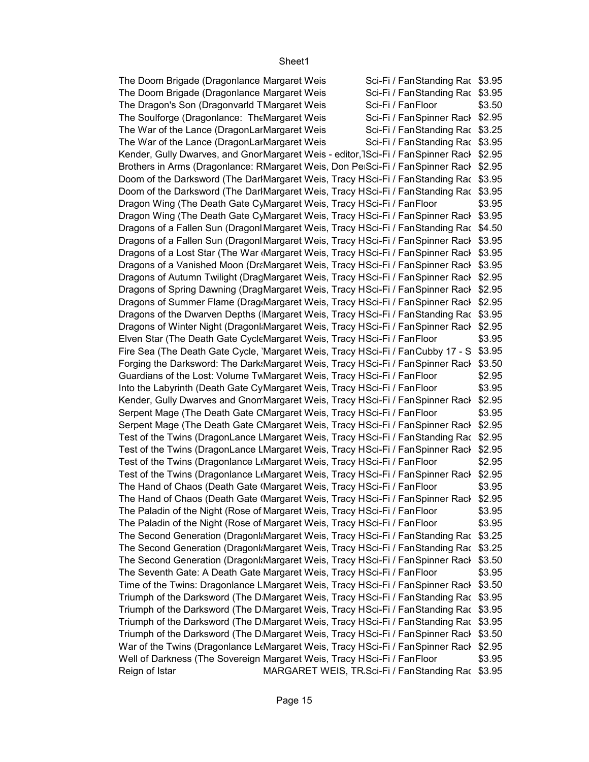Sci-Fi / FanStanding Rac \$3.95 Sci-Fi / FanStanding Rac \$3.95 \$3.50 Sci-Fi / FanSpinner Rack \$2.95 Sci-Fi / FanStanding Rac \$3.25 Sci-Fi / FanStanding Rac \$3.95 Kender, Gully Dwarves, and GnorMargaret Weis - editor,TSci-Fi / FanSpinner Racł \$2.95 Brothers in Arms (Dragonlance: RMargaret Weis, Don PelSci-Fi / FanSpinner Racl \$2.95 Doom of the Darksword (The DarlMargaret Weis, Tracy HSci-Fi / FanStanding Ra $\epsilon$  \$3.95 Doom of the Darksword (The DarlMargaret Weis, Tracy HSci-Fi / FanStanding Ra $\epsilon$  \$3.95 \$3.95 Dragon Wing (The Death Gate CyMargaret Weis, Tracy HSci-Fi / FanSpinner Racl \$3.95 Dragons of a Fallen Sun (Dragonl Margaret Weis, Tracy HSci-Fi / FanStanding Ra $\epsilon$  \$4.50 Dragons of a Fallen Sun (Dragonl Margaret Weis, Tracy HSci-Fi / FanSpinner Racl \$3.95 Dragons of a Lost Star (The War <sub>'</sub>Margaret Weis, Tracy HSci-Fi / FanSpinner Racl \$3.95 Dragons of a Vanished Moon (DraMargaret Weis, Tracy HSci-Fi / FanSpinner Racl \$3.95 Dragons of Autumn Twilight (DragMargaret Weis, Tracy HSci-Fi / FanSpinner Racł \$2.95 Dragons of Spring Dawning (DragMargaret Weis, Tracy HSci-Fi / FanSpinner Racl \$2.95 Dragons of Summer Flame (DragıMargaret Weis, Tracy HSci-Fi / FanSpinner Racl \$2.95 Dragons of the Dwarven Depths (IMargaret Weis, Tracy HSci-Fi / FanStanding Rac \$3.95 Dragons of Winter Night (Dragonl Margaret Weis, Tracy HSci-Fi / FanSpinner Racl \$2.95 \$3.95 Fire Sea (The Death Gate Cycle, 'Margaret Weis, Tracy HSci-Fi / FanCubby 17 - S \$3.95 Forging the Darksword: The Dark:Margaret Weis, Tracy HSci-Fi / FanSpinner Racl \$3.50 \$2.95 \$3.95 Kender, Gully Dwarves and GnomMargaret Weis, Tracy HSci-Fi / FanSpinner Racł \$2.95 \$3.95 Serpent Mage (The Death Gate CMargaret Weis, Tracy HSci-Fi / FanSpinner Racl \$2.95 Test of the Twins (DragonLance LMargaret Weis, Tracy HSci-Fi / FanStanding Ra $\epsilon$  \$2.95 Test of the Twins (DragonLance LMargaret Weis, Tracy HSci-Fi / FanSpinner Racl \$2.95 \$2.95 Test of the Twins (Dragonlance LtMargaret Weis, Tracy HSci-Fi / FanSpinner Racl \$2.95 \$3.95 The Hand of Chaos (Death Gate (Margaret Weis, Tracy HSci-Fi / FanSpinner Racl \$2.95 \$3.95 \$3.95 The Second Generation (Dragonl≀Margaret Weis, Tracy HSci-Fi / FanStanding Ra $\epsilon$  \$3.25 The Second Generation (Dragonl≀Margaret Weis, Tracy HSci-Fi / FanStanding Ra $\epsilon$  \$3.25 The Second Generation (DragonliMargaret Weis, Tracy HSci-Fi / FanSpinner Racl \$3.50 \$3.95 Time of the Twins: Dragonlance LMargaret Weis, Tracy HSci-Fi / FanSpinner Racl \$3.50 Triumph of the Darksword (The D<sub>.</sub>Margaret Weis, Tracy HSci-Fi / FanStanding Rac \$3.95 Triumph of the Darksword (The D<sub>.</sub>Margaret Weis, Tracy HSci-Fi / FanStanding Rac \$3.95 Triumph of the Darksword (The D<sub>.</sub>Margaret Weis, Tracy HSci-Fi / FanStanding Rac \$3.95 Triumph of the Darksword (The D<sub>'</sub>Margaret Weis, Tracy HSci-Fi / FanSpinner Racl \$3.50 War of the Twins (Dragonlance L∢Margaret Weis, Tracy HSci-Fi / FanSpinner Racł \$2.95 \$3.95 Reign of Istar MARGARET WEIS, TR.Sci-Fi / FanStanding Rac \$3.95 The Doom Brigade (Dragonlance Margaret Weis The Doom Brigade (Dragonlance Margaret Weis The Dragon's Son (Dragonvarld TMargaret Weis Sci-Fi / Fan Floor The Soulforge (Dragonlance: The Margaret Weis The War of the Lance (DragonLarMargaret Weis The War of the Lance (DragonLarMargaret Weis Dragon Wing (The Death Gate CyMargaret Weis, Tracy HSci-Fi / FanFloor Elven Star (The Death Gate CycleMargaret Weis, Tracy HSci-Fi / FanFloor Guardians of the Lost: Volume TwMargaret Weis, Tracy HSci-Fi / FanFloor Into the Labyrinth (Death Gate CyMargaret Weis, Tracy HSci-Fi / FanFloor Serpent Mage (The Death Gate CMargaret Weis, Tracy HSci-Fi / FanFloor Test of the Twins (Dragonlance L(Margaret Weis, Tracy HSci-Fi / Fan Floor The Hand of Chaos (Death Gate (Margaret Weis, Tracy HSci-Fi / FanFloor The Paladin of the Night (Rose of Margaret Weis, Tracy HSci-Fi / FanFloor The Paladin of the Night (Rose of Margaret Weis, Tracy HSci-Fi / FanFloor The Seventh Gate: A Death Gate Margaret Weis, Tracy HSci-Fi / FanFloor Well of Darkness (The Sovereign Margaret Weis, Tracy HSci-Fi / FanFloor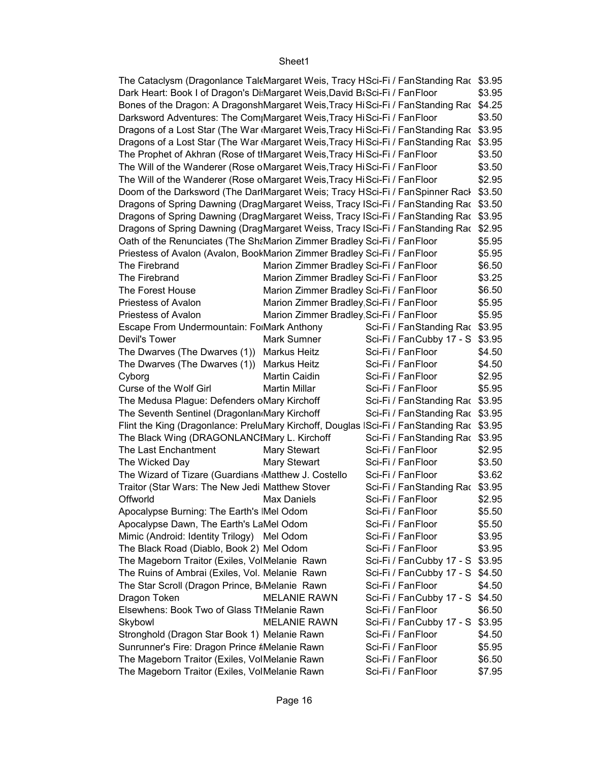| The Cataclysm (Dragonlance TaleMargaret Weis, Tracy HSci-Fi / FanStanding Rac \$3.95      |                                          |                                 |        |
|-------------------------------------------------------------------------------------------|------------------------------------------|---------------------------------|--------|
| Dark Heart: Book I of Dragon's Di Margaret Weis, David B& Sci-Fi / Fan Floor              |                                          |                                 | \$3.95 |
| Bones of the Dragon: A DragonshMargaret Weis, Tracy HiSci-Fi / FanStanding Rac \$4.25     |                                          |                                 |        |
| Darksword Adventures: The Com Margaret Weis, Tracy HiSci-Fi / FanFloor                    |                                          |                                 | \$3.50 |
| Dragons of a Lost Star (The War Margaret Weis, Tracy HiSci-Fi / FanStanding Rac \$3.95    |                                          |                                 |        |
| Dragons of a Lost Star (The War Margaret Weis, Tracy HiSci-Fi / FanStanding Rac \$3.95    |                                          |                                 |        |
| The Prophet of Akhran (Rose of tIMargaret Weis, Tracy Hi Sci-Fi / Fan Floor               |                                          |                                 | \$3.50 |
| The Will of the Wanderer (Rose oMargaret Weis, Tracy HiSci-Fi / FanFloor                  |                                          |                                 | \$3.50 |
| The Will of the Wanderer (Rose oMargaret Weis, Tracy HiSci-Fi / FanFloor                  |                                          |                                 | \$2.95 |
| Doom of the Darksword (The DarlMargaret Weis; Tracy HSci-Fi / FanSpinner Racl \$3.50      |                                          |                                 |        |
| Dragons of Spring Dawning (DragMargaret Weiss, Tracy ISci-Fi / FanStanding Rac \$3.50     |                                          |                                 |        |
| Dragons of Spring Dawning (DragMargaret Weiss, Tracy ISci-Fi / FanStanding Rac \$3.95     |                                          |                                 |        |
| Dragons of Spring Dawning (DragMargaret Weiss, Tracy ISci-Fi / FanStanding Rac \$2.95     |                                          |                                 |        |
| Oath of the Renunciates (The Sh&Marion Zimmer Bradley Sci-Fi / FanFloor                   |                                          |                                 | \$5.95 |
| Priestess of Avalon (Avalon, BookMarion Zimmer Bradley Sci-Fi / FanFloor                  |                                          |                                 | \$5.95 |
| The Firebrand                                                                             | Marion Zimmer Bradley Sci-Fi / FanFloor  |                                 | \$6.50 |
| The Firebrand                                                                             | Marion Zimmer Bradley Sci-Fi / FanFloor  |                                 | \$3.25 |
| The Forest House                                                                          | Marion Zimmer Bradley Sci-Fi / FanFloor  |                                 | \$6.50 |
| Priestess of Avalon                                                                       | Marion Zimmer Bradley, Sci-Fi / FanFloor |                                 | \$5.95 |
| Priestess of Avalon                                                                       | Marion Zimmer Bradley, Sci-Fi / FanFloor |                                 | \$5.95 |
| Escape From Undermountain: FolMark Anthony                                                |                                          | Sci-Fi / FanStanding Rac \$3.95 |        |
| Devil's Tower                                                                             | Mark Sumner                              | Sci-Fi / FanCubby 17 - S \$3.95 |        |
| The Dwarves (The Dwarves (1)) Markus Heitz                                                |                                          | Sci-Fi / FanFloor               | \$4.50 |
| The Dwarves (The Dwarves (1)) Markus Heitz                                                |                                          | Sci-Fi / FanFloor               | \$4.50 |
| Cyborg                                                                                    | Martin Caidin                            | Sci-Fi / FanFloor               | \$2.95 |
| Curse of the Wolf Girl                                                                    | <b>Martin Millar</b>                     | Sci-Fi / FanFloor               | \$5.95 |
| The Medusa Plague: Defenders oMary Kirchoff                                               |                                          | Sci-Fi / FanStanding Rac \$3.95 |        |
| The Seventh Sentinel (Dragonlan Mary Kirchoff                                             |                                          | Sci-Fi / FanStanding Rac \$3.95 |        |
| Flint the King (Dragonlance: PreluMary Kirchoff, Douglas ISci-Fi / FanStanding Rac \$3.95 |                                          |                                 |        |
| The Black Wing (DRAGONLANCIMary L. Kirchoff                                               |                                          | Sci-Fi / FanStanding Rac \$3.95 |        |
| The Last Enchantment                                                                      | Mary Stewart                             | Sci-Fi / FanFloor               | \$2.95 |
| The Wicked Day                                                                            | <b>Mary Stewart</b>                      | Sci-Fi / FanFloor               | \$3.50 |
| The Wizard of Tizare (Guardians Matthew J. Costello                                       |                                          | Sci-Fi / FanFloor               | \$3.62 |
| Traitor (Star Wars: The New Jedi Matthew Stover                                           |                                          | Sci-Fi / FanStanding Rac \$3.95 |        |
| Offworld                                                                                  | Max Daniels                              | Sci-Fi / FanFloor               | \$2.95 |
| Apocalypse Burning: The Earth's Mel Odom                                                  |                                          | Sci-Fi / FanFloor               | \$5.50 |
| Apocalypse Dawn, The Earth's LaMel Odom                                                   |                                          | Sci-Fi / FanFloor               | \$5.50 |
| Mimic (Android: Identity Trilogy) Mel Odom                                                |                                          | Sci-Fi / FanFloor               | \$3.95 |
| The Black Road (Diablo, Book 2) Mel Odom                                                  |                                          | Sci-Fi / FanFloor               | \$3.95 |
| The Mageborn Traitor (Exiles, VolMelanie Rawn                                             |                                          | Sci-Fi / FanCubby 17 - S        | \$3.95 |
| The Ruins of Ambrai (Exiles, Vol. Melanie Rawn                                            |                                          | Sci-Fi / FanCubby 17 - S \$4.50 |        |
| The Star Scroll (Dragon Prince, B Melanie Rawn                                            |                                          | Sci-Fi / FanFloor               | \$4.50 |
| Dragon Token                                                                              | <b>MELANIE RAWN</b>                      | Sci-Fi / FanCubby 17 - S        | \$4.50 |
| Elsewhens: Book Two of Glass TIMelanie Rawn                                               |                                          | Sci-Fi / FanFloor               | \$6.50 |
| Skybowl                                                                                   | <b>MELANIE RAWN</b>                      | Sci-Fi / FanCubby 17 - S        | \$3.95 |
| Stronghold (Dragon Star Book 1) Melanie Rawn                                              |                                          | Sci-Fi / FanFloor               | \$4.50 |
| Sunrunner's Fire: Dragon Prince #Melanie Rawn                                             |                                          | Sci-Fi / FanFloor               | \$5.95 |
| The Mageborn Traitor (Exiles, VolMelanie Rawn                                             |                                          | Sci-Fi / FanFloor               | \$6.50 |
| The Mageborn Traitor (Exiles, VolMelanie Rawn                                             |                                          | Sci-Fi / FanFloor               | \$7.95 |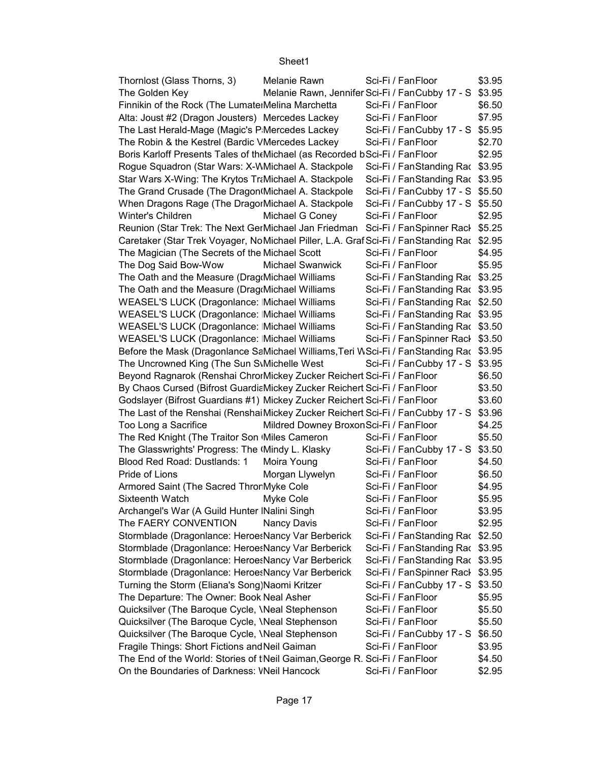| Thornlost (Glass Thorns, 3)                                                               | Melanie Rawn                           | Sci-Fi / FanFloor                                      | \$3.95 |
|-------------------------------------------------------------------------------------------|----------------------------------------|--------------------------------------------------------|--------|
| The Golden Key                                                                            |                                        | Melanie Rawn, Jennifer Sci-Fi / FanCubby 17 - S \$3.95 |        |
| Finnikin of the Rock (The LumaterMelina Marchetta                                         |                                        | Sci-Fi / FanFloor                                      | \$6.50 |
| Alta: Joust #2 (Dragon Jousters) Mercedes Lackey                                          |                                        | Sci-Fi / FanFloor                                      | \$7.95 |
| The Last Herald-Mage (Magic's P Mercedes Lackey                                           |                                        | Sci-Fi / FanCubby 17 - S \$5.95                        |        |
| The Robin & the Kestrel (Bardic VMercedes Lackey                                          |                                        | Sci-Fi / FanFloor                                      | \$2.70 |
| Boris Karloff Presents Tales of the Michael (as Recorded b Sci-Fi / Fan Floor             |                                        |                                                        | \$2.95 |
| Rogue Squadron (Star Wars: X-WMichael A. Stackpole                                        |                                        | Sci-Fi / FanStanding Rac \$3.95                        |        |
| Star Wars X-Wing: The Krytos TraMichael A. Stackpole                                      |                                        | Sci-Fi / FanStanding Rac \$3.95                        |        |
| The Grand Crusade (The Dragon(Michael A. Stackpole                                        |                                        | Sci-Fi / FanCubby 17 - S \$5.50                        |        |
| When Dragons Rage (The DragorMichael A. Stackpole                                         |                                        | Sci-Fi / FanCubby 17 - S \$5.50                        |        |
| Winter's Children                                                                         | Michael G Coney                        | Sci-Fi / FanFloor                                      | \$2.95 |
| Reunion (Star Trek: The Next GerMichael Jan Friedman Sci-Fi / FanSpinner Racl \$5.25      |                                        |                                                        |        |
| Caretaker (Star Trek Voyager, NoMichael Piller, L.A. Graf Sci-Fi / FanStanding Rac \$2.95 |                                        |                                                        |        |
| The Magician (The Secrets of the Michael Scott                                            |                                        | Sci-Fi / FanFloor                                      | \$4.95 |
| The Dog Said Bow-Wow                                                                      | <b>Michael Swanwick</b>                | Sci-Fi / FanFloor                                      | \$5.95 |
| The Oath and the Measure (Drag Michael Williams                                           |                                        | Sci-Fi / FanStanding Rac \$3.25                        |        |
| The Oath and the Measure (Drag Michael Williams                                           |                                        | Sci-Fi / FanStanding Rac \$3.95                        |        |
| <b>WEASEL'S LUCK (Dragonlance: Michael Williams)</b>                                      |                                        | Sci-Fi / FanStanding Rac \$2.50                        |        |
| WEASEL'S LUCK (Dragonlance: Michael Williams                                              |                                        | Sci-Fi / FanStanding Rac \$3.95                        |        |
| WEASEL'S LUCK (Dragonlance: Michael Williams                                              |                                        | Sci-Fi / FanStanding Rac \$3.50                        |        |
| <b>WEASEL'S LUCK (Dragonlance: Michael Williams)</b>                                      |                                        | Sci-Fi / FanSpinner Rack \$3.50                        |        |
| Before the Mask (Dragonlance SaMichael Williams, Teri WSci-Fi / FanStanding Rac \$3.95    |                                        |                                                        |        |
| The Uncrowned King (The Sun S\Michelle West                                               |                                        | Sci-Fi / FanCubby 17 - S \$3.95                        |        |
| Beyond Ragnarok (Renshai ChrorMickey Zucker Reichert Sci-Fi / FanFloor                    |                                        |                                                        | \$6.50 |
| By Chaos Cursed (Bifrost GuardiaMickey Zucker Reichert Sci-Fi / FanFloor                  |                                        |                                                        | \$3.50 |
| Godslayer (Bifrost Guardians #1) Mickey Zucker Reichert Sci-Fi / FanFloor                 |                                        |                                                        | \$3.60 |
| The Last of the Renshai (Renshai Mickey Zucker Reichert Sci-Fi / FanCubby 17 - S \$3.96   |                                        |                                                        |        |
| Too Long a Sacrifice                                                                      | Mildred Downey BroxonSci-Fi / FanFloor |                                                        | \$4.25 |
| The Red Knight (The Traitor Son Miles Cameron                                             |                                        | Sci-Fi / FanFloor                                      | \$5.50 |
|                                                                                           |                                        |                                                        |        |
| The Glasswrights' Progress: The (Mindy L. Klasky                                          |                                        | Sci-Fi / FanCubby 17 - S \$3.50                        |        |
| Blood Red Road: Dustlands: 1                                                              | Moira Young                            | Sci-Fi / FanFloor                                      | \$4.50 |
| Pride of Lions                                                                            | Morgan Llywelyn                        | Sci-Fi / FanFloor                                      | \$6.50 |
| Armored Saint (The Sacred Thror Myke Cole                                                 |                                        | Sci-Fi / FanFloor                                      | \$4.95 |
| Sixteenth Watch                                                                           | Myke Cole                              | Sci-Fi / FanFloor                                      | \$5.95 |
| Archangel's War (A Guild Hunter INalini Singh                                             |                                        | Sci-Fi / FanFloor                                      | \$3.95 |
| The FAERY CONVENTION                                                                      | Nancy Davis                            | Sci-Fi / FanFloor                                      | \$2.95 |
| Stormblade (Dragonlance: Heroe: Nancy Var Berberick                                       |                                        | Sci-Fi / FanStanding Rac \$2.50                        |        |
| Stormblade (Dragonlance: Heroe: Nancy Var Berberick                                       |                                        | Sci-Fi / FanStanding Rac \$3.95                        |        |
| Stormblade (Dragonlance: Heroe: Nancy Var Berberick                                       |                                        | Sci-Fi / FanStanding Rac \$3.95                        |        |
| Stormblade (Dragonlance: Heroe: Nancy Var Berberick                                       |                                        | Sci-Fi / FanSpinner Rack \$3.95                        |        |
| Turning the Storm (Eliana's Song)Naomi Kritzer                                            |                                        | Sci-Fi / FanCubby 17 - S \$3.50                        |        |
| The Departure: The Owner: Book Neal Asher                                                 |                                        | Sci-Fi / FanFloor                                      | \$5.95 |
| Quicksilver (The Baroque Cycle, \Neal Stephenson                                          |                                        | Sci-Fi / FanFloor                                      | \$5.50 |
| Quicksilver (The Baroque Cycle, <i>Neal Stephenson</i>                                    |                                        | Sci-Fi / FanFloor                                      | \$5.50 |
| Quicksilver (The Baroque Cycle, \Neal Stephenson                                          |                                        | Sci-Fi / FanCubby 17 - S \$6.50                        |        |
| Fragile Things: Short Fictions and Neil Gaiman                                            |                                        | Sci-Fi / FanFloor                                      | \$3.95 |
| The End of the World: Stories of tNeil Gaiman, George R. Sci-Fi / FanFloor                |                                        |                                                        | \$4.50 |
| On the Boundaries of Darkness: VNeil Hancock                                              |                                        | Sci-Fi / FanFloor                                      | \$2.95 |
|                                                                                           |                                        |                                                        |        |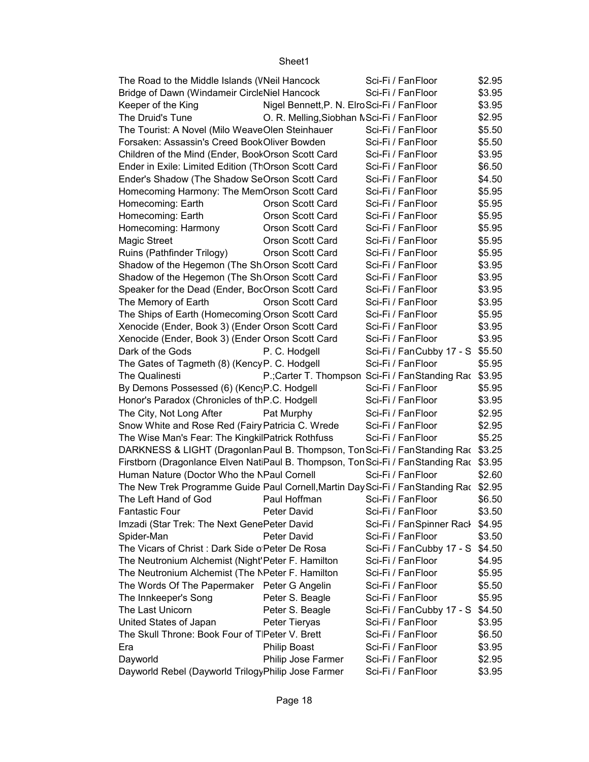| The Road to the Middle Islands (VNeil Hancock                                           |                                            | Sci-Fi / FanFloor                                       | \$2.95 |
|-----------------------------------------------------------------------------------------|--------------------------------------------|---------------------------------------------------------|--------|
| Bridge of Dawn (Windameir CircleNiel Hancock                                            |                                            | Sci-Fi / FanFloor                                       | \$3.95 |
| Keeper of the King                                                                      | Nigel Bennett, P. N. ElroSci-Fi / FanFloor |                                                         | \$3.95 |
| The Druid's Tune                                                                        | O. R. Melling, Siobhan NSci-Fi / FanFloor  |                                                         | \$2.95 |
| The Tourist: A Novel (Milo WeaveOlen Steinhauer                                         |                                            | Sci-Fi / FanFloor                                       | \$5.50 |
| Forsaken: Assassin's Creed BookOliver Bowden                                            |                                            | Sci-Fi / FanFloor                                       | \$5.50 |
| Children of the Mind (Ender, BookOrson Scott Card                                       |                                            | Sci-Fi / FanFloor                                       | \$3.95 |
| Ender in Exile: Limited Edition (ThOrson Scott Card                                     |                                            | Sci-Fi / FanFloor                                       | \$6.50 |
| Ender's Shadow (The Shadow SeOrson Scott Card                                           |                                            | Sci-Fi / FanFloor                                       | \$4.50 |
| Homecoming Harmony: The MemOrson Scott Card                                             |                                            | Sci-Fi / FanFloor                                       | \$5.95 |
| Homecoming: Earth                                                                       | Orson Scott Card                           | Sci-Fi / FanFloor                                       | \$5.95 |
| Homecoming: Earth                                                                       | Orson Scott Card                           | Sci-Fi / FanFloor                                       | \$5.95 |
| Homecoming: Harmony                                                                     | Orson Scott Card                           | Sci-Fi / FanFloor                                       | \$5.95 |
| Magic Street                                                                            | Orson Scott Card                           | Sci-Fi / FanFloor                                       | \$5.95 |
| Ruins (Pathfinder Trilogy)                                                              | Orson Scott Card                           | Sci-Fi / FanFloor                                       | \$5.95 |
| Shadow of the Hegemon (The Sh Orson Scott Card                                          |                                            | Sci-Fi / FanFloor                                       | \$3.95 |
| Shadow of the Hegemon (The Sh Orson Scott Card                                          |                                            | Sci-Fi / FanFloor                                       | \$3.95 |
| Speaker for the Dead (Ender, BocOrson Scott Card                                        |                                            | Sci-Fi / FanFloor                                       | \$3.95 |
| The Memory of Earth                                                                     | Orson Scott Card                           | Sci-Fi / FanFloor                                       | \$3.95 |
| The Ships of Earth (Homecoming Orson Scott Card                                         |                                            | Sci-Fi / FanFloor                                       | \$5.95 |
| Xenocide (Ender, Book 3) (Ender Orson Scott Card                                        |                                            | Sci-Fi / FanFloor                                       | \$3.95 |
| Xenocide (Ender, Book 3) (Ender Orson Scott Card                                        |                                            | Sci-Fi / FanFloor                                       | \$3.95 |
| Dark of the Gods                                                                        | P. C. Hodgell                              | Sci-Fi / FanCubby 17 - S \$5.50                         |        |
| The Gates of Tagmeth (8) (Kency P. C. Hodgell                                           |                                            | Sci-Fi / FanFloor                                       | \$5.95 |
| The Qualinesti                                                                          |                                            | P.; Carter T. Thompson Sci-Fi / Fan Standing Rac \$3.95 |        |
| By Demons Possessed (6) (Kenc P.C. Hodgell                                              |                                            | Sci-Fi / FanFloor                                       | \$5.95 |
| Honor's Paradox (Chronicles of thP.C. Hodgell                                           |                                            | Sci-Fi / FanFloor                                       | \$3.95 |
| The City, Not Long After                                                                | Pat Murphy                                 | Sci-Fi / FanFloor                                       | \$2.95 |
| Snow White and Rose Red (Fairy Patricia C. Wrede                                        |                                            | Sci-Fi / FanFloor                                       | \$2.95 |
| The Wise Man's Fear: The KingkilPatrick Rothfuss                                        |                                            | Sci-Fi / FanFloor                                       | \$5.25 |
| DARKNESS & LIGHT (Dragonlan Paul B. Thompson, Ton Sci-Fi / Fan Standing Rac \$3.25      |                                            |                                                         |        |
| Firstborn (Dragonlance Elven NatiPaul B. Thompson, Ton Sci-Fi / Fan Standing Rac \$3.95 |                                            |                                                         |        |
| Human Nature (Doctor Who the NPaul Cornell                                              |                                            | Sci-Fi / FanFloor                                       | \$2.60 |
| The New Trek Programme Guide Paul Cornell, Martin Day Sci-Fi / Fan Standing Rac \$2.95  |                                            |                                                         |        |
| The Left Hand of God                                                                    | Paul Hoffman                               | Sci-Fi / FanFloor                                       | \$6.50 |
| <b>Fantastic Four</b>                                                                   | Peter David                                | Sci-Fi / FanFloor                                       | \$3.50 |
| Imzadi (Star Trek: The Next GenePeter David                                             |                                            | Sci-Fi / FanSpinner Rack                                | \$4.95 |
| Spider-Man                                                                              | Peter David                                | Sci-Fi / FanFloor                                       | \$3.50 |
| The Vicars of Christ: Dark Side o Peter De Rosa                                         |                                            | Sci-Fi / FanCubby 17 - S                                | \$4.50 |
| The Neutronium Alchemist (Night'Peter F. Hamilton                                       |                                            | Sci-Fi / FanFloor                                       | \$4.95 |
| The Neutronium Alchemist (The NPeter F. Hamilton                                        |                                            | Sci-Fi / FanFloor                                       | \$5.95 |
| The Words Of The Papermaker Peter G Angelin                                             |                                            | Sci-Fi / FanFloor                                       | \$5.50 |
| The Innkeeper's Song                                                                    | Peter S. Beagle                            | Sci-Fi / FanFloor                                       | \$5.95 |
| The Last Unicorn                                                                        | Peter S. Beagle                            | Sci-Fi / FanCubby 17 - S                                | \$4.50 |
| United States of Japan                                                                  | Peter Tieryas                              | Sci-Fi / FanFloor                                       | \$3.95 |
| The Skull Throne: Book Four of TIPeter V. Brett                                         |                                            | Sci-Fi / FanFloor                                       | \$6.50 |
| Era                                                                                     | <b>Philip Boast</b>                        | Sci-Fi / FanFloor                                       | \$3.95 |
| Dayworld                                                                                | Philip Jose Farmer                         | Sci-Fi / FanFloor                                       | \$2.95 |
| Dayworld Rebel (Dayworld TrilogyPhilip Jose Farmer                                      |                                            | Sci-Fi / FanFloor                                       | \$3.95 |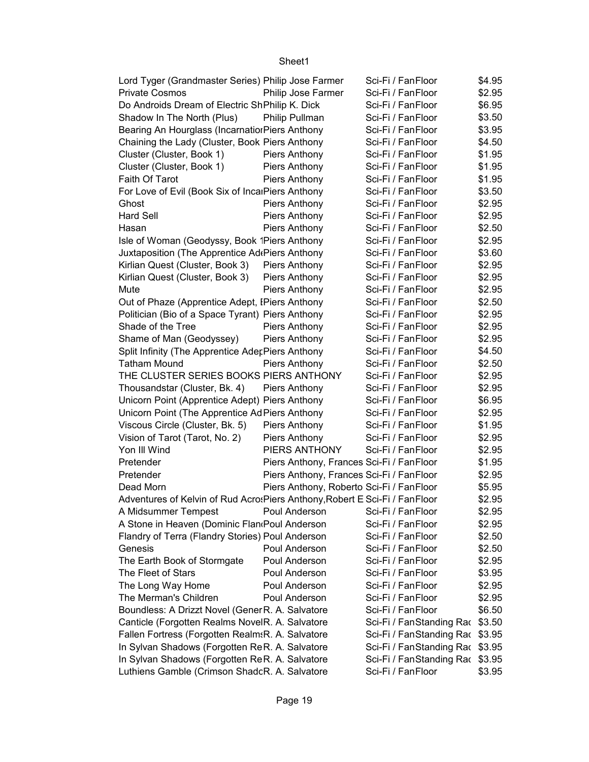| Lord Tyger (Grandmaster Series) Philip Jose Farmer                          |                                          | Sci-Fi / FanFloor               | \$4.95 |
|-----------------------------------------------------------------------------|------------------------------------------|---------------------------------|--------|
| <b>Private Cosmos</b>                                                       | Philip Jose Farmer                       | Sci-Fi / FanFloor               | \$2.95 |
| Do Androids Dream of Electric ShPhilip K. Dick                              |                                          | Sci-Fi / FanFloor               | \$6.95 |
| Shadow In The North (Plus)                                                  | Philip Pullman                           | Sci-Fi / FanFloor               | \$3.50 |
| Bearing An Hourglass (Incarnation Piers Anthony                             |                                          | Sci-Fi / FanFloor               | \$3.95 |
| Chaining the Lady (Cluster, Book Piers Anthony                              |                                          | Sci-Fi / FanFloor               | \$4.50 |
| Cluster (Cluster, Book 1)                                                   | Piers Anthony                            | Sci-Fi / FanFloor               | \$1.95 |
| Cluster (Cluster, Book 1)                                                   | Piers Anthony                            | Sci-Fi / FanFloor               | \$1.95 |
| Faith Of Tarot                                                              | <b>Piers Anthony</b>                     | Sci-Fi / FanFloor               | \$1.95 |
| For Love of Evil (Book Six of IncalPiers Anthony                            |                                          | Sci-Fi / FanFloor               | \$3.50 |
| Ghost                                                                       | Piers Anthony                            | Sci-Fi / FanFloor               | \$2.95 |
| <b>Hard Sell</b>                                                            | Piers Anthony                            | Sci-Fi / FanFloor               | \$2.95 |
| Hasan                                                                       | <b>Piers Anthony</b>                     | Sci-Fi / FanFloor               | \$2.50 |
| Isle of Woman (Geodyssy, Book 1Piers Anthony                                |                                          | Sci-Fi / FanFloor               | \$2.95 |
| Juxtaposition (The Apprentice Ad Piers Anthony                              |                                          | Sci-Fi / FanFloor               | \$3.60 |
| Kirlian Quest (Cluster, Book 3)                                             | Piers Anthony                            | Sci-Fi / FanFloor               | \$2.95 |
| Kirlian Quest (Cluster, Book 3)                                             | Piers Anthony                            | Sci-Fi / FanFloor               | \$2.95 |
| Mute                                                                        | <b>Piers Anthony</b>                     | Sci-Fi / FanFloor               | \$2.95 |
| Out of Phaze (Apprentice Adept, IPiers Anthony                              |                                          | Sci-Fi / FanFloor               | \$2.50 |
| Politician (Bio of a Space Tyrant) Piers Anthony                            |                                          | Sci-Fi / FanFloor               | \$2.95 |
| Shade of the Tree                                                           | <b>Piers Anthony</b>                     | Sci-Fi / FanFloor               | \$2.95 |
| Shame of Man (Geodyssey)                                                    | <b>Piers Anthony</b>                     | Sci-Fi / FanFloor               | \$2.95 |
| Split Infinity (The Apprentice Ader Piers Anthony                           |                                          | Sci-Fi / FanFloor               | \$4.50 |
| <b>Tatham Mound</b>                                                         | Piers Anthony                            | Sci-Fi / FanFloor               | \$2.50 |
| THE CLUSTER SERIES BOOKS PIERS ANTHONY                                      |                                          | Sci-Fi / FanFloor               | \$2.95 |
| Thousandstar (Cluster, Bk. 4)                                               | <b>Piers Anthony</b>                     | Sci-Fi / FanFloor               | \$2.95 |
| Unicorn Point (Apprentice Adept) Piers Anthony                              |                                          | Sci-Fi / FanFloor               | \$6.95 |
| Unicorn Point (The Apprentice Ad Piers Anthony                              |                                          | Sci-Fi / FanFloor               | \$2.95 |
| Viscous Circle (Cluster, Bk. 5)                                             | Piers Anthony                            | Sci-Fi / FanFloor               | \$1.95 |
| Vision of Tarot (Tarot, No. 2)                                              | <b>Piers Anthony</b>                     | Sci-Fi / FanFloor               | \$2.95 |
| Yon III Wind                                                                | PIERS ANTHONY                            | Sci-Fi / FanFloor               | \$2.95 |
| Pretender                                                                   | Piers Anthony, Frances Sci-Fi / FanFloor |                                 | \$1.95 |
| Pretender                                                                   | Piers Anthony, Frances Sci-Fi / FanFloor |                                 | \$2.95 |
| Dead Morn                                                                   | Piers Anthony, Roberto Sci-Fi / FanFloor |                                 | \$5.95 |
| Adventures of Kelvin of Rud Acro: Piers Anthony, Robert E Sci-Fi / FanFloor |                                          |                                 | \$2.95 |
| A Midsummer Tempest                                                         | Poul Anderson                            | Sci-Fi / FanFloor               | \$2.95 |
| A Stone in Heaven (Dominic Flan Poul Anderson                               |                                          | Sci-Fi / FanFloor               | \$2.95 |
| Flandry of Terra (Flandry Stories) Poul Anderson                            |                                          | Sci-Fi / FanFloor               | \$2.50 |
| Genesis                                                                     | Poul Anderson                            | Sci-Fi / FanFloor               | \$2.50 |
| The Earth Book of Stormgate                                                 | Poul Anderson                            | Sci-Fi / FanFloor               | \$2.95 |
| The Fleet of Stars                                                          | Poul Anderson                            | Sci-Fi / FanFloor               | \$3.95 |
| The Long Way Home                                                           | Poul Anderson                            | Sci-Fi / FanFloor               | \$2.95 |
| The Merman's Children                                                       | Poul Anderson                            | Sci-Fi / FanFloor               | \$2.95 |
| Boundless: A Drizzt Novel (Gener R. A. Salvatore                            |                                          | Sci-Fi / FanFloor               | \$6.50 |
| Canticle (Forgotten Realms NovelR. A. Salvatore                             |                                          | Sci-Fi / FanStanding Rac \$3.50 |        |
| Fallen Fortress (Forgotten Realm:R. A. Salvatore                            |                                          | Sci-Fi / FanStanding Rac \$3.95 |        |
| In Sylvan Shadows (Forgotten ReR. A. Salvatore                              |                                          | Sci-Fi / FanStanding Rac \$3.95 |        |
| In Sylvan Shadows (Forgotten ReR. A. Salvatore                              |                                          | Sci-Fi / FanStanding Rac \$3.95 |        |
| Luthiens Gamble (Crimson ShadcR. A. Salvatore                               |                                          | Sci-Fi / FanFloor               | \$3.95 |
|                                                                             |                                          |                                 |        |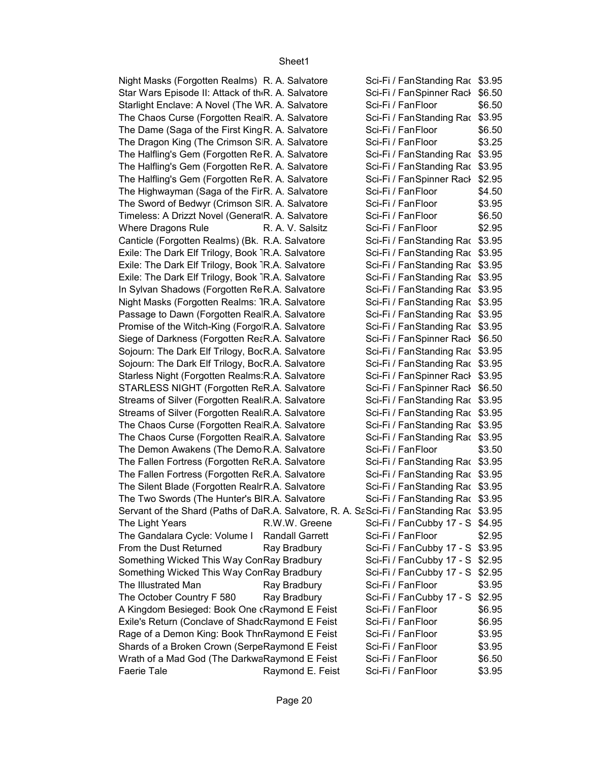Sci-Fi / FanStanding Rac \$3.95 Sci-Fi / FanSpinner Rack \$6.50 \$6.50 Sci-Fi / FanStanding Rac \$3.95 \$6.50 \$3.25 Sci-Fi / FanStanding Rac \$3.95 Sci-Fi / FanStanding Rac \$3.95 Sci-Fi / FanSpinner Rack \$2.95 \$4.50 \$3.95 \$6.50 \$2.95 Sci-Fi / FanStanding Rac \$3.95 Sci-Fi / FanStanding Rac \$3.95 Sci-Fi / FanStanding Rac \$3.95 Sci-Fi / FanStanding Rac \$3.95 Sci-Fi / FanStanding Rac \$3.95 Sci-Fi / FanStanding Rac \$3.95 Sci-Fi / FanStanding Rac \$3.95 Sci-Fi / FanStanding Rac \$3.95 Sci-Fi / FanSpinner Rack \$6.50 Sci-Fi / FanStanding Rac \$3.95 Sci-Fi / FanStanding Rac \$3.95 Sci-Fi / FanSpinner Rack \$3.95 Sci-Fi / FanSpinner Rack \$6.50 Sci-Fi / FanStanding Rac \$3.95 Sci-Fi / FanStanding Rac \$3.95 Sci-Fi / FanStanding Rac \$3.95 Sci-Fi / FanStanding Rac \$3.95 \$3.50 Sci-Fi / FanStanding Rac \$3.95 Sci-Fi / FanStanding Rac \$3.95 Sci-Fi / FanStanding Rac \$3.95 Sci-Fi / FanStanding Rac \$3.95 Servant of the Shard (Paths of DaR.A. Salvatore, R. A. SaSci-Fi / FanStanding Rac \$3.95 The Light Years R.W.W. Greene Sci-Fi / FanCubby 17 - S \$4.95 \$2.95 From the Dust Returned Ray Bradbury Sci-Fi / FanCubby 17 - S \$3.95 Sci-Fi / FanCubby 17 - S \$2.95 Sci-Fi / FanCubby 17 - S \$2.95 \$3.95 The October Country F 580 Ray Bradbury Sci-Fi / FanCubby 17 - S \$2.95 \$6.95 \$6.95 \$3.95 \$3.95 \$6.50 \$3.95 Night Masks (Forgotten Realms) R. A. Salvatore Star Wars Episode II: Attack of th<sub>'</sub>R. A. Salvatore Starlight Enclave: A Novel (The WR. A. Salvatore Sci-Fi / FanFloor The Chaos Curse (Forgotten RealR. A. Salvatore The Dame (Saga of the First King R. A. Salvatore Sci-Fi / Fan Floor The Dragon King (The Crimson SR. A. Salvatore Sci-Fi / FanFloor The Halfling's Gem (Forgotten ReR. A. Salvatore The Halfling's Gem (Forgotten ReR. A. Salvatore The Halfling's Gem (Forgotten ReR. A. Salvatore The Highwayman (Saga of the FirR. A. Salvatore Sci-Fi / Fan Floor The Sword of Bedwyr (Crimson SIR. A. Salvatore Sci-Fi / Fan Floor Timeless: A Drizzt Novel (GeneratR. A. Salvatore Sci-Fi / FanFloor Where Dragons Rule R. A. V. Salsitz Sci-Fi / Fan Floor Canticle (Forgotten Realms) (Bk. R.A. Salvatore Exile: The Dark Elf Trilogy, Book TR.A. Salvatore Exile: The Dark Elf Trilogy, Book TR.A. Salvatore Exile: The Dark Elf Trilogy, Book TR.A. Salvatore In Sylvan Shadows (Forgotten ReR.A. Salvatore Night Masks (Forgotten Realms: <sub>JR.A.</sub> Salvatore Passage to Dawn (Forgotten RealR.A. Salvatore Promise of the Witch-King (ForgotR.A. Salvatore Siege of Darkness (Forgotten ReaR.A. Salvatore Sojourn: The Dark Elf Trilogy, BocR.A. Salvatore Sojourn: The Dark Elf Trilogy, BocR.A. Salvatore Starless Night (Forgotten Realms: R.A. Salvatore STARLESS NIGHT (Forgotten ReR.A. Salvatore Streams of Silver (Forgotten Real R.A. Salvatore Streams of Silver (Forgotten Real R.A. Salvatore The Chaos Curse (Forgotten RealR.A. Salvatore The Chaos Curse (Forgotten RealR.A. Salvatore The Demon Awakens (The Demo R.A. Salvatore Sci-Fi / Fan Floor The Fallen Fortress (Forgotten ReR.A. Salvatore The Fallen Fortress (Forgotten ReR.A. Salvatore The Silent Blade (Forgotten Realr R.A. Salvatore The Two Swords (The Hunter's BIR.A. Salvatore The Gandalara Cycle: Volume I Randall Garrett Sci-Fi / FanFloor Something Wicked This Way ConRay Bradbury Something Wicked This Way ConRay Bradbury The Illustrated Man **Ray Bradbury** Sci-Fi / Fan Floor A Kingdom Besieged: Book One (Raymond E Feist Sci-Fi / Fan Floor Exile's Return (Conclave of Shad Raymond E Feist Sci-Fi / Fan Floor Rage of a Demon King: Book Thrk Raymond E Feist Sci-Fi / Fan Floor Shards of a Broken Crown (SerpeRaymond E Feist Sci-Fi / Fan Floor Wrath of a Mad God (The DarkwaRaymond E Feist Sci-Fi / Fan Floor Faerie Tale **Raymond E. Feist** Sci-Fi / Fan Floor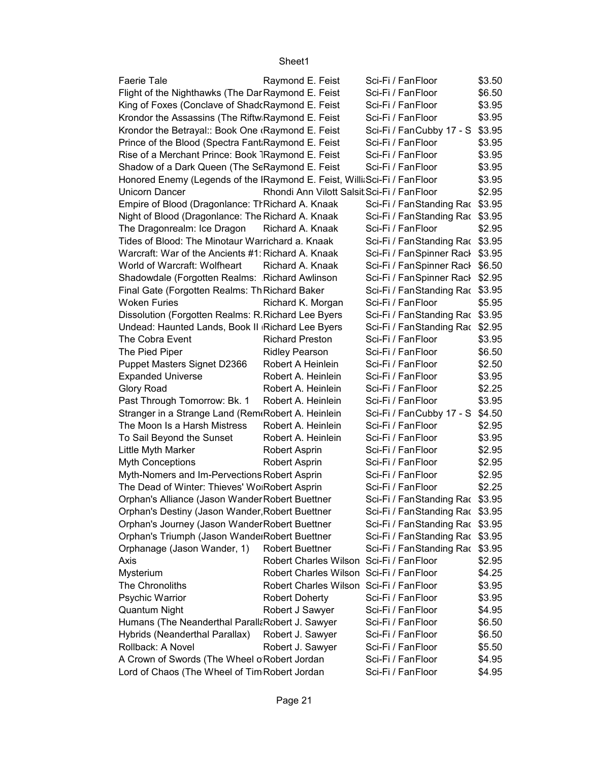| <b>Faerie Tale</b>                                                        | Raymond E. Feist                           | Sci-Fi / FanFloor               | \$3.50 |
|---------------------------------------------------------------------------|--------------------------------------------|---------------------------------|--------|
| Flight of the Nighthawks (The Dar Raymond E. Feist                        |                                            | Sci-Fi / FanFloor               | \$6.50 |
| King of Foxes (Conclave of Shad Raymond E. Feist                          |                                            | Sci-Fi / FanFloor               | \$3.95 |
| Krondor the Assassins (The Riftw Raymond E. Feist                         |                                            | Sci-Fi / FanFloor               | \$3.95 |
| Krondor the Betrayal:: Book One (Raymond E. Feist                         |                                            | Sci-Fi / FanCubby 17 - S \$3.95 |        |
| Prince of the Blood (Spectra Fant Raymond E. Feist                        |                                            | Sci-Fi / FanFloor               | \$3.95 |
| Rise of a Merchant Prince: Book 7Raymond E. Feist                         |                                            | Sci-Fi / FanFloor               | \$3.95 |
| Shadow of a Dark Queen (The ScRaymond E. Feist                            |                                            | Sci-Fi / FanFloor               | \$3.95 |
| Honored Enemy (Legends of the IRaymond E. Feist, Willi Sci-Fi / Fan Floor |                                            |                                 | \$3.95 |
| Unicorn Dancer                                                            | Rhondi Ann Vilott Salsit Sci-Fi / FanFloor |                                 | \$2.95 |
| Empire of Blood (Dragonlance: ThRichard A. Knaak                          |                                            | Sci-Fi / FanStanding Rac \$3.95 |        |
| Night of Blood (Dragonlance: The Richard A. Knaak                         |                                            | Sci-Fi / FanStanding Rac \$3.95 |        |
| The Dragonrealm: Ice Dragon                                               | Richard A. Knaak                           | Sci-Fi / FanFloor               | \$2.95 |
| Tides of Blood: The Minotaur Warrichard a. Knaak                          |                                            | Sci-Fi / FanStanding Rac \$3.95 |        |
| Warcraft: War of the Ancients #1: Richard A. Knaak                        |                                            | Sci-Fi / FanSpinner Rack \$3.95 |        |
| World of Warcraft: Wolfheart                                              | Richard A. Knaak                           | Sci-Fi / FanSpinner Rack \$6.50 |        |
| Shadowdale (Forgotten Realms: Richard Awlinson                            |                                            | Sci-Fi / FanSpinner Rack \$2.95 |        |
| Final Gate (Forgotten Realms: Th Richard Baker                            |                                            | Sci-Fi / FanStanding Rac \$3.95 |        |
| <b>Woken Furies</b>                                                       | Richard K. Morgan                          | Sci-Fi / FanFloor               | \$5.95 |
| Dissolution (Forgotten Realms: R.Richard Lee Byers                        |                                            | Sci-Fi / FanStanding Rac \$3.95 |        |
| Undead: Haunted Lands, Book II Richard Lee Byers                          |                                            | Sci-Fi / FanStanding Rac \$2.95 |        |
| The Cobra Event                                                           | <b>Richard Preston</b>                     | Sci-Fi / FanFloor               | \$3.95 |
| The Pied Piper                                                            | <b>Ridley Pearson</b>                      | Sci-Fi / FanFloor               | \$6.50 |
| Puppet Masters Signet D2366                                               | Robert A Heinlein                          | Sci-Fi / FanFloor               | \$2.50 |
| <b>Expanded Universe</b>                                                  | Robert A. Heinlein                         | Sci-Fi / FanFloor               | \$3.95 |
| Glory Road                                                                | Robert A. Heinlein                         | Sci-Fi / FanFloor               | \$2.25 |
| Past Through Tomorrow: Bk. 1                                              | Robert A. Heinlein                         | Sci-Fi / FanFloor               | \$3.95 |
| Stranger in a Strange Land (Rem Robert A. Heinlein                        |                                            | Sci-Fi / FanCubby 17 - S \$4.50 |        |
| The Moon Is a Harsh Mistress                                              | Robert A. Heinlein                         | Sci-Fi / FanFloor               | \$2.95 |
| To Sail Beyond the Sunset                                                 | Robert A. Heinlein                         | Sci-Fi / FanFloor               | \$3.95 |
| Little Myth Marker                                                        | Robert Asprin                              | Sci-Fi / FanFloor               | \$2.95 |
| <b>Myth Conceptions</b>                                                   | Robert Asprin                              | Sci-Fi / FanFloor               | \$2.95 |
| Myth-Nomers and Im-Pervections Robert Asprin                              |                                            | Sci-Fi / FanFloor               | \$2.95 |
| The Dead of Winter: Thieves' Wo Robert Asprin                             |                                            | Sci-Fi / FanFloor               | \$2.25 |
| Orphan's Alliance (Jason Wander Robert Buettner                           |                                            | Sci-Fi / FanStanding Rac \$3.95 |        |
| Orphan's Destiny (Jason Wander, Robert Buettner                           |                                            | Sci-Fi / FanStanding Rac \$3.95 |        |
| Orphan's Journey (Jason Wander Robert Buettner                            |                                            | Sci-Fi / FanStanding Rac \$3.95 |        |
| Orphan's Triumph (Jason WanderRobert Buettner                             |                                            | Sci-Fi / FanStanding Rac \$3.95 |        |
| Orphanage (Jason Wander, 1)                                               | <b>Robert Buettner</b>                     | Sci-Fi / FanStanding Rac \$3.95 |        |
| Axis                                                                      | Robert Charles Wilson Sci-Fi / FanFloor    |                                 | \$2.95 |
| Mysterium                                                                 | Robert Charles Wilson Sci-Fi / FanFloor    |                                 | \$4.25 |
| The Chronoliths                                                           | Robert Charles Wilson Sci-Fi / FanFloor    |                                 | \$3.95 |
| Psychic Warrior                                                           | <b>Robert Doherty</b>                      | Sci-Fi / FanFloor               | \$3.95 |
| Quantum Night                                                             | Robert J Sawyer                            | Sci-Fi / FanFloor               | \$4.95 |
| Humans (The Neanderthal ParallaRobert J. Sawyer                           |                                            | Sci-Fi / FanFloor               | \$6.50 |
| Hybrids (Neanderthal Parallax)                                            | Robert J. Sawyer                           | Sci-Fi / FanFloor               | \$6.50 |
| Rollback: A Novel                                                         | Robert J. Sawyer                           | Sci-Fi / FanFloor               | \$5.50 |
| A Crown of Swords (The Wheel o Robert Jordan                              |                                            | Sci-Fi / FanFloor               | \$4.95 |
| Lord of Chaos (The Wheel of Tim Robert Jordan                             |                                            | Sci-Fi / FanFloor               | \$4.95 |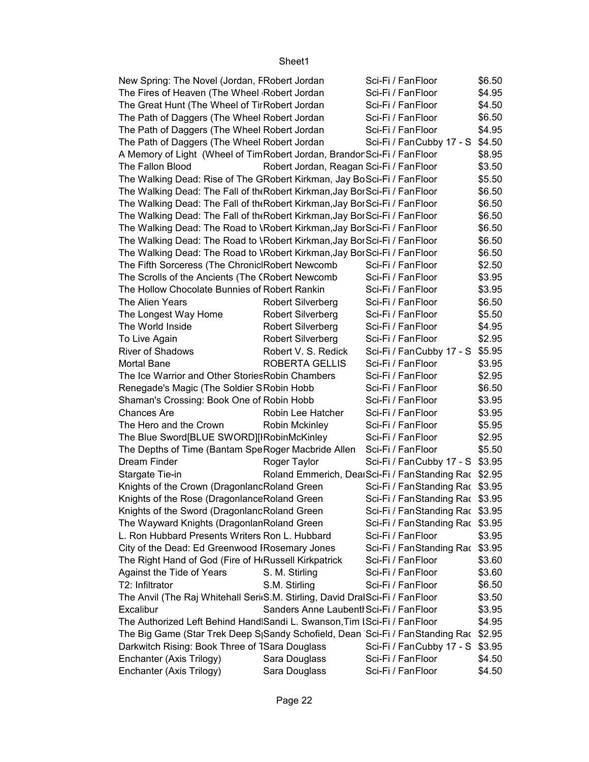| New Spring: The Novel (Jordan, FRobert Jordan                                 |                                                      | Sci-Fi / FanFloor               | \$6.50 |
|-------------------------------------------------------------------------------|------------------------------------------------------|---------------------------------|--------|
| The Fires of Heaven (The Wheel Robert Jordan                                  |                                                      | Sci-Fi / FanFloor               | \$4.95 |
| The Great Hunt (The Wheel of TirRobert Jordan                                 |                                                      | Sci-Fi / FanFloor               | \$4.50 |
| The Path of Daggers (The Wheel Robert Jordan                                  |                                                      | Sci-Fi / FanFloor               | \$6.50 |
| The Path of Daggers (The Wheel Robert Jordan                                  |                                                      | Sci-Fi / FanFloor               | \$4.95 |
| The Path of Daggers (The Wheel Robert Jordan                                  |                                                      | Sci-Fi / FanCubby 17 - S        | \$4.50 |
| A Memory of Light (Wheel of TimRobert Jordan, Brandor Sci-Fi / FanFloor       |                                                      |                                 | \$8.95 |
| The Fallon Blood                                                              | Robert Jordan, Reagan Sci-Fi / FanFloor              |                                 | \$3.50 |
| The Walking Dead: Rise of The GRobert Kirkman, Jay BoSci-Fi / FanFloor        |                                                      |                                 | \$5.50 |
| The Walking Dead: The Fall of the Robert Kirkman, Jay BorSci-Fi / Fan Floor   |                                                      |                                 | \$6.50 |
| The Walking Dead: The Fall of the Robert Kirkman, Jay BorSci-Fi / Fan Floor   |                                                      |                                 | \$6.50 |
| The Walking Dead: The Fall of the Robert Kirkman, Jay BorSci-Fi / Fan Floor   |                                                      |                                 | \$6.50 |
| The Walking Dead: The Road to \Robert Kirkman, Jay BorSci-Fi / FanFloor       |                                                      |                                 | \$6.50 |
| The Walking Dead: The Road to \Robert Kirkman, Jay BorSci-Fi / FanFloor       |                                                      |                                 | \$6.50 |
| The Walking Dead: The Road to \Robert Kirkman, Jay BorSci-Fi / FanFloor       |                                                      |                                 | \$6.50 |
| The Fifth Sorceress (The Chronic Robert Newcomb                               |                                                      | Sci-Fi / FanFloor               | \$2.50 |
| The Scrolls of the Ancients (The CRobert Newcomb                              |                                                      | Sci-Fi / FanFloor               | \$3.95 |
| The Hollow Chocolate Bunnies of Robert Rankin                                 |                                                      | Sci-Fi / FanFloor               | \$3.95 |
| The Alien Years                                                               | <b>Robert Silverberg</b>                             | Sci-Fi / FanFloor               | \$6.50 |
| The Longest Way Home                                                          | Robert Silverberg                                    | Sci-Fi / FanFloor               | \$5.50 |
| The World Inside                                                              | <b>Robert Silverberg</b>                             | Sci-Fi / FanFloor               | \$4.95 |
| To Live Again                                                                 | <b>Robert Silverberg</b>                             | Sci-Fi / FanFloor               | \$2.95 |
| <b>River of Shadows</b>                                                       | Robert V. S. Redick                                  | Sci-Fi / FanCubby 17 - S        | \$5.95 |
| <b>Mortal Bane</b>                                                            | ROBERTA GELLIS                                       | Sci-Fi / FanFloor               | \$3.95 |
| The Ice Warrior and Other Stories Robin Chambers                              |                                                      | Sci-Fi / FanFloor               | \$2.95 |
| Renegade's Magic (The Soldier SRobin Hobb                                     |                                                      | Sci-Fi / FanFloor               | \$6.50 |
| Shaman's Crossing: Book One of Robin Hobb                                     |                                                      | Sci-Fi / FanFloor               | \$3.95 |
| <b>Chances Are</b>                                                            | Robin Lee Hatcher                                    | Sci-Fi / FanFloor               | \$3.95 |
| The Hero and the Crown                                                        | <b>Robin Mckinley</b>                                | Sci-Fi / FanFloor               | \$5.95 |
| The Blue Sword[BLUE SWORD][IRobinMcKinley                                     |                                                      | Sci-Fi / FanFloor               | \$2.95 |
| The Depths of Time (Bantam SpeRoger Macbride Allen                            |                                                      | Sci-Fi / FanFloor               | \$5.50 |
| Dream Finder                                                                  | Roger Taylor                                         | Sci-Fi / FanCubby 17 - S \$3.95 |        |
| Stargate Tie-in                                                               | Roland Emmerich, DearSci-Fi / FanStanding Rac \$2.95 |                                 |        |
| Knights of the Crown (DragonlancRoland Green                                  |                                                      | Sci-Fi / FanStanding Rac \$3.95 |        |
| Knights of the Rose (Dragonlance Roland Green                                 |                                                      | Sci-Fi / FanStanding Rac \$3.95 |        |
| Knights of the Sword (DragonlancRoland Green                                  |                                                      | Sci-Fi / FanStanding Rac \$3.95 |        |
| The Wayward Knights (DragonlanRoland Green                                    |                                                      | Sci-Fi / FanStanding Rac \$3.95 |        |
| L. Ron Hubbard Presents Writers Ron L. Hubbard                                |                                                      | Sci-Fi / FanFloor               | \$3.95 |
| City of the Dead: Ed Greenwood IRosemary Jones                                |                                                      | Sci-Fi / FanStanding Rac \$3.95 |        |
| The Right Hand of God (Fire of H <sub>'Russell</sub> Kirkpatrick              |                                                      | Sci-Fi / FanFloor               | \$3.60 |
| Against the Tide of Years                                                     | S. M. Stirling                                       | Sci-Fi / FanFloor               | \$3.60 |
| T2: Infiltrator                                                               | S.M. Stirling                                        | Sci-Fi / FanFloor               | \$6.50 |
| The Anvil (The Raj Whitehall Seri(S.M. Stirling, David DralSci-Fi / FanFloor  |                                                      |                                 | \$3.50 |
| Excalibur                                                                     | Sanders Anne Laubent Sci-Fi / Fan Floor              |                                 | \$3.95 |
| The Authorized Left Behind Hand Sandi L. Swanson, Tim ISci-Fi / FanFloor      |                                                      |                                 | \$4.95 |
| The Big Game (Star Trek Deep S Sandy Schofield, Dean Sci-Fi / FanStanding Rac |                                                      |                                 | \$2.95 |
| Darkwitch Rising: Book Three of 1Sara Douglass                                |                                                      | Sci-Fi / FanCubby 17 - S        | \$3.95 |
| Enchanter (Axis Trilogy)                                                      | Sara Douglass                                        | Sci-Fi / FanFloor               | \$4.50 |
| Enchanter (Axis Trilogy)                                                      | Sara Douglass                                        | Sci-Fi / FanFloor               | \$4.50 |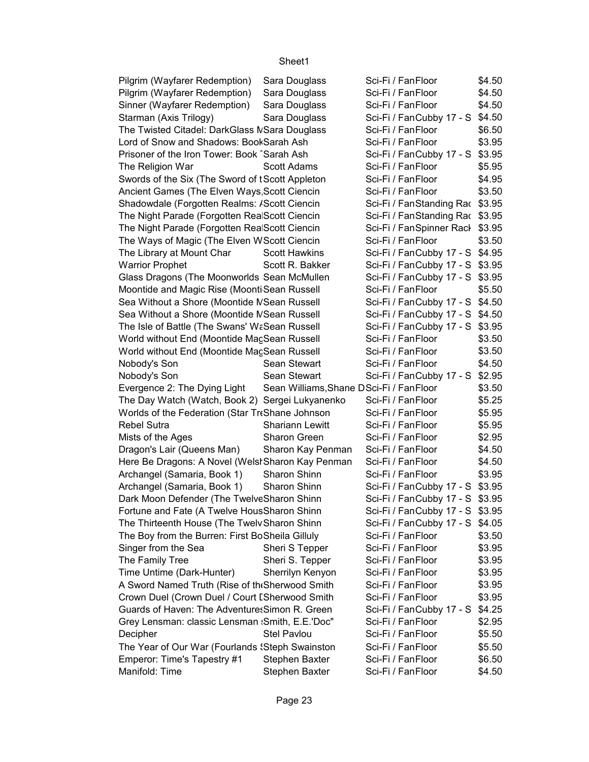| Pilgrim (Wayfarer Redemption)                     | Sara Douglass                           | Sci-Fi / FanFloor               | \$4.50 |
|---------------------------------------------------|-----------------------------------------|---------------------------------|--------|
| Pilgrim (Wayfarer Redemption)                     | Sara Douglass                           | Sci-Fi / FanFloor               | \$4.50 |
| Sinner (Wayfarer Redemption)                      | Sara Douglass                           | Sci-Fi / FanFloor               | \$4.50 |
| Starman (Axis Trilogy)                            | Sara Douglass                           | Sci-Fi / FanCubby 17 - S \$4.50 |        |
| The Twisted Citadel: DarkGlass MSara Douglass     |                                         | Sci-Fi / FanFloor               | \$6.50 |
| Lord of Snow and Shadows: BookSarah Ash           |                                         | Sci-Fi / FanFloor               | \$3.95 |
| Prisoner of the Iron Tower: Book Sarah Ash        |                                         | Sci-Fi / FanCubby 17 - S \$3.95 |        |
| The Religion War                                  | Scott Adams                             | Sci-Fi / FanFloor               | \$5.95 |
| Swords of the Six (The Sword of tScott Appleton   |                                         | Sci-Fi / FanFloor               | \$4.95 |
| Ancient Games (The Elven Ways Scott Ciencin       |                                         | Sci-Fi / FanFloor               | \$3.50 |
| Shadowdale (Forgotten Realms: /Scott Ciencin      |                                         | Sci-Fi / FanStanding Rac \$3.95 |        |
| The Night Parade (Forgotten RealScott Ciencin     |                                         | Sci-Fi / FanStanding Rac \$3.95 |        |
| The Night Parade (Forgotten RealScott Ciencin     |                                         | Sci-Fi / FanSpinner Rack \$3.95 |        |
| The Ways of Magic (The Elven WScott Ciencin       |                                         | Sci-Fi / FanFloor               | \$3.50 |
| The Library at Mount Char                         | <b>Scott Hawkins</b>                    | Sci-Fi / FanCubby 17 - S \$4.95 |        |
| <b>Warrior Prophet</b>                            | Scott R. Bakker                         | Sci-Fi / FanCubby 17 - S \$3.95 |        |
| Glass Dragons (The Moonworlds Sean McMullen       |                                         | Sci-Fi / FanCubby 17 - S \$3.95 |        |
| Moontide and Magic Rise (Moonti Sean Russell      |                                         | Sci-Fi / FanFloor               | \$5.50 |
| Sea Without a Shore (Moontide NSean Russell       |                                         | Sci-Fi / FanCubby 17 - S \$4.50 |        |
| Sea Without a Shore (Moontide NSean Russell       |                                         | Sci-Fi / FanCubby 17 - S \$4.50 |        |
| The Isle of Battle (The Swans' WaSean Russell     |                                         | Sci-Fi / FanCubby 17 - S \$3.95 |        |
| World without End (Moontide MacSean Russell       |                                         | Sci-Fi / FanFloor               | \$3.50 |
| World without End (Moontide MacSean Russell       |                                         | Sci-Fi / FanFloor               | \$3.50 |
| Nobody's Son                                      | Sean Stewart                            | Sci-Fi / FanFloor               | \$4.50 |
| Nobody's Son                                      | Sean Stewart                            | Sci-Fi / FanCubby 17 - S \$2.95 |        |
| Evergence 2: The Dying Light                      | Sean Williams, Shane DSci-Fi / FanFloor |                                 | \$3.50 |
| The Day Watch (Watch, Book 2) Sergei Lukyanenko   |                                         | Sci-Fi / FanFloor               | \$5.25 |
| Worlds of the Federation (Star TreShane Johnson   |                                         | Sci-Fi / FanFloor               | \$5.95 |
| <b>Rebel Sutra</b>                                | <b>Shariann Lewitt</b>                  | Sci-Fi / FanFloor               | \$5.95 |
| Mists of the Ages                                 | Sharon Green                            | Sci-Fi / FanFloor               | \$2.95 |
| Dragon's Lair (Queens Man)                        | Sharon Kay Penman                       | Sci-Fi / FanFloor               | \$4.50 |
| Here Be Dragons: A Novel (Welst Sharon Kay Penman |                                         | Sci-Fi / FanFloor               | \$4.50 |
| Archangel (Samaria, Book 1)                       | Sharon Shinn                            | Sci-Fi / FanFloor               | \$3.95 |
| Archangel (Samaria, Book 1)                       | Sharon Shinn                            | Sci-Fi / FanCubby 17 - S \$3.95 |        |
| Dark Moon Defender (The TwelveSharon Shinn        |                                         | Sci-Fi / FanCubby 17 - S \$3.95 |        |
| Fortune and Fate (A Twelve HousSharon Shinn       |                                         | Sci-Fi / FanCubby 17 - S \$3.95 |        |
| The Thirteenth House (The Twelv Sharon Shinn      |                                         | Sci-Fi / FanCubby 17 - S \$4.05 |        |
| The Boy from the Burren: First BoSheila Gilluly   |                                         | Sci-Fi / FanFloor               | \$3.50 |
| Singer from the Sea                               | Sheri S Tepper                          | Sci-Fi / FanFloor               | \$3.95 |
| The Family Tree                                   | Sheri S. Tepper                         | Sci-Fi / FanFloor               | \$3.95 |
| Time Untime (Dark-Hunter)                         | Sherrilyn Kenyon                        | Sci-Fi / FanFloor               | \$3.95 |
| A Sword Named Truth (Rise of the Sherwood Smith   |                                         | Sci-Fi / FanFloor               | \$3.95 |
| Crown Duel (Crown Duel / Court I Sherwood Smith   |                                         | Sci-Fi / FanFloor               | \$3.95 |
| Guards of Haven: The Adventure: Simon R. Green    |                                         | Sci-Fi / FanCubby 17 - S        | \$4.25 |
| Grey Lensman: classic Lensman : Smith, E.E.'Doc"  |                                         | Sci-Fi / FanFloor               | \$2.95 |
| Decipher                                          | <b>Stel Pavlou</b>                      | Sci-Fi / FanFloor               | \$5.50 |
| The Year of Our War (Fourlands 'Steph Swainston   |                                         | Sci-Fi / FanFloor               | \$5.50 |
| Emperor: Time's Tapestry #1                       | Stephen Baxter                          | Sci-Fi / FanFloor               | \$6.50 |
| Manifold: Time                                    | Stephen Baxter                          | Sci-Fi / FanFloor               | \$4.50 |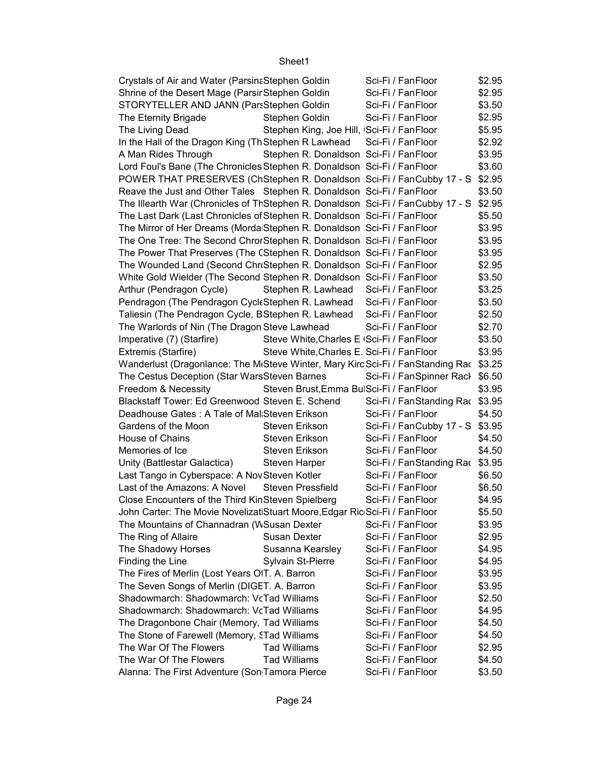| Crystals of Air and Water (ParsinaStephen Goldin                                       |                                            | Sci-Fi / FanFloor               | \$2.95 |
|----------------------------------------------------------------------------------------|--------------------------------------------|---------------------------------|--------|
| Shrine of the Desert Mage (Parsir Stephen Goldin                                       |                                            | Sci-Fi / FanFloor               | \$2.95 |
| STORYTELLER AND JANN (PartStephen Goldin                                               |                                            | Sci-Fi / FanFloor               | \$3.50 |
| The Eternity Brigade                                                                   | Stephen Goldin                             | Sci-Fi / FanFloor               | \$2.95 |
| The Living Dead                                                                        | Stephen King, Joe Hill, Sci-Fi / FanFloor  |                                 | \$5.95 |
| In the Hall of the Dragon King (Th Stephen R Lawhead Sci-Fi / Fan Floor                |                                            |                                 | \$2.92 |
| A Man Rides Through                                                                    | Stephen R. Donaldson Sci-Fi / FanFloor     |                                 | \$3.95 |
| Lord Foul's Bane (The Chronicles Stephen R. Donaldson Sci-Fi / FanFloor                |                                            |                                 | \$3.60 |
| POWER THAT PRESERVES (ChStephen R. Donaldson Sci-Fi / FanCubby 17 - S                  |                                            |                                 | \$2.95 |
| Reave the Just and Other Tales Stephen R. Donaldson Sci-Fi / FanFloor                  |                                            |                                 | \$3.50 |
| The Illearth War (Chronicles of ThStephen R. Donaldson Sci-Fi / FanCubby 17 - S        |                                            |                                 | \$2.95 |
| The Last Dark (Last Chronicles of Stephen R. Donaldson Sci-Fi / FanFloor               |                                            |                                 | \$5.50 |
| The Mirror of Her Dreams (Morda Stephen R. Donaldson Sci-Fi / FanFloor                 |                                            |                                 | \$3.95 |
| The One Tree: The Second ChrorStephen R. Donaldson Sci-Fi / FanFloor                   |                                            |                                 | \$3.95 |
| The Power That Preserves (The CStephen R. Donaldson Sci-Fi / FanFloor                  |                                            |                                 | \$3.95 |
| The Wounded Land (Second Chr Stephen R. Donaldson Sci-Fi / Fan Floor                   |                                            |                                 | \$2.95 |
| White Gold Wielder (The Second Stephen R. Donaldson Sci-Fi / FanFloor                  |                                            |                                 | \$3.50 |
| Arthur (Pendragon Cycle)                                                               | Stephen R. Lawhead Sci-Fi / FanFloor       |                                 | \$3.25 |
| Pendragon (The Pendragon CycleStephen R. Lawhead                                       |                                            | Sci-Fi / FanFloor               | \$3.50 |
|                                                                                        |                                            |                                 |        |
| Taliesin (The Pendragon Cycle, BStephen R. Lawhead Sci-Fi / FanFloor                   |                                            |                                 | \$2.50 |
| The Warlords of Nin (The Dragon Steve Lawhead                                          |                                            | Sci-Fi / FanFloor               | \$2.70 |
| Imperative (7) (Starfire)                                                              | Steve White, Charles E (Sci-Fi / Fan Floor |                                 | \$3.50 |
| Extremis (Starfire)                                                                    | Steve White, Charles E. Sci-Fi / Fan Floor |                                 | \$3.95 |
| Wanderlust (Dragonlance: The McSteve Winter, Mary Kirc Sci-Fi / FanStanding Rac \$3.25 |                                            |                                 |        |
| The Cestus Deception (Star WarsSteven Barnes                                           |                                            | Sci-Fi / FanSpinner Rack        | \$6.50 |
| Freedom & Necessity                                                                    | Steven Brust, Emma BulSci-Fi / FanFloor    |                                 | \$3.95 |
| Blackstaff Tower: Ed Greenwood Steven E. Schend                                        |                                            | Sci-Fi / FanStanding Rac \$3.95 |        |
| Deadhouse Gates: A Tale of Mal Steven Erikson                                          |                                            | Sci-Fi / FanFloor               | \$4.50 |
| Gardens of the Moon                                                                    | Steven Erikson                             | Sci-Fi / FanCubby 17 - S \$3.95 |        |
| House of Chains                                                                        | Steven Erikson                             | Sci-Fi / FanFloor               | \$4.50 |
| Memories of Ice                                                                        | <b>Steven Erikson</b>                      | Sci-Fi / FanFloor               | \$4.50 |
| Unity (Battlestar Galactica)                                                           | <b>Steven Harper</b>                       | Sci-Fi / FanStanding Rac \$3.95 |        |
| Last Tango in Cyberspace: A NovSteven Kotler                                           |                                            | Sci-Fi / FanFloor               | \$6.50 |
| Last of the Amazons: A Novel                                                           | <b>Steven Pressfield</b>                   | Sci-Fi / FanFloor               | \$6.50 |
| Close Encounters of the Third KinSteven Spielberg                                      |                                            | Sci-Fi / FanFloor               | \$4.95 |
| John Carter: The Movie NovelizatiStuart Moore, Edgar Ric Sci-Fi / FanFloor             |                                            |                                 | \$5.50 |
| The Mountains of Channadran (WSusan Dexter                                             |                                            | Sci-Fi / FanFloor               | \$3.95 |
| The Ring of Allaire                                                                    | Susan Dexter                               | Sci-Fi / FanFloor               | \$2.95 |
| The Shadowy Horses                                                                     | Susanna Kearsley                           | Sci-Fi / FanFloor               | \$4.95 |
| Finding the Line                                                                       | Sylvain St-Pierre                          | Sci-Fi / FanFloor               | \$4.95 |
| The Fires of Merlin (Lost Years OIT. A. Barron                                         |                                            | Sci-Fi / FanFloor               | \$3.95 |
| The Seven Songs of Merlin (DIGET. A. Barron                                            |                                            | Sci-Fi / FanFloor               | \$3.95 |
| Shadowmarch: Shadowmarch: VcTad Williams                                               |                                            | Sci-Fi / FanFloor               | \$2.50 |
| Shadowmarch: Shadowmarch: VcTad Williams                                               |                                            | Sci-Fi / FanFloor               | \$4.95 |
| The Dragonbone Chair (Memory, Tad Williams                                             |                                            | Sci-Fi / FanFloor               | \$4.50 |
|                                                                                        |                                            | Sci-Fi / FanFloor               | \$4.50 |
| The Stone of Farewell (Memory, STad Williams<br>The War Of The Flowers                 |                                            |                                 |        |
|                                                                                        | <b>Tad Williams</b>                        | Sci-Fi / FanFloor               | \$2.95 |
| The War Of The Flowers                                                                 | <b>Tad Williams</b>                        | Sci-Fi / FanFloor               | \$4.50 |
| Alanna: The First Adventure (Son Tamora Pierce                                         |                                            | Sci-Fi / FanFloor               | \$3.50 |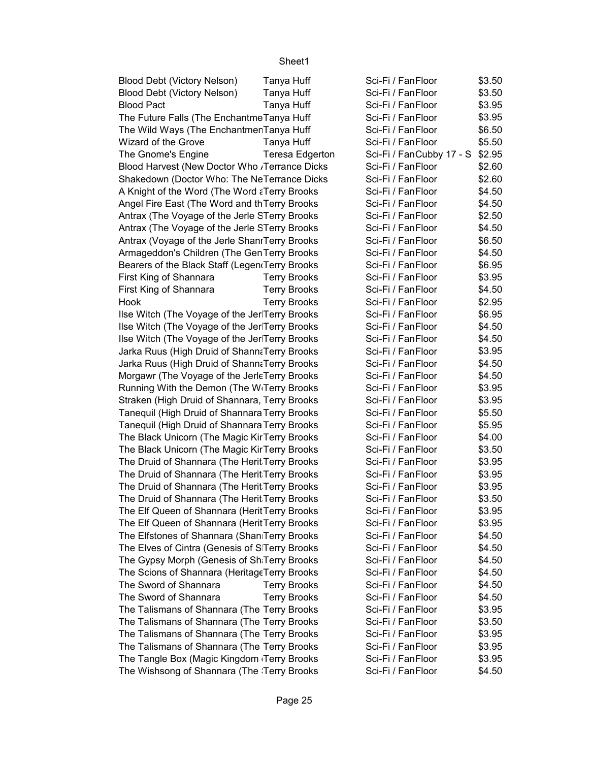| Blood Debt (Victory Nelson)                             | Tanya Huff             | Sci-Fi / FanFloor        | \$3.50 |
|---------------------------------------------------------|------------------------|--------------------------|--------|
| Blood Debt (Victory Nelson)                             | Tanya Huff             | Sci-Fi / FanFloor        | \$3.50 |
| <b>Blood Pact</b>                                       | Tanya Huff             | Sci-Fi / FanFloor        | \$3.95 |
| The Future Falls (The Enchantme Tanya Huff              |                        | Sci-Fi / FanFloor        | \$3.95 |
| The Wild Ways (The EnchantmenTanya Huff                 |                        | Sci-Fi / FanFloor        | \$6.50 |
| Wizard of the Grove                                     | Tanya Huff             | Sci-Fi / FanFloor        | \$5.50 |
| The Gnome's Engine                                      | <b>Teresa Edgerton</b> | Sci-Fi / FanCubby 17 - S | \$2.95 |
| Blood Harvest (New Doctor Who Jerrance Dicks            |                        | Sci-Fi / FanFloor        | \$2.60 |
| Shakedown (Doctor Who: The NeTerrance Dicks             |                        | Sci-Fi / FanFloor        | \$2.60 |
| A Knight of the Word (The Word a Terry Brooks           |                        | Sci-Fi / FanFloor        | \$4.50 |
| Angel Fire East (The Word and th Terry Brooks           |                        | Sci-Fi / FanFloor        | \$4.50 |
| Antrax (The Voyage of the Jerle STerry Brooks           |                        | Sci-Fi / FanFloor        | \$2.50 |
| Antrax (The Voyage of the Jerle STerry Brooks           |                        | Sci-Fi / FanFloor        | \$4.50 |
| Antrax (Voyage of the Jerle ShaniTerry Brooks           |                        | Sci-Fi / FanFloor        | \$6.50 |
| Armageddon's Children (The GenTerry Brooks              |                        | Sci-Fi / FanFloor        | \$4.50 |
| Bearers of the Black Staff (Legen Terry Brooks          |                        | Sci-Fi / FanFloor        | \$6.95 |
| First King of Shannara                                  | <b>Terry Brooks</b>    | Sci-Fi / FanFloor        | \$3.95 |
| First King of Shannara                                  | <b>Terry Brooks</b>    | Sci-Fi / FanFloor        | \$4.50 |
| Hook                                                    | <b>Terry Brooks</b>    | Sci-Fi / FanFloor        | \$2.95 |
| Ilse Witch (The Voyage of the Jer Terry Brooks          |                        | Sci-Fi / FanFloor        | \$6.95 |
| Ilse Witch (The Voyage of the Jer Terry Brooks          |                        | Sci-Fi / FanFloor        | \$4.50 |
| Ilse Witch (The Voyage of the Jer Terry Brooks          |                        | Sci-Fi / FanFloor        | \$4.50 |
| Jarka Ruus (High Druid of Shann: Terry Brooks           |                        | Sci-Fi / FanFloor        | \$3.95 |
| Jarka Ruus (High Druid of ShannaTerry Brooks            |                        | Sci-Fi / FanFloor        | \$4.50 |
| Morgawr (The Voyage of the JerleTerry Brooks            |                        | Sci-Fi / FanFloor        | \$4.50 |
| Running With the Demon (The W <sub>'</sub> Terry Brooks |                        | Sci-Fi / FanFloor        | \$3.95 |
| Straken (High Druid of Shannara, Terry Brooks           |                        | Sci-Fi / FanFloor        | \$3.95 |
| Tanequil (High Druid of Shannara Terry Brooks           |                        | Sci-Fi / FanFloor        | \$5.50 |
| Tanequil (High Druid of Shannara Terry Brooks           |                        | Sci-Fi / FanFloor        | \$5.95 |
| The Black Unicorn (The Magic KirTerry Brooks            |                        | Sci-Fi / FanFloor        | \$4.00 |
| The Black Unicorn (The Magic KirTerry Brooks            |                        | Sci-Fi / FanFloor        | \$3.50 |
| The Druid of Shannara (The Herit Terry Brooks           |                        | Sci-Fi / FanFloor        | \$3.95 |
| The Druid of Shannara (The Herit Terry Brooks           |                        | Sci-Fi / FanFloor        | \$3.95 |
| The Druid of Shannara (The Herit Terry Brooks           |                        | Sci-Fi / FanFloor        | \$3.95 |
| The Druid of Shannara (The Herit Terry Brooks           |                        | Sci-Fi / FanFloor        | \$3.50 |
| The Elf Queen of Shannara (HeritTerry Brooks            |                        | Sci-Fi / FanFloor        | \$3.95 |
| The Elf Queen of Shannara (HeritTerry Brooks            |                        | Sci-Fi / FanFloor        | \$3.95 |
| The Elfstones of Shannara (Shan Terry Brooks            |                        | Sci-Fi / FanFloor        | \$4.50 |
| The Elves of Cintra (Genesis of STerry Brooks           |                        | Sci-Fi / FanFloor        | \$4.50 |
| The Gypsy Morph (Genesis of Sh Terry Brooks             |                        | Sci-Fi / FanFloor        | \$4.50 |
| The Scions of Shannara (HeritageTerry Brooks            |                        | Sci-Fi / FanFloor        | \$4.50 |
| The Sword of Shannara                                   | <b>Terry Brooks</b>    | Sci-Fi / FanFloor        | \$4.50 |
| The Sword of Shannara                                   | <b>Terry Brooks</b>    | Sci-Fi / FanFloor        | \$4.50 |
| The Talismans of Shannara (The Terry Brooks             |                        | Sci-Fi / FanFloor        | \$3.95 |
| The Talismans of Shannara (The Terry Brooks             |                        | Sci-Fi / FanFloor        | \$3.50 |
| The Talismans of Shannara (The Terry Brooks             |                        | Sci-Fi / FanFloor        | \$3.95 |
| The Talismans of Shannara (The Terry Brooks             |                        | Sci-Fi / FanFloor        | \$3.95 |
| The Tangle Box (Magic Kingdom Terry Brooks              |                        | Sci-Fi / FanFloor        | \$3.95 |
| The Wishsong of Shannara (The Terry Brooks              |                        | Sci-Fi / FanFloor        | \$4.50 |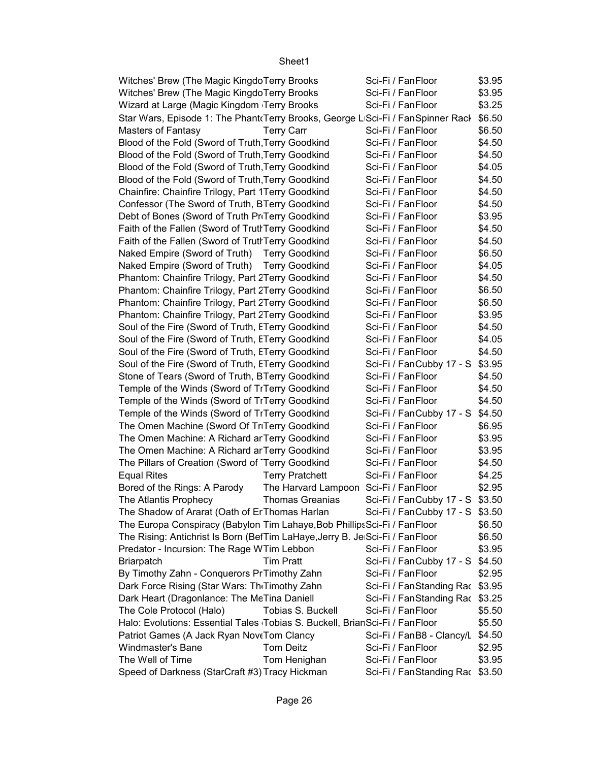| Witches' Brew (The Magic Kingdo Terry Brooks                                    | Sci-Fi / FanFloor                | \$3.95 |  |
|---------------------------------------------------------------------------------|----------------------------------|--------|--|
| Witches' Brew (The Magic KingdoTerry Brooks                                     | Sci-Fi / FanFloor                | \$3.95 |  |
| Wizard at Large (Magic Kingdom Terry Brooks                                     | Sci-Fi / FanFloor                | \$3.25 |  |
| Star Wars, Episode 1: The Phant Terry Brooks, George LISci-Fi / FanSpinner Racl |                                  | \$6.50 |  |
| <b>Masters of Fantasy</b><br><b>Terry Carr</b>                                  | Sci-Fi / FanFloor                | \$6.50 |  |
| Blood of the Fold (Sword of Truth Terry Goodkind                                | Sci-Fi / FanFloor                | \$4.50 |  |
| Blood of the Fold (Sword of Truth, Terry Goodkind                               | Sci-Fi / FanFloor                | \$4.50 |  |
| Blood of the Fold (Sword of Truth, Terry Goodkind                               | Sci-Fi / FanFloor                | \$4.05 |  |
| Blood of the Fold (Sword of Truth, Terry Goodkind                               | Sci-Fi / FanFloor                | \$4.50 |  |
| Chainfire: Chainfire Trilogy, Part 1Terry Goodkind                              | Sci-Fi / FanFloor                | \$4.50 |  |
| Confessor (The Sword of Truth, BTerry Goodkind                                  | Sci-Fi / FanFloor                | \$4.50 |  |
| Debt of Bones (Sword of Truth PriTerry Goodkind                                 | Sci-Fi / FanFloor                | \$3.95 |  |
| Faith of the Fallen (Sword of TruthTerry Goodkind                               | Sci-Fi / FanFloor                | \$4.50 |  |
| Faith of the Fallen (Sword of TruthTerry Goodkind                               | Sci-Fi / FanFloor                | \$4.50 |  |
| Naked Empire (Sword of Truth) Terry Goodkind                                    | Sci-Fi / FanFloor                | \$6.50 |  |
| Naked Empire (Sword of Truth) Terry Goodkind                                    | Sci-Fi / FanFloor                | \$4.05 |  |
| Phantom: Chainfire Trilogy, Part 2Terry Goodkind                                | Sci-Fi / FanFloor                | \$4.50 |  |
| Phantom: Chainfire Trilogy, Part 2Terry Goodkind                                | Sci-Fi / FanFloor                | \$6.50 |  |
| Phantom: Chainfire Trilogy, Part 2Terry Goodkind                                | Sci-Fi / FanFloor                | \$6.50 |  |
| Phantom: Chainfire Trilogy, Part 2Terry Goodkind                                | Sci-Fi / FanFloor                | \$3.95 |  |
| Soul of the Fire (Sword of Truth, ETerry Goodkind                               | Sci-Fi / FanFloor                | \$4.50 |  |
| Soul of the Fire (Sword of Truth, ETerry Goodkind                               | Sci-Fi / FanFloor                | \$4.05 |  |
| Soul of the Fire (Sword of Truth, ETerry Goodkind                               | Sci-Fi / FanFloor                | \$4.50 |  |
| Soul of the Fire (Sword of Truth, ETerry Goodkind                               | Sci-Fi / FanCubby 17 - S \$3.95  |        |  |
| Stone of Tears (Sword of Truth, BTerry Goodkind                                 | Sci-Fi / FanFloor                | \$4.50 |  |
| Temple of the Winds (Sword of TrTerry Goodkind                                  | Sci-Fi / FanFloor                | \$4.50 |  |
| Temple of the Winds (Sword of TrTerry Goodkind                                  | Sci-Fi / FanFloor                | \$4.50 |  |
| Temple of the Winds (Sword of TrTerry Goodkind                                  | Sci-Fi / FanCubby 17 - S \$4.50  |        |  |
| The Omen Machine (Sword Of TriTerry Goodkind                                    | Sci-Fi / FanFloor                | \$6.95 |  |
| The Omen Machine: A Richard ar Terry Goodkind                                   | Sci-Fi / FanFloor                | \$3.95 |  |
| The Omen Machine: A Richard ar Terry Goodkind                                   | Sci-Fi / FanFloor                | \$3.95 |  |
| The Pillars of Creation (Sword of Terry Goodkind                                | Sci-Fi / FanFloor                | \$4.50 |  |
| <b>Equal Rites</b><br><b>Terry Pratchett</b>                                    | Sci-Fi / FanFloor                | \$4.25 |  |
| Bored of the Rings: A Parody<br>The Harvard Lampoon Sci-Fi / FanFloor           |                                  | \$2.95 |  |
| <b>Thomas Greanias</b><br>The Atlantis Prophecy                                 | Sci-Fi / FanCubby 17 - S \$3.50  |        |  |
| The Shadow of Ararat (Oath of Er Thomas Harlan                                  | Sci-Fi / FanCubby 17 - S \$3.50  |        |  |
| The Europa Conspiracy (Babylon Tim Lahaye, Bob Phillips Sci-Fi / Fan Floor      |                                  | \$6.50 |  |
| The Rising: Antichrist Is Born (BetTim LaHaye, Jerry B. Je Sci-Fi / FanFloor    |                                  | \$6.50 |  |
| Predator - Incursion: The Rage WTim Lebbon                                      | Sci-Fi / FanFloor                | \$3.95 |  |
| <b>Tim Pratt</b><br><b>Briarpatch</b>                                           | Sci-Fi / FanCubby 17 - S \$4.50  |        |  |
| By Timothy Zahn - Conquerors PrTimothy Zahn                                     | Sci-Fi / FanFloor                | \$2.95 |  |
| Dark Force Rising (Star Wars: Th Timothy Zahn                                   | Sci-Fi / FanStanding Rac \$3.95  |        |  |
| Dark Heart (Dragonlance: The MeTina Daniell                                     | Sci-Fi / FanStanding Rac \$3.25  |        |  |
| The Cole Protocol (Halo)<br>Tobias S. Buckell                                   | Sci-Fi / FanFloor                | \$5.50 |  |
| Halo: Evolutions: Essential Tales Tobias S. Buckell, BrianSci-Fi / FanFloor     |                                  | \$5.50 |  |
| Patriot Games (A Jack Ryan NoveTom Clancy                                       | Sci-Fi / FanB8 - Clancy/L \$4.50 |        |  |
| Tom Deitz<br>Windmaster's Bane                                                  | Sci-Fi / FanFloor                | \$2.95 |  |
| The Well of Time<br>Tom Henighan                                                | Sci-Fi / FanFloor                | \$3.95 |  |
| Speed of Darkness (StarCraft #3) Tracy Hickman                                  | Sci-Fi / FanStanding Rac \$3.50  |        |  |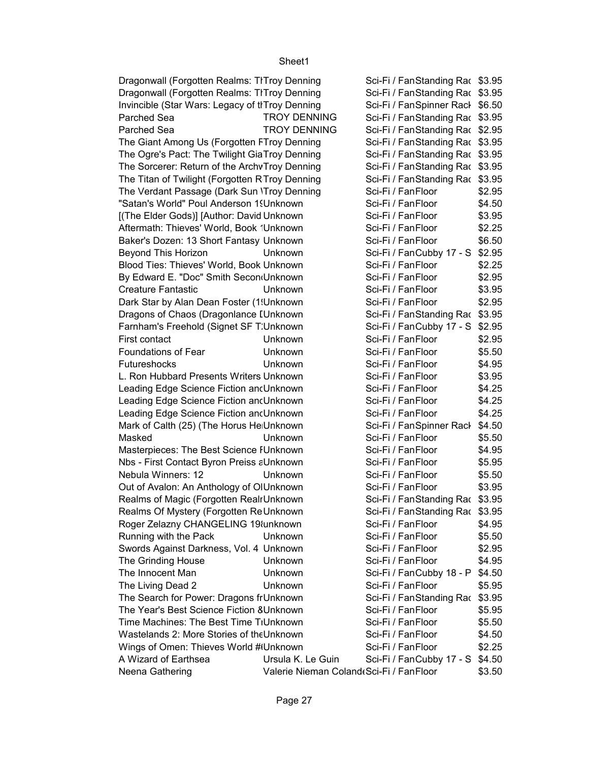| Dragonwall (Forgotten Realms: TITroy Denning    |                                         | Sci-Fi / FanStanding Rac \$3.95 |        |
|-------------------------------------------------|-----------------------------------------|---------------------------------|--------|
| Dragonwall (Forgotten Realms: TITroy Denning    |                                         | Sci-Fi / FanStanding Rac \$3.95 |        |
| Invincible (Star Wars: Legacy of tITroy Denning |                                         | Sci-Fi / FanSpinner Rack \$6.50 |        |
| Parched Sea                                     | <b>TROY DENNING</b>                     | Sci-Fi / FanStanding Rac \$3.95 |        |
| Parched Sea                                     | <b>TROY DENNING</b>                     | Sci-Fi / FanStanding Rac \$2.95 |        |
| The Giant Among Us (Forgotten FTroy Denning     |                                         | Sci-Fi / FanStanding Rac \$3.95 |        |
| The Ogre's Pact: The Twilight GiaTroy Denning   |                                         | Sci-Fi / FanStanding Rac \$3.95 |        |
| The Sorcerer: Return of the ArchvTroy Denning   |                                         | Sci-Fi / FanStanding Rac \$3.95 |        |
| The Titan of Twilight (Forgotten RTroy Denning  |                                         | Sci-Fi / FanStanding Rac \$3.95 |        |
| The Verdant Passage (Dark Sun 'Troy Denning     |                                         | Sci-Fi / FanFloor               | \$2.95 |
| "Satan's World" Poul Anderson 1! Unknown        |                                         | Sci-Fi / FanFloor               | \$4.50 |
| [(The Elder Gods)] [Author: David Unknown       |                                         | Sci-Fi / FanFloor               | \$3.95 |
| Aftermath: Thieves' World, Book 'Unknown        |                                         | Sci-Fi / FanFloor               | \$2.25 |
| Baker's Dozen: 13 Short Fantasy Unknown         |                                         | Sci-Fi / FanFloor               | \$6.50 |
| Beyond This Horizon                             | Unknown                                 | Sci-Fi / FanCubby 17 - S \$2.95 |        |
| Blood Ties: Thieves' World, Book Unknown        |                                         | Sci-Fi / FanFloor               | \$2.25 |
| By Edward E. "Doc" Smith Secon(Unknown          |                                         | Sci-Fi / FanFloor               | \$2.95 |
| <b>Creature Fantastic</b>                       | <b>Unknown</b>                          | Sci-Fi / FanFloor               | \$3.95 |
| Dark Star by Alan Dean Foster (1!Unknown        |                                         | Sci-Fi / FanFloor               | \$2.95 |
| Dragons of Chaos (Dragonlance I Unknown         |                                         | Sci-Fi / FanStanding Rac \$3.95 |        |
| Farnham's Freehold (Signet SF T: Unknown        |                                         | Sci-Fi / FanCubby 17 - S \$2.95 |        |
| First contact                                   | Unknown                                 | Sci-Fi / FanFloor               | \$2.95 |
| <b>Foundations of Fear</b>                      | Unknown                                 | Sci-Fi / FanFloor               | \$5.50 |
| <b>Futureshocks</b>                             | Unknown                                 | Sci-Fi / FanFloor               | \$4.95 |
| L. Ron Hubbard Presents Writers Unknown         |                                         | Sci-Fi / FanFloor               | \$3.95 |
| Leading Edge Science Fiction and Unknown        |                                         | Sci-Fi / FanFloor               | \$4.25 |
| Leading Edge Science Fiction and Unknown        |                                         | Sci-Fi / FanFloor               | \$4.25 |
| Leading Edge Science Fiction and Unknown        |                                         | Sci-Fi / FanFloor               | \$4.25 |
| Mark of Calth (25) (The Horus He Unknown        |                                         | Sci-Fi / FanSpinner Rack        | \$4.50 |
| Masked                                          | Unknown                                 | Sci-Fi / FanFloor               | \$5.50 |
| Masterpieces: The Best Science IUnknown         |                                         | Sci-Fi / FanFloor               | \$4.95 |
| Nbs - First Contact Byron Preiss aUnknown       |                                         | Sci-Fi / FanFloor               | \$5.95 |
| Nebula Winners: 12                              | Unknown                                 | Sci-Fi / FanFloor               | \$5.50 |
| Out of Avalon: An Anthology of OlUnknown        |                                         | Sci-Fi / FanFloor               | \$3.95 |
| Realms of Magic (Forgotten RealrUnknown         |                                         | Sci-Fi / FanStanding Rac \$3.95 |        |
| Realms Of Mystery (Forgotten ReUnknown          |                                         | Sci-Fi / FanStanding Rac \$3.95 |        |
| Roger Zelazny CHANGELING 19 lunknown            |                                         | Sci-Fi / FanFloor               | \$4.95 |
| Running with the Pack                           | Unknown                                 | Sci-Fi / FanFloor               | \$5.50 |
| Swords Against Darkness, Vol. 4 Unknown         |                                         | Sci-Fi / FanFloor               | \$2.95 |
| The Grinding House                              | Unknown                                 | Sci-Fi / FanFloor               | \$4.95 |
| The Innocent Man                                | Unknown                                 | Sci-Fi / FanCubby 18 - P        | \$4.50 |
| The Living Dead 2                               | Unknown                                 | Sci-Fi / FanFloor               | \$5.95 |
| The Search for Power: Dragons frUnknown         |                                         | Sci-Fi / FanStanding Rac \$3.95 |        |
| The Year's Best Science Fiction 8Unknown        |                                         | Sci-Fi / FanFloor               | \$5.95 |
| Time Machines: The Best Time TIUnknown          |                                         | Sci-Fi / FanFloor               | \$5.50 |
| Wastelands 2: More Stories of the Unknown       |                                         | Sci-Fi / FanFloor               | \$4.50 |
| Wings of Omen: Thieves World #Unknown           |                                         | Sci-Fi / FanFloor               | \$2.25 |
| A Wizard of Earthsea                            | Ursula K. Le Guin                       | Sci-Fi / FanCubby 17 - S        | \$4.50 |
| Neena Gathering                                 | Valerie Nieman Coland(Sci-Fi / FanFloor |                                 | \$3.50 |
|                                                 |                                         |                                 |        |